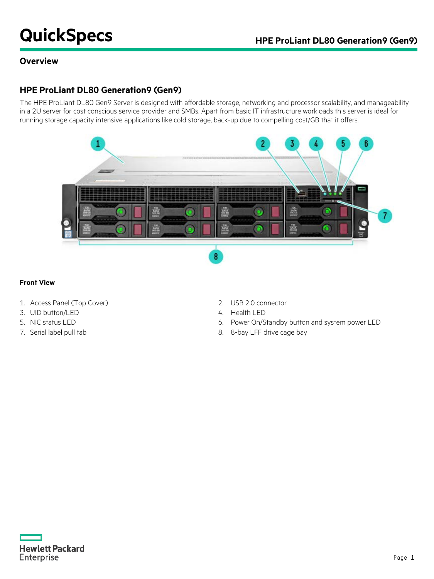# **QuickSpecs HPE ProLiant DL80 Generation9 (Gen9)**

### **Overview**

### **HPE ProLiant DL80 Generation9 (Gen9)**

The HPE ProLiant DL80 Gen9 Server is designed with affordable storage, networking and processor scalability, and manageability in a 2U server for cost conscious service provider and SMBs. Apart from basic IT infrastructure workloads this server is ideal for running storage capacity intensive applications like cold storage, back-up due to compelling cost/GB that it offers.



#### **Front View**

- 1. Access Panel (Top Cover) 2. USB 2.0 connector
- 3. UID button/LED 4. Health LED
- 
- 
- 
- 
- 5. NIC status LED 6. Power On/Standby button and system power LED
- 7. Serial label pull tab 8. 8-bay LFF drive cage bay

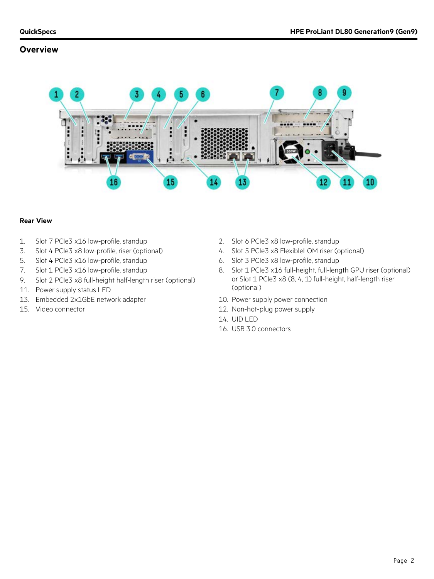### **Overview**



#### **Rear View**

- 1. Slot 7 PCIe3 x16 low-profile, standup 2. Slot 6 PCIe3 x8 low-profile, standup
- 3. Slot 4 PCIe3 x8 low-profile, riser (optional) 4. Slot 5 PCIe3 x8 FlexibleLOM riser (optional)
- 5. Slot 4 PCIe3 x16 low-profile, standup 6. Slot 3 PCIe3 x8 low-profile, standup
- 
- 9. Slot 2 PCIe3 x8 full-height half-length riser (optional)
- 11. Power supply status LED
- 13. Embedded 2x1GbE network adapter 10. Power supply power connection
- 
- 
- 
- 
- 7. Slot 1 PCIe3 x16 low-profile, standup 8. Slot 1 PCIe3 x16 full-height, full-length GPU riser (optional) or Slot 1 PCIe3 x8 (8, 4, 1) full-height, half-length riser (optional)
	-
- 15. Video connector 12. Non-hot-plug power supply
	- 14. UID LED
	- 16. USB 3.0 connectors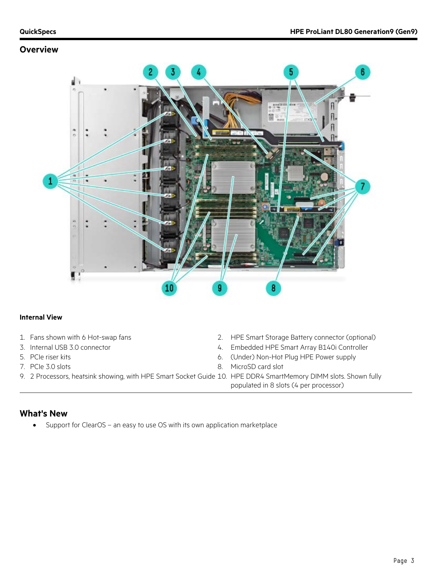### **Overview**



### **Internal View**

- 
- 
- 
- 
- 9. 2 Processors, heatsink showing, with HPE Smart Socket Guide 10. HPE DDR4 SmartMemory DIMM slots. Shown fully
- 1. Fans shown with 6 Hot-swap fans 2. HPE Smart Storage Battery connector (optional)
- 3. Internal USB 3.0 connector 1999 100 4. Embedded HPE Smart Array B140i Controller
- 5. PCIe riser kits 6. (Under) Non-Hot Plug HPE Power supply
- 7. PCIe 3.0 slots 8. MicroSD card slot
	- populated in 8 slots (4 per processor)

### **What's New**

• Support for ClearOS – an easy to use OS with its own application marketplace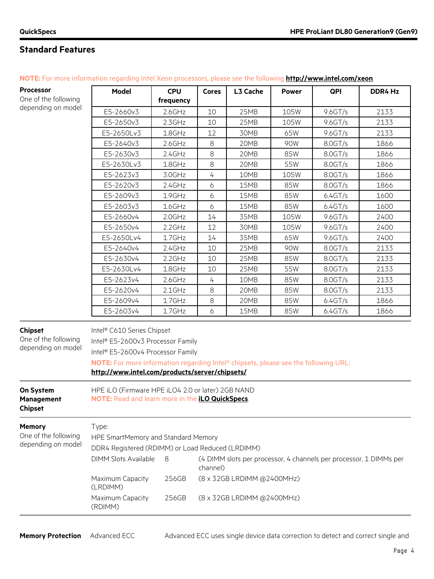### **Standard Features**

| <b>Processor</b>                                             | <b>Model</b>                                                                                                                                                                                                                                  | <b>CPU</b> | <b>Cores</b>     | L3 Cache                   | <b>Power</b> | QPI        | DDR4 Hz |
|--------------------------------------------------------------|-----------------------------------------------------------------------------------------------------------------------------------------------------------------------------------------------------------------------------------------------|------------|------------------|----------------------------|--------------|------------|---------|
| One of the following                                         |                                                                                                                                                                                                                                               | frequency  |                  |                            |              |            |         |
| depending on model                                           | E5-2660v3                                                                                                                                                                                                                                     | $2.6$ GHz  | 10               | 25MB                       | 105W         | 9.6 G T/s  | 2133    |
|                                                              | E5-2650v3                                                                                                                                                                                                                                     | $2.3$ GHz  | 10               | 25MB                       | 105W         | 9.6 G T/s  | 2133    |
|                                                              | E5-2650Lv3                                                                                                                                                                                                                                    | 1.8GHz     | 12               | 30MB                       | 65W          | 9.6GT/s    | 2133    |
|                                                              | E5-2640v3                                                                                                                                                                                                                                     | $2.6$ GHz  | 8                | 20MB                       | 90W          | 8.0GT/s    | 1866    |
|                                                              | E5-2630v3                                                                                                                                                                                                                                     | 2.4GHz     | 8                | 20MB                       | 85W          | 8.0GT/s    | 1866    |
|                                                              | E5-2630Lv3                                                                                                                                                                                                                                    | 1.8GHz     | $\,8\,$          | 20MB                       | 55W          | 8.0GT/s    | 1866    |
|                                                              | E5-2623v3                                                                                                                                                                                                                                     | 3.0GHz     | $\overline{4}$   | 10MB                       | 105W         | 8.0GT/s    | 1866    |
|                                                              | E5-2620v3                                                                                                                                                                                                                                     | $2.4$ GHz  | 6                | 15MB                       | 85W          | 8.0GT/s    | 1866    |
|                                                              | E5-2609v3                                                                                                                                                                                                                                     | 1.9GHz     | 6                | 15MB                       | 85W          | 6.4GT/s    | 1600    |
|                                                              | E5-2603v3                                                                                                                                                                                                                                     | 1.6GHz     | $\boldsymbol{6}$ | 15MB                       | 85W          | 6.4GT/s    | 1600    |
|                                                              | E5-2660v4                                                                                                                                                                                                                                     | $2.0$ GHz  | 14               | 35MB                       | 105W         | 9.6GT/s    | 2400    |
|                                                              | E5-2650v4                                                                                                                                                                                                                                     | $2.2$ GHz  | 12               | 30MB                       | 105W         | $9.6$ GT/s | 2400    |
|                                                              | E5-2650Lv4                                                                                                                                                                                                                                    | 1.7GHz     | 14               | 35MB                       | 65W          | 9.6GT/s    | 2400    |
|                                                              | E5-2640v4                                                                                                                                                                                                                                     | $2.4$ GHz  | 10               | 25MB                       | 90W          | 8.0GT/s    | 2133    |
|                                                              | E5-2630v4                                                                                                                                                                                                                                     | $2.2$ GHz  | 10               | 25MB                       | 85W          | 8.0GT/s    | 2133    |
|                                                              | E5-2630Lv4                                                                                                                                                                                                                                    | 1.8GHz     | 10               | 25MB                       | 55W          | 8.0GT/s    | 2133    |
|                                                              | E5-2623v4                                                                                                                                                                                                                                     | $2.6$ GHz  | 4                | 10MB                       | 85W          | 8.0GT/s    | 2133    |
|                                                              | E5-2620v4                                                                                                                                                                                                                                     | $2.1$ GHz  | 8                | 20MB                       | 85W          | 8.0GT/s    | 2133    |
|                                                              | E5-2609v4                                                                                                                                                                                                                                     | 1.7GHz     | 8                | 20MB                       | 85W          | 6.4GT/s    | 1866    |
|                                                              | E5-2603v4                                                                                                                                                                                                                                     | $1.7$ GHz  | 6                | 15MB                       | 85W          | 6.4GT/s    | 1866    |
| <b>Chipset</b><br>One of the following<br>depending on model | Intel® C610 Series Chipset<br>Intel® E5-2600v3 Processor Family<br>Intel® E5-2600v4 Processor Family<br>NOTE: For more information regarding Intel® chipsets, please see the following URL:<br>http://www.intel.com/products/server/chipsets/ |            |                  |                            |              |            |         |
| On System<br><b>Management</b><br><b>Chipset</b>             | HPE iLO (Firmware HPE iLO4 2.0 or later) 2GB NAND<br>NOTE: Read and learn more in the iLO QuickSpecs.                                                                                                                                         |            |                  |                            |              |            |         |
| <b>Memory</b><br>One of the following<br>depending on model  | Type:<br>HPE SmartMemory and Standard Memory<br>DDR4 Registered (RDIMM) or Load Reduced (LRDIMM)<br><b>DIMM Slots Available</b><br>8<br>(4 DIMM slots per processor, 4 channels per processor, 1 DIMMs per                                    |            |                  |                            |              |            |         |
|                                                              | Maximum Capacity<br>(LRDIMM)                                                                                                                                                                                                                  | 256GB      | channel)         | (8 x 32GB LRDIMM @2400MHz) |              |            |         |
|                                                              | (8 x 32GB LRDIMM @2400MHz)<br>Maximum Capacity<br>256GB<br>(RDIMM)                                                                                                                                                                            |            |                  |                            |              |            |         |

**NOTE:** For more information regarding Intel Xeon processors, please see the following **<http://www.intel.com/xeon>**.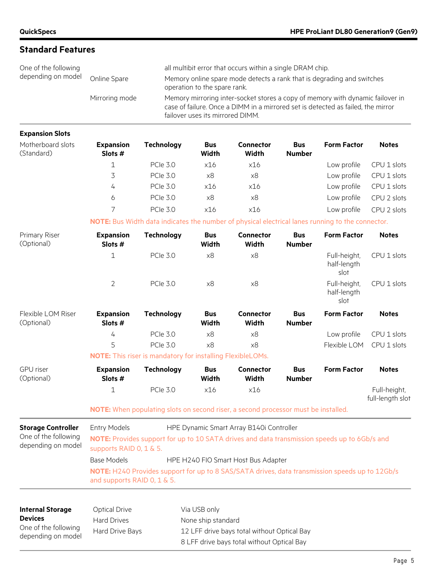| <b>Standard Features</b>                   |                                                                                                                                                                                                                          |                                                                                           |                              |                                                                                                                                     |                             |                                     |                                  |
|--------------------------------------------|--------------------------------------------------------------------------------------------------------------------------------------------------------------------------------------------------------------------------|-------------------------------------------------------------------------------------------|------------------------------|-------------------------------------------------------------------------------------------------------------------------------------|-----------------------------|-------------------------------------|----------------------------------|
| One of the following<br>depending on model | Online Spare                                                                                                                                                                                                             |                                                                                           | operation to the spare rank. | all multibit error that occurs within a single DRAM chip.<br>Memory online spare mode detects a rank that is degrading and switches |                             |                                     |                                  |
|                                            | Mirroring mode<br>Memory mirroring inter-socket stores a copy of memory with dynamic failover in<br>case of failure. Once a DIMM in a mirrored set is detected as failed, the mirror<br>failover uses its mirrored DIMM. |                                                                                           |                              |                                                                                                                                     |                             |                                     |                                  |
| <b>Expansion Slots</b>                     |                                                                                                                                                                                                                          |                                                                                           |                              |                                                                                                                                     |                             |                                     |                                  |
| Motherboard slots<br>(Standard)            | <b>Expansion</b><br>Slots #                                                                                                                                                                                              | <b>Technology</b>                                                                         | <b>Bus</b><br>Width          | Connector<br>Width                                                                                                                  | <b>Bus</b><br><b>Number</b> | <b>Form Factor</b>                  | <b>Notes</b>                     |
|                                            | $\mathbf 1$                                                                                                                                                                                                              | <b>PCIe 3.0</b>                                                                           | x16                          | x16                                                                                                                                 |                             | Low profile                         | CPU 1 slots                      |
|                                            | 3                                                                                                                                                                                                                        | <b>PCIe 3.0</b>                                                                           | x8                           | x8                                                                                                                                  |                             | Low profile                         | CPU 1 slots                      |
|                                            | 4                                                                                                                                                                                                                        | <b>PCle 3.0</b>                                                                           | x16                          | x16                                                                                                                                 |                             | Low profile                         | CPU 1 slots                      |
|                                            | 6                                                                                                                                                                                                                        | <b>PCIe 3.0</b>                                                                           | x8                           | x8                                                                                                                                  |                             | Low profile                         | CPU 2 slots                      |
|                                            | 7                                                                                                                                                                                                                        | <b>PCle 3.0</b>                                                                           | x16                          | x16                                                                                                                                 |                             | Low profile                         | CPU 2 slots                      |
|                                            | NOTE: Bus Width data indicates the number of physical electrical lanes running to the connector.                                                                                                                         |                                                                                           |                              |                                                                                                                                     |                             |                                     |                                  |
| Primary Riser<br>(Optional)                | <b>Expansion</b><br>Slots #                                                                                                                                                                                              | <b>Technology</b>                                                                         | <b>Bus</b><br><b>Width</b>   | <b>Connector</b><br><b>Width</b>                                                                                                    | <b>Bus</b><br><b>Number</b> | <b>Form Factor</b>                  | <b>Notes</b>                     |
|                                            | $1\,$                                                                                                                                                                                                                    | PCle 3.0                                                                                  | x8                           | x8                                                                                                                                  |                             | Full-height,<br>half-length<br>slot | CPU 1 slots                      |
|                                            | $\overline{2}$                                                                                                                                                                                                           | <b>PCle 3.0</b>                                                                           | x8                           | x8                                                                                                                                  |                             | Full-height,<br>half-length<br>slot | CPU 1 slots                      |
| Flexible LOM Riser<br>(Optional)           | <b>Expansion</b><br>Slots #                                                                                                                                                                                              | <b>Technology</b>                                                                         | <b>Bus</b><br><b>Width</b>   | <b>Connector</b><br>Width                                                                                                           | <b>Bus</b><br><b>Number</b> | <b>Form Factor</b>                  | <b>Notes</b>                     |
|                                            | 4                                                                                                                                                                                                                        | <b>PCle 3.0</b>                                                                           | x8                           | x8                                                                                                                                  |                             | Low profile                         | CPU 1 slots                      |
|                                            | 5                                                                                                                                                                                                                        | <b>PCIe 3.0</b>                                                                           | x8                           | x8                                                                                                                                  |                             | Flexible LOM                        | CPU 1 slots                      |
|                                            | <b>NOTE:</b> This riser is mandatory for installing FlexibleLOMs.                                                                                                                                                        |                                                                                           |                              |                                                                                                                                     |                             |                                     |                                  |
| <b>GPU</b> riser<br>(Optional)             | <b>Expansion</b><br>Slots #                                                                                                                                                                                              | <b>Technology</b>                                                                         | <b>Bus</b><br>Width          | <b>Connector</b><br>Width                                                                                                           | <b>Bus</b><br><b>Number</b> | <b>Form Factor</b>                  | <b>Notes</b>                     |
|                                            | $\mathbf{1}$                                                                                                                                                                                                             | <b>PCIe 3.0</b>                                                                           | x16                          | x16                                                                                                                                 |                             |                                     | Full-height,<br>full-length slot |
|                                            | NOTE: When populating slots on second riser, a second processor must be installed.                                                                                                                                       |                                                                                           |                              |                                                                                                                                     |                             |                                     |                                  |
| <b>Storage Controller</b>                  | <b>Entry Models</b>                                                                                                                                                                                                      |                                                                                           |                              | HPE Dynamic Smart Array B140i Controller                                                                                            |                             |                                     |                                  |
| One of the following<br>depending on model | NOTE: Provides support for up to 10 SATA drives and data transmission speeds up to 6Gb/s and<br>supports RAID 0, 1 & 5.                                                                                                  |                                                                                           |                              |                                                                                                                                     |                             |                                     |                                  |
|                                            | <b>Base Models</b><br>HPE H240 FIO Smart Host Bus Adapter                                                                                                                                                                |                                                                                           |                              |                                                                                                                                     |                             |                                     |                                  |
|                                            | NOTE: H240 Provides support for up to 8 SAS/SATA drives, data transmission speeds up to 12Gb/s<br>and supports RAID 0, 1 & 5.                                                                                            |                                                                                           |                              |                                                                                                                                     |                             |                                     |                                  |
|                                            | <b>Optical Drive</b>                                                                                                                                                                                                     |                                                                                           | Via USB only                 |                                                                                                                                     |                             |                                     |                                  |
| <b>Internal Storage</b><br><b>Devices</b>  | <b>Hard Drives</b>                                                                                                                                                                                                       |                                                                                           | None ship standard           |                                                                                                                                     |                             |                                     |                                  |
| One of the following                       | Hard Drive Bays                                                                                                                                                                                                          |                                                                                           |                              |                                                                                                                                     |                             |                                     |                                  |
| depending on model                         |                                                                                                                                                                                                                          | 12 LFF drive bays total without Optical Bay<br>8 LFF drive bays total without Optical Bay |                              |                                                                                                                                     |                             |                                     |                                  |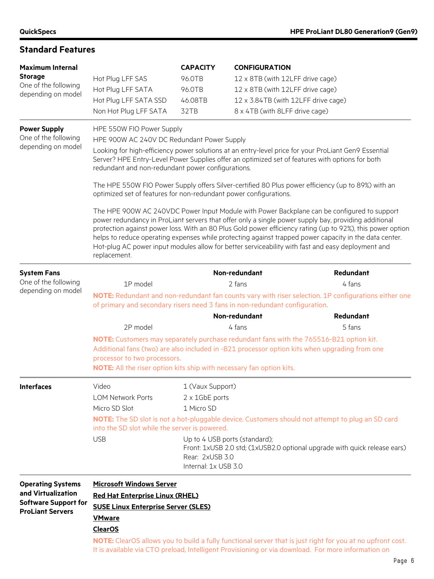### **Standard Features**

| <b>Maximum Internal</b><br><b>Storage</b><br>One of the following<br>depending on model                  | Hot Plug LFF SAS<br>Hot Plug LFF SATA<br>Hot Plug LFF SATA SSD<br>Non Hot Plug LFF SATA                                                                    | <b>CAPACITY</b><br>96.0TB<br>96.0TB<br>46.08TB<br>32TB                                      | <b>CONFIGURATION</b><br>12 x 8TB (with 12LFF drive cage)<br>12 x 8TB (with 12LFF drive cage)<br>12 x 3.84TB (with 12LFF drive cage)<br>8 x 4TB (with 8LFF drive cage) |                                                                                                                                                                                                                                                                                                                                                                                                                                                                                                                                                                                                                                        |
|----------------------------------------------------------------------------------------------------------|------------------------------------------------------------------------------------------------------------------------------------------------------------|---------------------------------------------------------------------------------------------|-----------------------------------------------------------------------------------------------------------------------------------------------------------------------|----------------------------------------------------------------------------------------------------------------------------------------------------------------------------------------------------------------------------------------------------------------------------------------------------------------------------------------------------------------------------------------------------------------------------------------------------------------------------------------------------------------------------------------------------------------------------------------------------------------------------------------|
| <b>Power Supply</b><br>One of the following<br>depending on model                                        | HPE 550W FIO Power Supply<br>HPE 900W AC 240V DC Redundant Power Supply<br>redundant and non-redundant power configurations.                               |                                                                                             |                                                                                                                                                                       | Looking for high-efficiency power solutions at an entry-level price for your ProLiant Gen9 Essential<br>Server? HPE Entry-Level Power Supplies offer an optimized set of features with options for both                                                                                                                                                                                                                                                                                                                                                                                                                                |
|                                                                                                          | optimized set of features for non-redundant power configurations.<br>replacement.                                                                          |                                                                                             |                                                                                                                                                                       | The HPE 550W FIO Power Supply offers Silver-certified 80 Plus power efficiency (up to 89%) with an<br>The HPE 900W AC 240VDC Power Input Module with Power Backplane can be configured to support<br>power redundancy in ProLiant servers that offer only a single power supply bay, providing additional<br>protection against power loss. With an 80 Plus Gold power efficiency rating (up to 92%), this power option<br>helps to reduce operating expenses while protecting against trapped power capacity in the data center.<br>Hot-plug AC power input modules allow for better serviceability with fast and easy deployment and |
| <b>System Fans</b><br>One of the following<br>depending on model                                         | 1P model<br>of primary and secondary risers need 3 fans in non-redundant configuration.                                                                    |                                                                                             | Non-redundant<br>2 fans                                                                                                                                               | Redundant<br>4 fans<br>NOTE: Redundant and non-redundant fan counts vary with riser selection. 1P configurations either one                                                                                                                                                                                                                                                                                                                                                                                                                                                                                                            |
|                                                                                                          |                                                                                                                                                            |                                                                                             | Non-redundant                                                                                                                                                         | Redundant                                                                                                                                                                                                                                                                                                                                                                                                                                                                                                                                                                                                                              |
|                                                                                                          | 2P model<br>processor to two processors.<br>NOTE: All the riser option kits ship with necessary fan option kits.                                           |                                                                                             | 4 fans                                                                                                                                                                | 5 fans<br>NOTE: Customers may separately purchase redundant fans with the 765516-B21 option kit.<br>Additional fans (two) are also included in -B21 processor option kits when upgrading from one                                                                                                                                                                                                                                                                                                                                                                                                                                      |
| <b>Interfaces</b>                                                                                        | Video<br><b>LOM Network Ports</b><br>Micro SD Slot<br>into the SD slot while the server is powered.<br><b>USB</b>                                          | 1 (Vaux Support)<br>2 x 1GbE ports<br>1 Micro SD<br>Rear: 2xUSB 3.0<br>Internal: 1x USB 3.0 | Up to 4 USB ports (standard);                                                                                                                                         | NOTE: The SD slot is not a hot-pluggable device. Customers should not attempt to plug an SD card<br>Front: 1xUSB 2.0 std; (1xUSB2.0 optional upgrade with quick release ears)                                                                                                                                                                                                                                                                                                                                                                                                                                                          |
| <b>Operating Systems</b><br>and Virtualization<br><b>Software Support for</b><br><b>ProLiant Servers</b> | <b>Microsoft Windows Server</b><br><b>Red Hat Enterprise Linux (RHEL)</b><br><b>SUSE Linux Enterprise Server (SLES)</b><br><b>VMware</b><br><b>ClearOS</b> |                                                                                             |                                                                                                                                                                       | NOTE: ClearOS allows you to build a fully functional server that is just right for you at no upfront cost.<br>It is available via CTO preload, Intelligent Provisioning or via download. For more information on                                                                                                                                                                                                                                                                                                                                                                                                                       |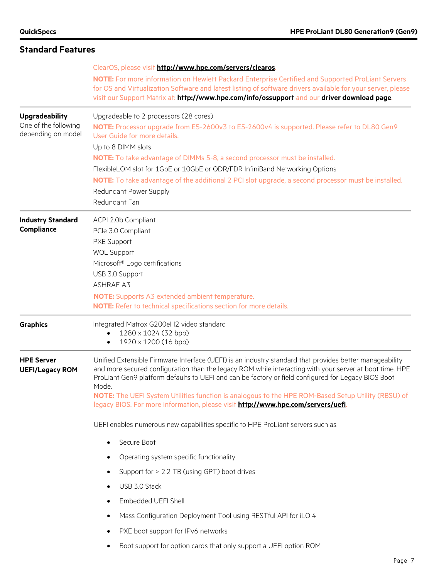| <b>Standard Features</b>                                            |                                                                                                                                                                                                                                                                                                                                                                                                                                                                                                                              |  |  |  |  |
|---------------------------------------------------------------------|------------------------------------------------------------------------------------------------------------------------------------------------------------------------------------------------------------------------------------------------------------------------------------------------------------------------------------------------------------------------------------------------------------------------------------------------------------------------------------------------------------------------------|--|--|--|--|
|                                                                     | ClearOS, please visit http://www.hpe.com/servers/clearos.<br>NOTE: For more information on Hewlett Packard Enterprise Certified and Supported ProLiant Servers<br>for OS and Virtualization Software and latest listing of software drivers available for your server, please<br>visit our Support Matrix at: http://www.hpe.com/info/ossupport and our driver download page.                                                                                                                                                |  |  |  |  |
| <b>Upgradeability</b><br>One of the following<br>depending on model | Upgradeable to 2 processors (28 cores)<br>NOTE: Processor upgrade from E5-2600v3 to E5-2600v4 is supported. Please refer to DL80 Gen9<br>User Guide for more details.<br>Up to 8 DIMM slots<br><b>NOTE:</b> To take advantage of DIMMs 5-8, a second processor must be installed.<br>FlexibleLOM slot for 1GbE or 10GbE or QDR/FDR InfiniBand Networking Options<br>NOTE: To take advantage of the additional 2 PCI slot upgrade, a second processor must be installed.<br>Redundant Power Supply<br>Redundant Fan           |  |  |  |  |
| <b>Industry Standard</b><br><b>Compliance</b>                       | ACPI 2.0b Compliant<br>PCle 3.0 Compliant<br>PXE Support<br><b>WOL Support</b><br>Microsoft <sup>®</sup> Logo certifications<br>USB 3.0 Support<br><b>ASHRAE A3</b><br><b>NOTE:</b> Supports A3 extended ambient temperature.<br>NOTE: Refer to technical specifications section for more details.                                                                                                                                                                                                                           |  |  |  |  |
| <b>Graphics</b>                                                     | Integrated Matrox G200eH2 video standard<br>1280 x 1024 (32 bpp)<br>1920 x 1200 (16 bpp)<br>$\bullet$                                                                                                                                                                                                                                                                                                                                                                                                                        |  |  |  |  |
| <b>HPE Server</b><br><b>UEFI/Legacy ROM</b>                         | Unified Extensible Firmware Interface (UEFI) is an industry standard that provides better manageability<br>and more secured configuration than the legacy ROM while interacting with your server at boot time. HPE<br>ProLiant Gen9 platform defaults to UEFI and can be factory or field configured for Legacy BIOS Boot<br>Mode.<br>NOTE: The UEFI System Utilities function is analogous to the HPE ROM-Based Setup Utility (RBSU) of<br>legacy BIOS. For more information, please visit http://www.hpe.com/servers/uefi. |  |  |  |  |
|                                                                     | UEFI enables numerous new capabilities specific to HPE ProLiant servers such as:                                                                                                                                                                                                                                                                                                                                                                                                                                             |  |  |  |  |
|                                                                     | Secure Boot                                                                                                                                                                                                                                                                                                                                                                                                                                                                                                                  |  |  |  |  |
|                                                                     | Operating system specific functionality                                                                                                                                                                                                                                                                                                                                                                                                                                                                                      |  |  |  |  |
|                                                                     | Support for > 2.2 TB (using GPT) boot drives                                                                                                                                                                                                                                                                                                                                                                                                                                                                                 |  |  |  |  |
|                                                                     | USB 3.0 Stack<br>$\bullet$                                                                                                                                                                                                                                                                                                                                                                                                                                                                                                   |  |  |  |  |
|                                                                     | Embedded UEFI Shell                                                                                                                                                                                                                                                                                                                                                                                                                                                                                                          |  |  |  |  |
|                                                                     | Mass Configuration Deployment Tool using RESTful API for iLO 4                                                                                                                                                                                                                                                                                                                                                                                                                                                               |  |  |  |  |
|                                                                     | PXE boot support for IPv6 networks<br>٠<br>Boot support for option cards that only support a UEFI option ROM                                                                                                                                                                                                                                                                                                                                                                                                                 |  |  |  |  |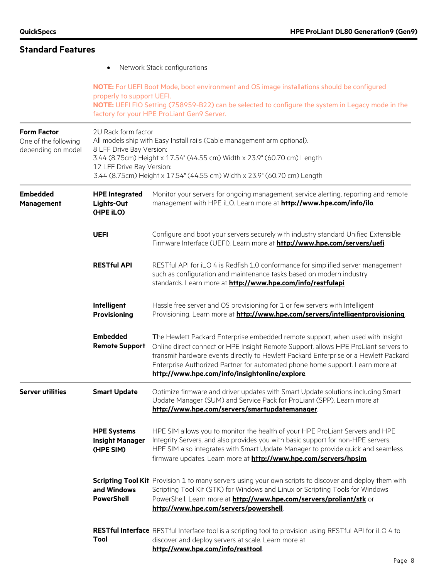| <b>Standard Features</b>                                         |                                                                              |                                                                                                                                                                                                                                                                                                                                                                                                  |  |  |  |
|------------------------------------------------------------------|------------------------------------------------------------------------------|--------------------------------------------------------------------------------------------------------------------------------------------------------------------------------------------------------------------------------------------------------------------------------------------------------------------------------------------------------------------------------------------------|--|--|--|
|                                                                  | $\bullet$                                                                    | Network Stack configurations                                                                                                                                                                                                                                                                                                                                                                     |  |  |  |
|                                                                  | properly to support UEFI.                                                    | NOTE: For UEFI Boot Mode, boot environment and OS image installations should be configured<br>NOTE: UEFI FIO Setting (758959-B22) can be selected to configure the system in Legacy mode in the<br>factory for your HPE ProLiant Gen9 Server.                                                                                                                                                    |  |  |  |
| <b>Form Factor</b><br>One of the following<br>depending on model | 2U Rack form factor<br>8 LFF Drive Bay Version:<br>12 LFF Drive Bay Version: | All models ship with Easy Install rails (Cable management arm optional).<br>3.44 (8.75cm) Height x 17.54" (44.55 cm) Width x 23.9" (60.70 cm) Length<br>3.44 (8.75cm) Height x 17.54" (44.55 cm) Width x 23.9" (60.70 cm) Length                                                                                                                                                                 |  |  |  |
| <b>Embedded</b><br><b>Management</b>                             | <b>HPE Integrated</b><br>Lights-Out<br>(HPE iLO)                             | Monitor your servers for ongoing management, service alerting, reporting and remote<br>management with HPE iLO. Learn more at http://www.hpe.com/info/ilo.                                                                                                                                                                                                                                       |  |  |  |
|                                                                  | <b>UEFI</b>                                                                  | Configure and boot your servers securely with industry standard Unified Extensible<br>Firmware Interface (UEFI). Learn more at http://www.hpe.com/servers/uefi.                                                                                                                                                                                                                                  |  |  |  |
|                                                                  | <b>RESTful API</b>                                                           | RESTful API for iLO 4 is Redfish 1.0 conformance for simplified server management<br>such as configuration and maintenance tasks based on modern industry<br>standards. Learn more at http://www.hpe.com/info/restfulapi.                                                                                                                                                                        |  |  |  |
|                                                                  | Intelligent<br>Provisioning                                                  | Hassle free server and OS provisioning for 1 or few servers with Intelligent<br>Provisioning. Learn more at http://www.hpe.com/servers/intelligentprovisioning.                                                                                                                                                                                                                                  |  |  |  |
|                                                                  | <b>Embedded</b><br><b>Remote Support</b>                                     | The Hewlett Packard Enterprise embedded remote support, when used with Insight<br>Online direct connect or HPE Insight Remote Support, allows HPE ProLiant servers to<br>transmit hardware events directly to Hewlett Packard Enterprise or a Hewlett Packard<br>Enterprise Authorized Partner for automated phone home support. Learn more at<br>http://www.hpe.com/info/insightonline/explore. |  |  |  |
| <b>Server utilities</b>                                          | <b>Smart Update</b>                                                          | Optimize firmware and driver updates with Smart Update solutions including Smart<br>Update Manager (SUM) and Service Pack for ProLiant (SPP). Learn more at<br>http://www.hpe.com/servers/smartupdatemanager                                                                                                                                                                                     |  |  |  |
|                                                                  | <b>HPE Systems</b><br><b>Insight Manager</b><br>(HPE SIM)                    | HPE SIM allows you to monitor the health of your HPE ProLiant Servers and HPE<br>Integrity Servers, and also provides you with basic support for non-HPE servers.<br>HPE SIM also integrates with Smart Update Manager to provide quick and seamless<br>firmware updates. Learn more at <b>http://www.hpe.com/servers/hpsim</b> .                                                                |  |  |  |
|                                                                  | and Windows<br><b>PowerShell</b>                                             | <b>Scripting Tool Kit</b> Provision 1 to many servers using your own scripts to discover and deploy them with<br>Scripting Tool Kit (STK) for Windows and Linux or Scripting Tools for Windows<br>PowerShell. Learn more at <b>http://www.hpe.com/servers/proliant/stk</b> or<br>http://www.hpe.com/servers/powershell                                                                           |  |  |  |
|                                                                  | Tool                                                                         | RESTful Interface RESTful Interface tool is a scripting tool to provision using RESTful API for iLO 4 to<br>discover and deploy servers at scale. Learn more at<br>http://www.hpe.com/info/resttool                                                                                                                                                                                              |  |  |  |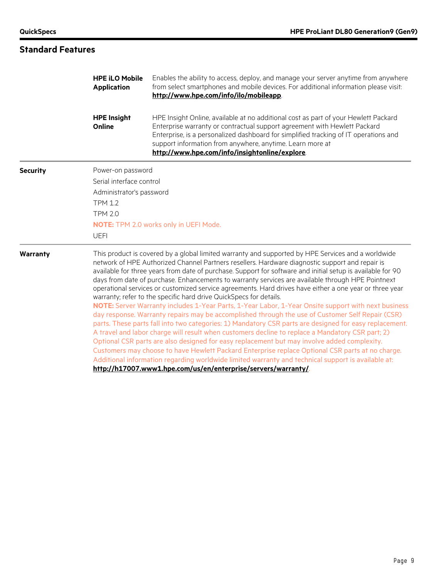## **Standard Features**

| <b>HPE iLO Mobile</b><br><b>Application</b> | Enables the ability to access, deploy, and manage your server anytime from anywhere<br>from select smartphones and mobile devices. For additional information please visit:<br>http://www.hpe.com/info/ilo/mobileapp.                                                                                                                                                                                                                                                                                                                                                                                                                                                                                                                                                                                                                                                                                                                                                                                                                                                                                                                                                                                                                                                                                                                                                                                         |  |  |  |
|---------------------------------------------|---------------------------------------------------------------------------------------------------------------------------------------------------------------------------------------------------------------------------------------------------------------------------------------------------------------------------------------------------------------------------------------------------------------------------------------------------------------------------------------------------------------------------------------------------------------------------------------------------------------------------------------------------------------------------------------------------------------------------------------------------------------------------------------------------------------------------------------------------------------------------------------------------------------------------------------------------------------------------------------------------------------------------------------------------------------------------------------------------------------------------------------------------------------------------------------------------------------------------------------------------------------------------------------------------------------------------------------------------------------------------------------------------------------|--|--|--|
| <b>HPE Insight</b><br>Online                | HPE Insight Online, available at no additional cost as part of your Hewlett Packard<br>Enterprise warranty or contractual support agreement with Hewlett Packard<br>Enterprise, is a personalized dashboard for simplified tracking of IT operations and<br>support information from anywhere, anytime. Learn more at<br>http://www.hpe.com/info/insightonline/explore.                                                                                                                                                                                                                                                                                                                                                                                                                                                                                                                                                                                                                                                                                                                                                                                                                                                                                                                                                                                                                                       |  |  |  |
|                                             |                                                                                                                                                                                                                                                                                                                                                                                                                                                                                                                                                                                                                                                                                                                                                                                                                                                                                                                                                                                                                                                                                                                                                                                                                                                                                                                                                                                                               |  |  |  |
|                                             | Serial interface control                                                                                                                                                                                                                                                                                                                                                                                                                                                                                                                                                                                                                                                                                                                                                                                                                                                                                                                                                                                                                                                                                                                                                                                                                                                                                                                                                                                      |  |  |  |
|                                             |                                                                                                                                                                                                                                                                                                                                                                                                                                                                                                                                                                                                                                                                                                                                                                                                                                                                                                                                                                                                                                                                                                                                                                                                                                                                                                                                                                                                               |  |  |  |
| <b>TPM 1.2</b>                              |                                                                                                                                                                                                                                                                                                                                                                                                                                                                                                                                                                                                                                                                                                                                                                                                                                                                                                                                                                                                                                                                                                                                                                                                                                                                                                                                                                                                               |  |  |  |
| <b>TPM 2.0</b>                              |                                                                                                                                                                                                                                                                                                                                                                                                                                                                                                                                                                                                                                                                                                                                                                                                                                                                                                                                                                                                                                                                                                                                                                                                                                                                                                                                                                                                               |  |  |  |
|                                             | NOTE: TPM 2.0 works only in UEFI Mode.                                                                                                                                                                                                                                                                                                                                                                                                                                                                                                                                                                                                                                                                                                                                                                                                                                                                                                                                                                                                                                                                                                                                                                                                                                                                                                                                                                        |  |  |  |
| <b>UEFI</b>                                 |                                                                                                                                                                                                                                                                                                                                                                                                                                                                                                                                                                                                                                                                                                                                                                                                                                                                                                                                                                                                                                                                                                                                                                                                                                                                                                                                                                                                               |  |  |  |
|                                             | This product is covered by a global limited warranty and supported by HPE Services and a worldwide<br>network of HPE Authorized Channel Partners resellers. Hardware diagnostic support and repair is<br>available for three years from date of purchase. Support for software and initial setup is available for 90<br>days from date of purchase. Enhancements to warranty services are available through HPE Pointnext<br>operational services or customized service agreements. Hard drives have either a one year or three year<br>warranty; refer to the specific hard drive QuickSpecs for details.<br>NOTE: Server Warranty includes 1-Year Parts, 1-Year Labor, 1-Year Onsite support with next business<br>day response. Warranty repairs may be accomplished through the use of Customer Self Repair (CSR)<br>parts. These parts fall into two categories: 1) Mandatory CSR parts are designed for easy replacement.<br>A travel and labor charge will result when customers decline to replace a Mandatory CSR part; 2)<br>Optional CSR parts are also designed for easy replacement but may involve added complexity.<br>Customers may choose to have Hewlett Packard Enterprise replace Optional CSR parts at no charge.<br>Additional information regarding worldwide limited warranty and technical support is available at:<br>http://h17007.www1.hpe.com/us/en/enterprise/servers/warranty/ |  |  |  |
|                                             | Power-on password<br>Administrator's password                                                                                                                                                                                                                                                                                                                                                                                                                                                                                                                                                                                                                                                                                                                                                                                                                                                                                                                                                                                                                                                                                                                                                                                                                                                                                                                                                                 |  |  |  |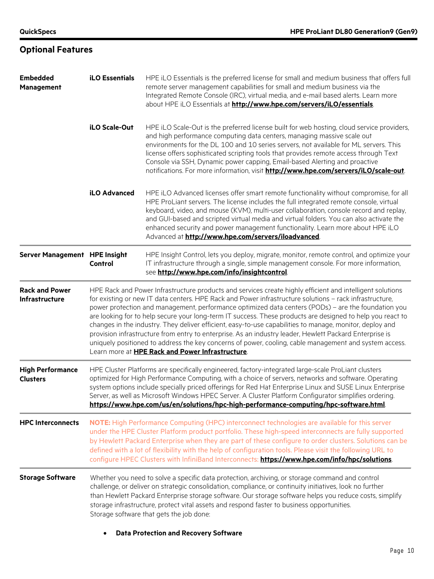| <b>Embedded</b><br><b>Management</b>       | <b>iLO Essentials</b>                                                                                                                                                                                                                                                                                                                                                                                                                                                                                                                                                                                                                                                                                                                                                                                                          | HPE iLO Essentials is the preferred license for small and medium business that offers full<br>remote server management capabilities for small and medium business via the<br>Integrated Remote Console (IRC), virtual media, and e-mail based alerts. Learn more<br>about HPE iLO Essentials at http://www.hpe.com/servers/iLO/essentials.                                                                                                                                                                                    |  |  |
|--------------------------------------------|--------------------------------------------------------------------------------------------------------------------------------------------------------------------------------------------------------------------------------------------------------------------------------------------------------------------------------------------------------------------------------------------------------------------------------------------------------------------------------------------------------------------------------------------------------------------------------------------------------------------------------------------------------------------------------------------------------------------------------------------------------------------------------------------------------------------------------|-------------------------------------------------------------------------------------------------------------------------------------------------------------------------------------------------------------------------------------------------------------------------------------------------------------------------------------------------------------------------------------------------------------------------------------------------------------------------------------------------------------------------------|--|--|
|                                            | iLO Scale-Out                                                                                                                                                                                                                                                                                                                                                                                                                                                                                                                                                                                                                                                                                                                                                                                                                  | HPE iLO Scale-Out is the preferred license built for web hosting, cloud service providers,<br>and high performance computing data centers, managing massive scale out<br>environments for the DL 100 and 10 series servers, not available for ML servers. This<br>license offers sophisticated scripting tools that provides remote access through Text<br>Console via SSH, Dynamic power capping, Email-based Alerting and proactive<br>notifications. For more information, visit http://www.hpe.com/servers/iLO/scale-out. |  |  |
|                                            | iLO Advanced                                                                                                                                                                                                                                                                                                                                                                                                                                                                                                                                                                                                                                                                                                                                                                                                                   | HPE iLO Advanced licenses offer smart remote functionality without compromise, for all<br>HPE ProLiant servers. The license includes the full integrated remote console, virtual<br>keyboard, video, and mouse (KVM), multi-user collaboration, console record and replay,<br>and GUI-based and scripted virtual media and virtual folders. You can also activate the<br>enhanced security and power management functionality. Learn more about HPE iLO<br>Advanced at http://www.hpe.com/servers/iloadvanced.                |  |  |
| Server Management HPE Insight              | Control                                                                                                                                                                                                                                                                                                                                                                                                                                                                                                                                                                                                                                                                                                                                                                                                                        | HPE Insight Control, lets you deploy, migrate, monitor, remote control, and optimize your<br>IT infrastructure through a single, simple management console. For more information,<br>see http://www.hpe.com/info/insightcontrol.                                                                                                                                                                                                                                                                                              |  |  |
| <b>Rack and Power</b><br>Infrastructure    | HPE Rack and Power Infrastructure products and services create highly efficient and intelligent solutions<br>for existing or new IT data centers. HPE Rack and Power infrastructure solutions - rack infrastructure,<br>power protection and management, performance optimized data centers (PODs) - are the foundation you<br>are looking for to help secure your long-term IT success. These products are designed to help you react to<br>changes in the industry. They deliver efficient, easy-to-use capabilities to manage, monitor, deploy and<br>provision infrastructure from entry to enterprise. As an industry leader, Hewlett Packard Enterprise is<br>uniquely positioned to address the key concerns of power, cooling, cable management and system access.<br>Learn more at HPE Rack and Power Infrastructure. |                                                                                                                                                                                                                                                                                                                                                                                                                                                                                                                               |  |  |
| <b>High Performance</b><br><b>Clusters</b> | HPE Cluster Platforms are specifically engineered, factory-integrated large-scale ProLiant clusters<br>optimized for High Performance Computing, with a choice of servers, networks and software. Operating<br>system options include specially priced offerings for Red Hat Enterprise Linux and SUSE Linux Enterprise<br>Server, as well as Microsoft Windows HPEC Server. A Cluster Platform Configurator simplifies ordering.<br>https://www.hpe.com/us/en/solutions/hpc-high-performance-computing/hpc-software.html                                                                                                                                                                                                                                                                                                      |                                                                                                                                                                                                                                                                                                                                                                                                                                                                                                                               |  |  |
| <b>HPC Interconnects</b>                   | NOTE: High Performance Computing (HPC) interconnect technologies are available for this server<br>under the HPE Cluster Platform product portfolio. These high-speed interconnects are fully supported<br>by Hewlett Packard Enterprise when they are part of these configure to order clusters. Solutions can be<br>defined with a lot of flexibility with the help of configuration tools. Please visit the following URL to<br>configure HPEC Clusters with InfiniBand Interconnects: https://www.hpe.com/info/hpc/solutions                                                                                                                                                                                                                                                                                                |                                                                                                                                                                                                                                                                                                                                                                                                                                                                                                                               |  |  |
| <b>Storage Software</b>                    |                                                                                                                                                                                                                                                                                                                                                                                                                                                                                                                                                                                                                                                                                                                                                                                                                                | Whether you need to solve a specific data protection, archiving, or storage command and control<br>challenge, or deliver on strategic consolidation, compliance, or continuity initiatives, look no further<br>than Hewlett Packard Enterprise storage software. Our storage software helps you reduce costs, simplify<br>storage infrastructure, protect vital assets and respond faster to business opportunities.<br>Storage software that gets the job done:                                                              |  |  |

## **Optional Features**

• **Data Protection and Recovery Software**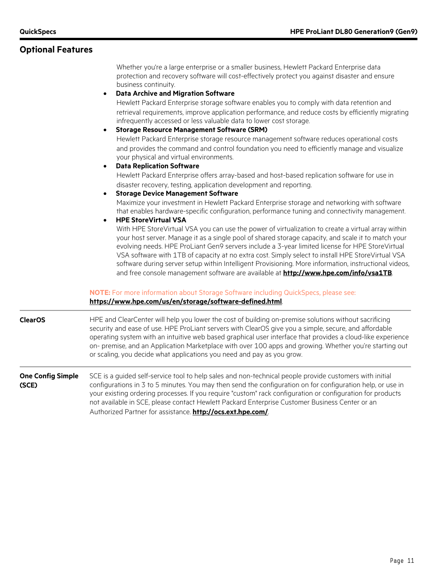### **Optional Features**

Whether you're a large enterprise or a smaller business, Hewlett Packard Enterprise data protection and recovery software will cost-effectively protect you against disaster and ensure business continuity.

#### • **Data Archive and Migration Software**

Hewlett Packard Enterprise storage software enables you to comply with data retention and retrieval requirements, improve application performance, and reduce costs by efficiently migrating infrequently accessed or less valuable data to lower cost storage.

• **Storage Resource Management Software (SRM)** Hewlett Packard Enterprise storage resource management software reduces operational costs and provides the command and control foundation you need to efficiently manage and visualize your physical and virtual environments.

#### • **Data Replication Software**

Hewlett Packard Enterprise offers array-based and host-based replication software for use in disaster recovery, testing, application development and reporting.

• **Storage Device Management Software**

Maximize your investment in Hewlett Packard Enterprise storage and networking with software that enables hardware-specific configuration, performance tuning and connectivity management.

#### • **HPE StoreVirtual VSA**

With HPE StoreVirtual VSA you can use the power of virtualization to create a virtual array within your host server. Manage it as a single pool of shared storage capacity, and scale it to match your evolving needs. HPE ProLiant Gen9 servers include a 3-year limited license for HPE StoreVirtual VSA software with 1TB of capacity at no extra cost. Simply select to install HPE StoreVirtual VSA software during server setup within Intelligent Provisioning. More information, instructional videos, and free console management software are available at **<http://www.hpe.com/info/vsa1TB>**.

### **NOTE:** For more information about Storage Software including QuickSpecs, please see: **<https://www.hpe.com/us/en/storage/software-defined.html>**.

**ClearOS** HPE and ClearCenter will help you lower the cost of building on-premise solutions without sacrificing security and ease of use. HPE ProLiant servers with ClearOS give you a simple, secure, and affordable operating system with an intuitive web based graphical user interface that provides a cloud-like experience on- premise, and an Application Marketplace with over 100 apps and growing. Whether you're starting out or scaling, you decide what applications you need and pay as you grow.

#### **One Config Simple (SCE)** SCE is a guided self-service tool to help sales and non-technical people provide customers with initial configurations in 3 to 5 minutes. You may then send the configuration on for configuration help, or use in your existing ordering processes. If you require "custom" rack configuration or configuration for products not available in SCE, please contact Hewlett Packard Enterprise Customer Business Center or an Authorized Partner for assistance. **<http://ocs.ext.hpe.com/>**.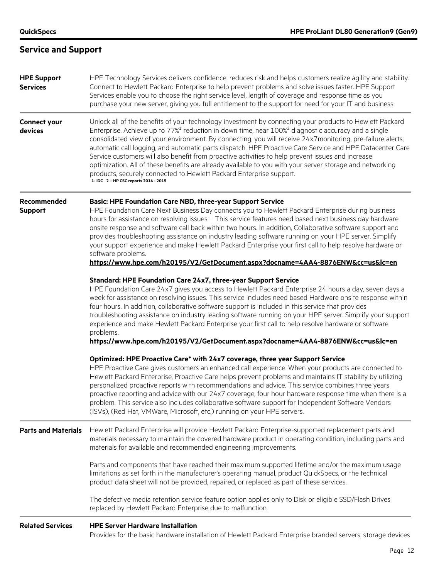## **Service and Support**

| <b>HPE Support</b><br><b>Services</b> | HPE Technology Services delivers confidence, reduces risk and helps customers realize agility and stability.<br>Connect to Hewlett Packard Enterprise to help prevent problems and solve issues faster. HPE Support<br>Services enable you to choose the right service level, length of coverage and response time as you<br>purchase your new server, giving you full entitlement to the support for need for your IT and business.                                                                                                                                                                                                                                                                                                                                                                   |
|---------------------------------------|--------------------------------------------------------------------------------------------------------------------------------------------------------------------------------------------------------------------------------------------------------------------------------------------------------------------------------------------------------------------------------------------------------------------------------------------------------------------------------------------------------------------------------------------------------------------------------------------------------------------------------------------------------------------------------------------------------------------------------------------------------------------------------------------------------|
| <b>Connect your</b><br>devices        | Unlock all of the benefits of your technology investment by connecting your products to Hewlett Packard<br>Enterprise. Achieve up to $77\%$ <sup>1</sup> reduction in down time, near $100\%$ <sup>2</sup> diagnostic accuracy and a single<br>consolidated view of your environment. By connecting, you will receive 24x7monitoring, pre-failure alerts,<br>automatic call logging, and automatic parts dispatch. HPE Proactive Care Service and HPE Datacenter Care<br>Service customers will also benefit from proactive activities to help prevent issues and increase<br>optimization. All of these benefits are already available to you with your server storage and networking<br>products, securely connected to Hewlett Packard Enterprise support.<br>1- IDC 2 - HP CSC reports 2014 - 2015 |
| Recommended<br><b>Support</b>         | <b>Basic: HPE Foundation Care NBD, three-year Support Service</b><br>HPE Foundation Care Next Business Day connects you to Hewlett Packard Enterprise during business<br>hours for assistance on resolving issues - This service features need based next business day hardware<br>onsite response and software call back within two hours. In addition, Collaborative software support and<br>provides troubleshooting assistance on industry leading software running on your HPE server. Simplify<br>your support experience and make Hewlett Packard Enterprise your first call to help resolve hardware or<br>software problems.<br>https://www.hpe.com/h20195/V2/GetDocument.aspx?docname=4AA4-8876ENW&cc=us&lc=en                                                                               |
|                                       | Standard: HPE Foundation Care 24x7, three-year Support Service<br>HPE Foundation Care 24x7 gives you access to Hewlett Packard Enterprise 24 hours a day, seven days a<br>week for assistance on resolving issues. This service includes need based Hardware onsite response within<br>four hours. In addition, collaborative software support is included in this service that provides<br>troubleshooting assistance on industry leading software running on your HPE server. Simplify your support<br>experience and make Hewlett Packard Enterprise your first call to help resolve hardware or software<br>problems.<br>https://www.hpe.com/h20195/V2/GetDocument.aspx?docname=4AA4-8876ENW&cc=us&lc=en                                                                                           |
|                                       | Optimized: HPE Proactive Care* with 24x7 coverage, three year Support Service<br>HPE Proactive Care gives customers an enhanced call experience. When your products are connected to<br>Hewlett Packard Enterprise, Proactive Care helps prevent problems and maintains IT stability by utilizing<br>personalized proactive reports with recommendations and advice. This service combines three years<br>proactive reporting and advice with our 24x7 coverage, four hour hardware response time when there is a<br>problem. This service also includes collaborative software support for Independent Software Vendors<br>(ISVs), (Red Hat, VMWare, Microsoft, etc.) running on your HPE servers.                                                                                                    |
| <b>Parts and Materials</b>            | Hewlett Packard Enterprise will provide Hewlett Packard Enterprise-supported replacement parts and<br>materials necessary to maintain the covered hardware product in operating condition, including parts and<br>materials for available and recommended engineering improvements.                                                                                                                                                                                                                                                                                                                                                                                                                                                                                                                    |
|                                       | Parts and components that have reached their maximum supported lifetime and/or the maximum usage<br>limitations as set forth in the manufacturer's operating manual, product QuickSpecs, or the technical<br>product data sheet will not be provided, repaired, or replaced as part of these services.                                                                                                                                                                                                                                                                                                                                                                                                                                                                                                 |
|                                       | The defective media retention service feature option applies only to Disk or eligible SSD/Flash Drives<br>replaced by Hewlett Packard Enterprise due to malfunction.                                                                                                                                                                                                                                                                                                                                                                                                                                                                                                                                                                                                                                   |
| <b>Related Services</b>               | <b>HPE Server Hardware Installation</b><br>Provides for the basic hardware installation of Hewlett Packard Enterprise branded servers, storage devices                                                                                                                                                                                                                                                                                                                                                                                                                                                                                                                                                                                                                                                 |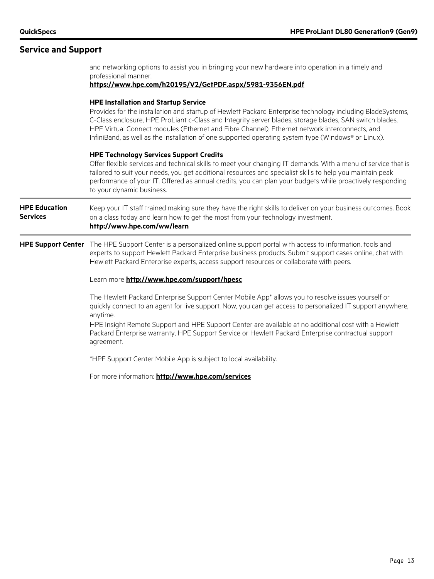### **Service and Support**

professional manner. **<https://www.hpe.com/h20195/V2/GetPDF.aspx/5981-9356EN.pdf> HPE Installation and Startup Service** Provides for the installation and startup of Hewlett Packard Enterprise technology including BladeSystems, C-Class enclosure, HPE ProLiant c-Class and Integrity server blades, storage blades, SAN switch blades, HPE Virtual Connect modules (Ethernet and Fibre Channel), Ethernet network interconnects, and InfiniBand, as well as the installation of one supported operating system type (Windows® or Linux). **HPE Technology Services Support Credits** Offer flexible services and technical skills to meet your changing IT demands. With a menu of service that is tailored to suit your needs, you get additional resources and specialist skills to help you maintain peak performance of your IT. Offered as annual credits, you can plan your budgets while proactively responding to your dynamic business. **HPE Education Services** Keep your IT staff trained making sure they have the right skills to deliver on your business outcomes. Book on a class today and learn how to get the most from your technology investment. **<http://www.hpe.com/ww/learn> HPE Support Center** The HPE Support Center is a personalized online support portal with access to information, tools and experts to support Hewlett Packard Enterprise business products. Submit support cases online, chat with Hewlett Packard Enterprise experts, access support resources or collaborate with peers. Learn more **<http://www.hpe.com/support/hpesc>** The Hewlett Packard Enterprise Support Center Mobile App\* allows you to resolve issues yourself or quickly connect to an agent for live support. Now, you can get access to personalized IT support anywhere, anytime. HPE Insight Remote Support and HPE Support Center are available at no additional cost with a Hewlett Packard Enterprise warranty, HPE Support Service or Hewlett Packard Enterprise contractual support agreement. \*HPE Support Center Mobile App is subject to local availability. For more information: **<http://www.hpe.com/services>**

and networking options to assist you in bringing your new hardware into operation in a timely and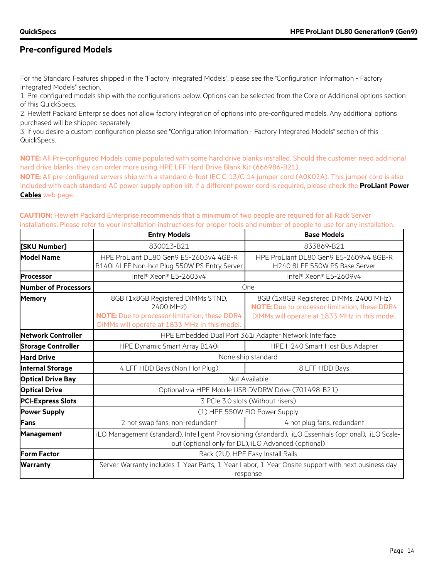### **Pre-configured Models**

For the Standard Features shipped in the "Factory Integrated Models", please see the "Configuration Information - Factory Integrated Models" section.

1. Pre-configured models ship with the configurations below. Options can be selected from the Core or Additional options section of this QuickSpecs.

2. Hewlett Packard Enterprise does not allow factory integration of options into pre-configured models. Any additional options purchased will be shipped separately.

3. If you desire a custom configuration please see "Configuration Information - Factory Integrated Models" section of this QuickSpecs.

**NOTE:** All Pre-configured Models come populated with some hard drive blanks installed. Should the customer need additional hard drive blanks, they can order more using HPE LFF Hard Drive Blank Kit (666986-B21).

**NOTE:** All pre-configured servers ship with a standard 6-foot IEC C-13/C-14 jumper cord (A0K02A). This jumper cord is also included with each standard AC power supply option kit. If a different power cord is required, please check the **[ProLiant Power](http://h18004.www1.hp.com/products/servers/proliantstorage/power-protection/options/power-cable.html)  [Cables](http://h18004.www1.hp.com/products/servers/proliantstorage/power-protection/options/power-cable.html)** web page.

| CAUTION: Hewlett Packard Enterprise recommends that a minimum of two people are required for all Rack Server                     |  |
|----------------------------------------------------------------------------------------------------------------------------------|--|
| installations. Please refer to your installation instructions for proper tools and number of people to use for any installation. |  |

|                           | <b>Entry Models</b>                                                                                                                                          | <b>Base Models</b>                                                                                                                       |  |
|---------------------------|--------------------------------------------------------------------------------------------------------------------------------------------------------------|------------------------------------------------------------------------------------------------------------------------------------------|--|
| [SKU Number]              | 830013-B21                                                                                                                                                   | 833869-B21                                                                                                                               |  |
| <b>Model Name</b>         | HPE ProLiant DL80 Gen9 E5-2603v4 4GB-R<br>B140i 4LFF Non-hot Plug 550W PS Entry Server                                                                       | HPE ProLiant DL80 Gen9 E5-2609v4 8GB-R<br>H240 8LFF 550W PS Base Server                                                                  |  |
| <b>Processor</b>          | Intel <sup>®</sup> Xeon® E5-2603v4                                                                                                                           | Intel <sup>®</sup> Xeon® E5-2609v4                                                                                                       |  |
| Number of Processors      |                                                                                                                                                              | One                                                                                                                                      |  |
| <b>Memory</b>             | 8GB (1x8GB Registered DIMMs STND,<br>2400 MHz)<br>NOTE: Due to processor limitation, these DDR4<br>DIMMs will operate at 1833 MHz in this model.             | 8GB (1x8GB Registered DIMMs, 2400 MHz)<br>NOTE: Due to processor limitation, these DDR4<br>DIMMs will operate at 1833 MHz in this model. |  |
| <b>Network Controller</b> | HPE Embedded Dual Port 361i Adapter Network Interface                                                                                                        |                                                                                                                                          |  |
| <b>Storage Controller</b> | HPE Dynamic Smart Array B140i                                                                                                                                | HPE H240 Smart Host Bus Adapter                                                                                                          |  |
| <b>Hard Drive</b>         |                                                                                                                                                              | None ship standard                                                                                                                       |  |
| <b>Internal Storage</b>   | 4 LFF HDD Bays (Non Hot Plug)                                                                                                                                | 8 LFF HDD Bays                                                                                                                           |  |
| <b>Optical Drive Bay</b>  |                                                                                                                                                              | Not Available                                                                                                                            |  |
| <b>Optical Drive</b>      |                                                                                                                                                              | Optional via HPE Mobile USB DVDRW Drive (701498-B21)                                                                                     |  |
| <b>PCI-Express Slots</b>  |                                                                                                                                                              | 3 PCIe 3.0 slots (Without risers)                                                                                                        |  |
| <b>Power Supply</b>       |                                                                                                                                                              | (1) HPE 550W FIO Power Supply                                                                                                            |  |
| Fans                      | 2 hot swap fans, non-redundant                                                                                                                               | 4 hot plug fans, redundant                                                                                                               |  |
| Management                | iLO Management (standard), Intelligent Provisioning (standard), iLO Essentials (optional), iLO Scale-<br>out (optional only for DL), iLO Advanced (optional) |                                                                                                                                          |  |
| <b>Form Factor</b>        | Rack (2U), HPE Easy Install Rails                                                                                                                            |                                                                                                                                          |  |
| Warranty                  | Server Warranty includes 1-Year Parts, 1-Year Labor, 1-Year Onsite support with next business day<br>response                                                |                                                                                                                                          |  |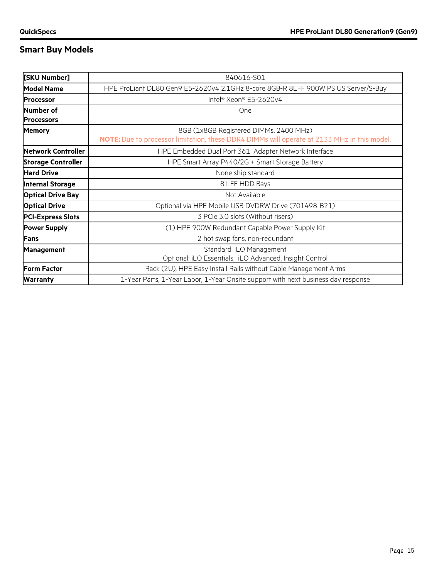## **Smart Buy Models**

| [SKU Number]                   | 840616-S01                                                                                                                            |  |
|--------------------------------|---------------------------------------------------------------------------------------------------------------------------------------|--|
| <b>Model Name</b>              | HPE ProLiant DL80 Gen9 E5-2620v4 2.1GHz 8-core 8GB-R 8LFF 900W PS US Server/S-Buy                                                     |  |
| <b>Processor</b>               | Intel® Xeon® E5-2620v4                                                                                                                |  |
| Number of<br><b>Processors</b> | One                                                                                                                                   |  |
| <b>Memory</b>                  | 8GB (1x8GB Registered DIMMs, 2400 MHz)<br>NOTE: Due to processor limitation, these DDR4 DIMMs will operate at 2133 MHz in this model. |  |
| Network Controller             | HPE Embedded Dual Port 361i Adapter Network Interface                                                                                 |  |
| <b>Storage Controller</b>      | HPE Smart Array P440/2G + Smart Storage Battery                                                                                       |  |
| <b>Hard Drive</b>              | None ship standard                                                                                                                    |  |
| <b>Internal Storage</b>        | 8 LFF HDD Bays                                                                                                                        |  |
| <b>Optical Drive Bay</b>       | Not Available                                                                                                                         |  |
| <b>Optical Drive</b>           | Optional via HPE Mobile USB DVDRW Drive (701498-B21)                                                                                  |  |
| <b>PCI-Express Slots</b>       | 3 PCIe 3.0 slots (Without risers)                                                                                                     |  |
| <b>Power Supply</b>            | (1) HPE 900W Redundant Capable Power Supply Kit                                                                                       |  |
| Fans                           | 2 hot swap fans, non-redundant                                                                                                        |  |
| Management                     | Standard: iLO Management<br>Optional: iLO Essentials, iLO Advanced, Insight Control                                                   |  |
| <b>Form Factor</b>             | Rack (2U), HPE Easy Install Rails without Cable Management Arms                                                                       |  |
| <b>Warranty</b>                | 1-Year Parts, 1-Year Labor, 1-Year Onsite support with next business day response                                                     |  |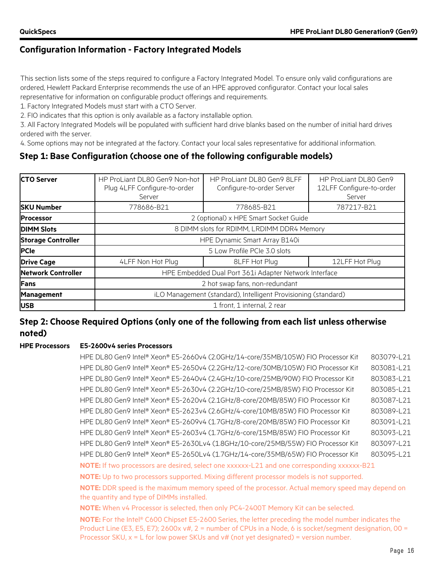### **Configuration Information - Factory Integrated Models**

This section lists some of the steps required to configure a Factory Integrated Model. To ensure only valid configurations are ordered, Hewlett Packard Enterprise recommends the use of an HPE approved configurator. Contact your local sales representative for information on configurable product offerings and requirements.

1. Factory Integrated Models must start with a CTO Server.

2. FIO indicates that this option is only available as a factory installable option.

3. All Factory Integrated Models will be populated with sufficient hard drive blanks based on the number of initial hard drives ordered with the server.

4. Some options may not be integrated at the factory. Contact your local sales representative for additional information.

### **Step 1: Base Configuration (choose one of the following configurable models)**

| <b>CTO Server</b>         | HP ProLiant DL80 Gen9 Non-hot<br>Plug 4LFF Configure-to-order<br>Server | HP ProLiant DL80 Gen9 8LFF<br>Configure-to-order Server | HP ProLiant DL80 Gen9<br>12LFF Configure-to-order<br>Server |  |  |
|---------------------------|-------------------------------------------------------------------------|---------------------------------------------------------|-------------------------------------------------------------|--|--|
| <b>ISKU Number</b>        | 778686-B21                                                              | 778685-B21                                              | 787217-B21                                                  |  |  |
| <b>Processor</b>          |                                                                         | 2 (optional) x HPE Smart Socket Guide                   |                                                             |  |  |
| <b>DIMM Slots</b>         | 8 DIMM slots for RDIMM, LRDIMM DDR4 Memory                              |                                                         |                                                             |  |  |
| <b>Storage Controller</b> | HPE Dynamic Smart Array B140i                                           |                                                         |                                                             |  |  |
| <b>PCIe</b>               |                                                                         | 5 Low Profile PCIe 3.0 slots                            |                                                             |  |  |
| <b>Drive Cage</b>         | 4LFF Non Hot Plug<br>8LFF Hot Plug                                      |                                                         | 12LFF Hot Plug                                              |  |  |
| <b>Network Controller</b> | HPE Embedded Dual Port 361i Adapter Network Interface                   |                                                         |                                                             |  |  |
| Fans                      | 2 hot swap fans, non-redundant                                          |                                                         |                                                             |  |  |
| <b>Management</b>         | iLO Management (standard), Intelligent Provisioning (standard)          |                                                         |                                                             |  |  |
| <b>IUSB</b>               | 1 front, 1 internal, 2 rear                                             |                                                         |                                                             |  |  |

### **Step 2: Choose Required Options (only one of the following from each list unless otherwise noted)**

#### **HPE Processors E5-2600v4 series Processors**

HPE DL80 Gen9 Intel® Xeon® E5-2660v4 (2.0GHz/14-core/35MB/105W) FIO Processor Kit 803079-L21 HPE DL80 Gen9 Intel® Xeon® E5-2650v4 (2.2GHz/12-core/30MB/105W) FIO Processor Kit 803081-L21 HPE DL80 Gen9 Intel® Xeon® E5-2640v4 (2.4GHz/10-core/25MB/90W) FIO Processor Kit 803083-L21 HPE DL80 Gen9 Intel® Xeon® E5-2630v4 (2.2GHz/10-core/25MB/85W) FIO Processor Kit 803085-L21 HPE DL80 Gen9 Intel® Xeon® E5-2620v4 (2.1GHz/8-core/20MB/85W) FIO Processor Kit 803087-L21 HPE DL80 Gen9 Intel® Xeon® E5-2623v4 (2.6GHz/4-core/10MB/85W) FIO Processor Kit 803089-L21 HPE DL80 Gen9 Intel® Xeon® E5-2609v4 (1.7GHz/8-core/20MB/85W) FIO Processor Kit 803091-L21 HPE DL80 Gen9 Intel® Xeon® E5-2603v4 (1.7GHz/6-core/15MB/85W) FIO Processor Kit 803093-L21 HPE DL80 Gen9 Intel® Xeon® E5-2630Lv4 (1.8GHz/10-core/25MB/55W) FIO Processor Kit 803097-L21 HPE DL80 Gen9 Intel® Xeon® E5-2650Lv4 (1.7GHz/14-core/35MB/65W) FIO Processor Kit 803095-L21 **NOTE:** If two processors are desired, select one xxxxxx-L21 and one corresponding xxxxxx-B21 **NOTE:** Up to two processors supported. Mixing different processor models is not supported. **NOTE:** DDR speed is the maximum memory speed of the processor. Actual memory speed may depend on the quantity and type of DIMMs installed. **NOTE:** When v4 Processor is selected, then only PC4-2400T Memory Kit can be selected. **NOTE:** For the Intel® C600 Chipset E5-2600 Series, the letter preceding the model number indicates the Product Line (E3, E5, E7); 2600x v#, 2 = number of CPUs in a Node, 6 is socket/segment designation,  $00 =$ 

Processor SKU,  $x = L$  for low power SKUs and  $v#$  (not yet designated) = version number.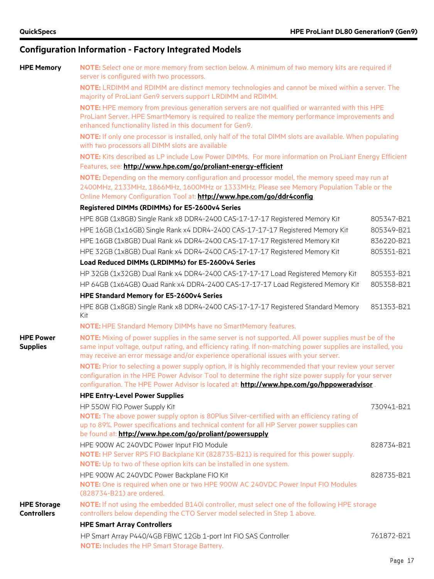**HPE Power Supplies**

**HPE Storage Controllers**

### **Configuration Information - Factory Integrated Models**

|  | <b>HPE Memory</b> | NO1 |  |
|--|-------------------|-----|--|
|  |                   |     |  |

**FE:** Select one or more memory from section below. A minimum of two memory kits are required if server is configured with two processors.

**NOTE:** LRDIMM and RDIMM are distinct memory technologies and cannot be mixed within a server. The majority of ProLiant Gen9 servers support LRDIMM and RDIMM.

**NOTE:** HPE memory from previous generation servers are not qualified or warranted with this HPE ProLiant Server. HPE SmartMemory is required to realize the memory performance improvements and enhanced functionality listed in this document for Gen9.

**NOTE:** If only one processor is installed, only half of the total DIMM slots are available. When populating with two processors all DIMM slots are available

**NOTE:** Kits described as LP include Low Power DIMMs. For more information on ProLiant Energy Efficient Features, see: **<http://www.hpe.com/go/proliant-energy-efficient>**

**NOTE:** Depending on the memory configuration and processor model, the memory speed may run at 2400MHz, 2133MHz, 1866MHz, 1600MHz or 1333MHz. Please see Memory Population Table or the Online Memory Configuration Tool at: **<http://www.hpe.com/go/ddr4config>**

#### **Registered DIMMs (RDIMMs) for E5-2600v4 Series**

| HPE 8GB (1x8GB) Single Rank x8 DDR4-2400 CAS-17-17-17 Registered Memory Kit                                                                                                                                                                                                                                 | 805347-B21 |
|-------------------------------------------------------------------------------------------------------------------------------------------------------------------------------------------------------------------------------------------------------------------------------------------------------------|------------|
| HPE 16GB (1x16GB) Single Rank x4 DDR4-2400 CAS-17-17-17 Registered Memory Kit                                                                                                                                                                                                                               | 805349-B21 |
| HPE 16GB (1x8GB) Dual Rank x4 DDR4-2400 CAS-17-17-17 Registered Memory Kit                                                                                                                                                                                                                                  | 836220-B21 |
| HPE 32GB (1x8GB) Dual Rank x4 DDR4-2400 CAS-17-17-17 Registered Memory Kit                                                                                                                                                                                                                                  | 805351-B21 |
| Load Reduced DIMMs (LRDIMMs) for E5-2600v4 Series                                                                                                                                                                                                                                                           |            |
| HP 32GB (1x32GB) Dual Rank x4 DDR4-2400 CAS-17-17-17 Load Registered Memory Kit                                                                                                                                                                                                                             | 805353-B21 |
| HP 64GB (1x64GB) Quad Rank x4 DDR4-2400 CAS-17-17-17 Load Registered Memory Kit                                                                                                                                                                                                                             | 805358-B21 |
| HPE Standard Memory for E5-2600v4 Series                                                                                                                                                                                                                                                                    |            |
| HPE 8GB (1x8GB) Single Rank x8 DDR4-2400 CAS-17-17-17 Registered Standard Memory<br>Kit                                                                                                                                                                                                                     | 851353-B21 |
| NOTE: HPE Standard Memory DIMMs have no SmartMemory features.                                                                                                                                                                                                                                               |            |
| NOTE: Mixing of power supplies in the same server is not supported. All power supplies must be of the<br>same input voltage, output rating, and efficiency rating. If non-matching power supplies are installed, you<br>may receive an error message and/or experience operational issues with your server. |            |
| NOTE: Prior to selecting a power supply option, it is highly recommended that your review your server<br>configuration in the HPE Power Advisor Tool to determine the right size power supply for your server<br>configuration. The HPE Power Advisor is located at: http://www.hpe.com/go/hppoweradvisor.  |            |
| <b>HPE Entry-Level Power Supplies</b>                                                                                                                                                                                                                                                                       |            |
| HP 550W FIO Power Supply Kit                                                                                                                                                                                                                                                                                | 730941-B21 |
| NOTE: The above power supply opton is 80Plus Silver-certified with an efficiency rating of                                                                                                                                                                                                                  |            |
| up to 89%. Power specifications and technical content for all HP Server power supplies can<br>be found at: http://www.hpe.com/go/proliant/powersupply                                                                                                                                                       |            |
|                                                                                                                                                                                                                                                                                                             | 828734-B21 |
| HPE 900W AC 240VDC Power Input FIO Module<br>NOTE: HP Server RPS FIO Backplane Kit (828735-B21) is required for this power supply.                                                                                                                                                                          |            |
| NOTE: Up to two of these option kits can be installed in one system.                                                                                                                                                                                                                                        |            |
| HPE 900W AC 240VDC Power Backplane FIO Kit                                                                                                                                                                                                                                                                  | 828735-B21 |
| NOTE: One is required when one or two HPE 900W AC 240VDC Power Input FIO Modules                                                                                                                                                                                                                            |            |
| (828734-B21) are ordered.                                                                                                                                                                                                                                                                                   |            |
| NOTE: If not using the embedded B140i controller, must select one of the following HPE storage<br>controllers below depending the CTO Server model selected in Step 1 above.                                                                                                                                |            |
| <b>HPE Smart Array Controllers</b>                                                                                                                                                                                                                                                                          |            |
| HP Smart Array P440/4GB FBWC 12Gb 1-port Int FIO SAS Controller<br><b>NOTE:</b> Includes the HP Smart Storage Battery.                                                                                                                                                                                      | 761872-B21 |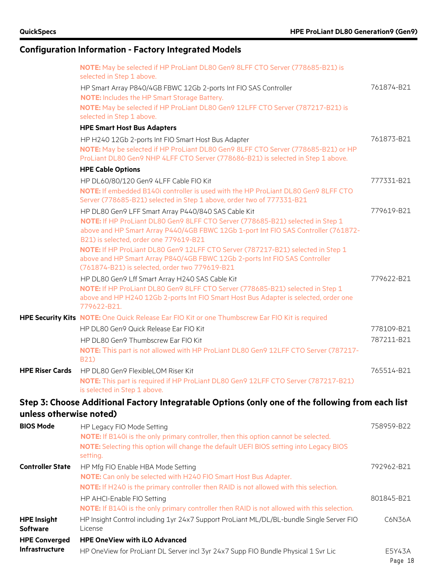## **Configuration Information - Factory Integrated Models**

|                                       | NOTE: May be selected if HP ProLiant DL80 Gen9 8LFF CTO Server (778685-B21) is<br>selected in Step 1 above.                                                                                                                                                           |                   |
|---------------------------------------|-----------------------------------------------------------------------------------------------------------------------------------------------------------------------------------------------------------------------------------------------------------------------|-------------------|
|                                       | HP Smart Array P840/4GB FBWC 12Gb 2-ports Int FIO SAS Controller<br><b>NOTE:</b> Includes the HP Smart Storage Battery.                                                                                                                                               | 761874-B21        |
|                                       | NOTE: May be selected if HP ProLiant DL80 Gen9 12LFF CTO Server (787217-B21) is<br>selected in Step 1 above.                                                                                                                                                          |                   |
|                                       | <b>HPE Smart Host Bus Adapters</b>                                                                                                                                                                                                                                    |                   |
|                                       | HP H240 12Gb 2-ports Int FIO Smart Host Bus Adapter<br>NOTE: May be selected if HP ProLiant DL80 Gen9 8LFF CTO Server (778685-B21) or HP<br>ProLiant DL80 Gen9 NHP 4LFF CTO Server (778686-B21) is selected in Step 1 above.                                          | 761873-B21        |
|                                       | <b>HPE Cable Options</b>                                                                                                                                                                                                                                              |                   |
|                                       | HP DL60/80/120 Gen9 4LFF Cable FIO Kit<br>NOTE: If embedded B140i controller is used with the HP ProLiant DL80 Gen9 8LFF CTO<br>Server (778685-B21) selected in Step 1 above, order two of 777331-B21                                                                 | 777331-B21        |
|                                       | HP DL80 Gen9 LFF Smart Array P440/840 SAS Cable Kit<br>NOTE: If HP ProLiant DL80 Gen9 8LFF CTO Server (778685-B21) selected in Step 1<br>above and HP Smart Array P440/4GB FBWC 12Gb 1-port Int FIO SAS Controller (761872-<br>B21) is selected, order one 779619-B21 | 779619-B21        |
|                                       | NOTE: If HP ProLiant DL80 Gen9 12LFF CTO Server (787217-B21) selected in Step 1<br>above and HP Smart Array P840/4GB FBWC 12Gb 2-ports Int FIO SAS Controller<br>(761874-B21) is selected, order two 779619-B21                                                       |                   |
|                                       | HP DL80 Gen9 Lff Smart Array H240 SAS Cable Kit<br>NOTE: If HP ProLiant DL80 Gen9 8LFF CTO Server (778685-B21) selected in Step 1<br>above and HP H240 12Gb 2-ports Int FIO Smart Host Bus Adapter is selected, order one<br>779622-B21.                              | 779622-B21        |
|                                       | HPE Security Kits NOTE: One Quick Release Ear FIO Kit or one Thumbscrew Ear FIO Kit is required                                                                                                                                                                       |                   |
|                                       | HP DL80 Gen9 Quick Release Ear FIO Kit                                                                                                                                                                                                                                | 778109-B21        |
|                                       | HP DL80 Gen9 Thumbscrew Ear FIO Kit                                                                                                                                                                                                                                   | 787211-B21        |
|                                       | NOTE: This part is not allowed with HP ProLiant DL80 Gen9 12LFF CTO Server (787217-<br>B21)                                                                                                                                                                           |                   |
| <b>HPE Riser Cards</b>                | HP DL80 Gen9 FlexibleLOM Riser Kit<br>NOTE: This part is required if HP ProLiant DL80 Gen9 12LFF CTO Server (787217-B21)<br>is selected in Step 1 above.                                                                                                              | 765514-B21        |
|                                       | Step 3: Choose Additional Factory Integratable Options (only one of the following from each list                                                                                                                                                                      |                   |
| unless otherwise noted)               |                                                                                                                                                                                                                                                                       |                   |
| <b>BIOS Mode</b>                      | HP Legacy FIO Mode Setting<br>NOTE: If B140i is the only primary controller, then this option cannot be selected.<br>NOTE: Selecting this option will change the default UEFI BIOS setting into Legacy BIOS<br>setting.                                               | 758959-B22        |
| <b>Controller State</b>               | HP Mfg FIO Enable HBA Mode Setting<br>NOTE: Can only be selected with H240 FIO Smart Host Bus Adapter.<br>NOTE: If H240 is the primary controller then RAID is not allowed with this selection.                                                                       | 792962-B21        |
|                                       | HP AHCI-Enable FIO Setting<br>NOTE: If B140i is the only primary controller then RAID is not allowed with this selection.                                                                                                                                             | 801845-B21        |
| <b>HPE Insight</b><br><b>Software</b> | HP Insight Control including 1yr 24x7 Support ProLiant ML/DL/BL-bundle Single Server FIO<br>License                                                                                                                                                                   | C6N36A            |
| <b>HPE Converged</b>                  | <b>HPE OneView with iLO Advanced</b>                                                                                                                                                                                                                                  |                   |
| Infrastructure                        | HP OneView for ProLiant DL Server incl 3yr 24x7 Supp FIO Bundle Physical 1 Svr Lic                                                                                                                                                                                    | E5Y43A<br>Page 18 |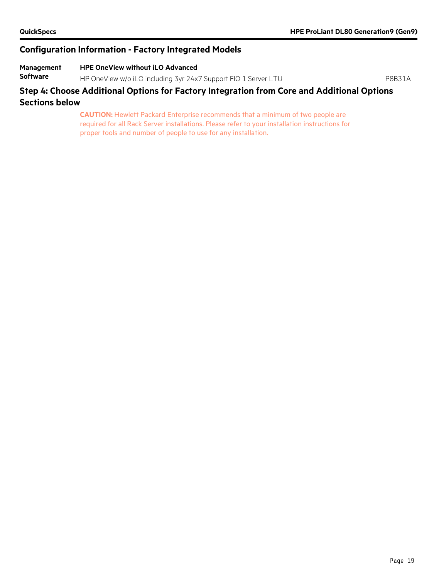### **Configuration Information - Factory Integrated Models**

#### **Management HPE OneView without iLO Advanced**

**Software** HP OneView w/o iLO including 3yr 24x7 Support FIO 1 Server LTU P8B31A

### **Step 4: Choose Additional Options for Factory Integration from Core and Additional Options Sections below**

**CAUTION:** Hewlett Packard Enterprise recommends that a minimum of two people are required for all Rack Server installations. Please refer to your installation instructions for proper tools and number of people to use for any installation.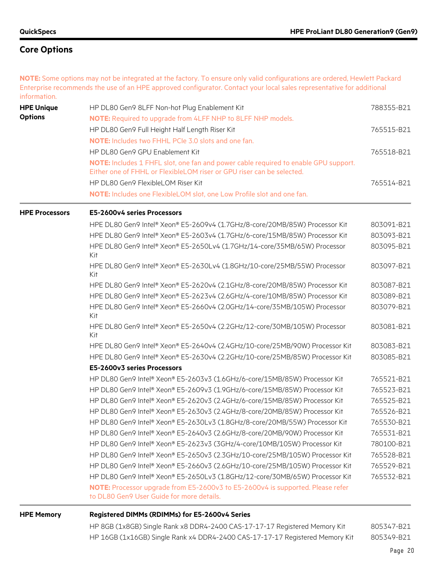**NOTE:** Some options may not be integrated at the factory. To ensure only valid configurations are ordered, Hewlett Packard Enterprise recommends the use of an HPE approved configurator. Contact your local sales representative for additional information. **HPE Unique Options** HP DL80 Gen9 8LFF Non-hot Plug Enablement Kit 788355-B21 **NOTE:** Required to upgrade from 4LFF NHP to 8LFF NHP models. HP DL80 Gen9 Full Height Half Length Riser Kit 765515-B21

**NOTE:** Includes two FHHL PCIe 3.0 slots and one fan. HP DL80 Gen9 GPU Enablement Kit 765518-B21 **NOTE:** Includes 1 FHFL slot, one fan and power cable required to enable GPU support. Either one of FHHL or FlexibleLOM riser or GPU riser can be selected. HP DL80 Gen9 FlexibleLOM Riser Kit 765514-B21 **NOTE:** Includes one FlexibleLOM slot, one Low Profile slot and one fan.

**HPE Processors E5-2600v4 series Processors**

| HPE DL80 Gen9 Intel® Xeon® E5-2609v4 (1.7GHz/8-core/20MB/85W) Processor Kit      | 803091-B21 |
|----------------------------------------------------------------------------------|------------|
| HPE DL80 Gen9 Intel® Xeon® E5-2603v4 (1.7GHz/6-core/15MB/85W) Processor Kit      | 803093-B21 |
| HPE DL80 Gen9 Intel® Xeon® E5-2650Lv4 (1.7GHz/14-core/35MB/65W) Processor<br>Kit | 803095-B21 |
| HPE DL80 Gen9 Intel® Xeon® E5-2630Lv4 (1.8GHz/10-core/25MB/55W) Processor<br>Kit | 803097-B21 |
| HPE DL80 Gen9 Intel® Xeon® E5-2620v4 (2.1GHz/8-core/20MB/85W) Processor Kit      | 803087-B21 |
| HPE DL80 Gen9 Intel® Xeon® E5-2623v4 (2.6GHz/4-core/10MB/85W) Processor Kit      | 803089-B21 |
| HPE DL80 Gen9 Intel® Xeon® E5-2660v4 (2.0GHz/14-core/35MB/105W) Processor<br>Kit | 803079-B21 |
| HPE DL80 Gen9 Intel® Xeon® E5-2650v4 (2.2GHz/12-core/30MB/105W) Processor<br>Kit | 803081-B21 |
| HPE DL80 Gen9 Intel® Xeon® E5-2640v4 (2.4GHz/10-core/25MB/90W) Processor Kit     | 803083-B21 |
| HPE DL80 Gen9 Intel® Xeon® E5-2630v4 (2.2GHz/10-core/25MB/85W) Processor Kit     | 803085-B21 |
| E5-2600v3 series Processors                                                      |            |
| HP DL80 Gen9 Intel® Xeon® E5-2603v3 (1.6GHz/6-core/15MB/85W) Processor Kit       | 765521-B21 |
| HP DL80 Gen9 Intel® Xeon® E5-2609v3 (1.9GHz/6-core/15MB/85W) Processor Kit       | 765523-B21 |
| HP DL80 Gen9 Intel® Xeon® E5-2620v3 (2.4GHz/6-core/15MB/85W) Processor Kit       | 765525-B21 |
| HP DL80 Gen9 Intel® Xeon® E5-2630v3 (2.4GHz/8-core/20MB/85W) Processor Kit       | 765526-B21 |
| HP DL80 Gen9 Intel® Xeon® E5-2630Lv3 (1.8GHz/8-core/20MB/55W) Processor Kit      | 765530-B21 |
| HP DL80 Gen9 Intel® Xeon® E5-2640v3 (2.6GHz/8-core/20MB/90W) Processor Kit       | 765531-B21 |
| HP DL80 Gen9 Intel® Xeon® E5-2623v3 (3GHz/4-core/10MB/105W) Processor Kit        | 780100-B21 |

HP DL80 Gen9 Intel® Xeon® E5-2650v3 (2.3GHz/10-core/25MB/105W) Processor Kit 765528-B21 HP DL80 Gen9 Intel® Xeon® E5-2660v3 (2.6GHz/10-core/25MB/105W) Processor Kit 765529-B21 HP DL80 Gen9 Intel® Xeon® E5-2650Lv3 (1.8GHz/12-core/30MB/65W) Processor Kit 765532-B21 **NOTE:** Processor upgrade from E5-2600v3 to E5-2600v4 is supported. Please refer to DL80 Gen9 User Guide for more details.

#### **HPE Memory Registered DIMMs (RDIMMs) for E5-2600v4 Series**

HP 8GB (1x8GB) Single Rank x8 DDR4-2400 CAS-17-17-17 Registered Memory Kit 805347-B21 HP 16GB (1x16GB) Single Rank x4 DDR4-2400 CAS-17-17-17 Registered Memory Kit 805349-B21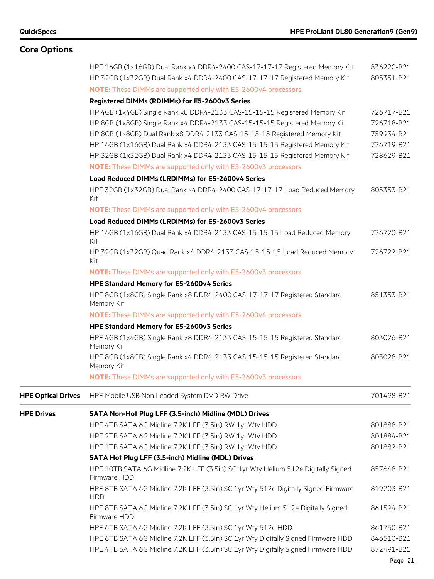## **Core Options**

|                           | HPE 16GB (1x16GB) Dual Rank x4 DDR4-2400 CAS-17-17-17 Registered Memory Kit<br>HP 32GB (1x32GB) Dual Rank x4 DDR4-2400 CAS-17-17-17 Registered Memory Kit | 836220-B21<br>805351-B21 |
|---------------------------|-----------------------------------------------------------------------------------------------------------------------------------------------------------|--------------------------|
|                           | NOTE: These DIMMs are supported only with E5-2600v4 processors.                                                                                           |                          |
|                           | Registered DIMMs (RDIMMs) for E5-2600v3 Series                                                                                                            |                          |
|                           | HP 4GB (1x4GB) Single Rank x8 DDR4-2133 CAS-15-15-15 Registered Memory Kit                                                                                | 726717-B21               |
|                           | HP 8GB (1x8GB) Single Rank x4 DDR4-2133 CAS-15-15-15 Registered Memory Kit                                                                                | 726718-B21               |
|                           | HP 8GB (1x8GB) Dual Rank x8 DDR4-2133 CAS-15-15-15 Registered Memory Kit                                                                                  | 759934-B21               |
|                           | HP 16GB (1x16GB) Dual Rank x4 DDR4-2133 CAS-15-15-15 Registered Memory Kit                                                                                | 726719-B21               |
|                           | HP 32GB (1x32GB) Dual Rank x4 DDR4-2133 CAS-15-15-15 Registered Memory Kit                                                                                | 728629-B21               |
|                           | NOTE: These DIMMs are supported only with E5-2600v3 processors.                                                                                           |                          |
|                           | Load Reduced DIMMs (LRDIMMs) for E5-2600v4 Series                                                                                                         |                          |
|                           | HPE 32GB (1x32GB) Dual Rank x4 DDR4-2400 CAS-17-17-17 Load Reduced Memory<br>Kit                                                                          | 805353-B21               |
|                           | NOTE: These DIMMs are supported only with E5-2600v4 processors.                                                                                           |                          |
|                           | Load Reduced DIMMs (LRDIMMs) for E5-2600v3 Series                                                                                                         |                          |
|                           | HP 16GB (1x16GB) Dual Rank x4 DDR4-2133 CAS-15-15-15 Load Reduced Memory<br>Kit                                                                           | 726720-B21               |
|                           | HP 32GB (1x32GB) Quad Rank x4 DDR4-2133 CAS-15-15-15 Load Reduced Memory<br>Kit                                                                           | 726722-B21               |
|                           | NOTE: These DIMMs are supported only with E5-2600v3 processors.                                                                                           |                          |
|                           | HPE Standard Memory for E5-2600v4 Series                                                                                                                  |                          |
|                           | HPE 8GB (1x8GB) Single Rank x8 DDR4-2400 CAS-17-17-17 Registered Standard<br>Memory Kit                                                                   | 851353-B21               |
|                           | NOTE: These DIMMs are supported only with E5-2600v4 processors.                                                                                           |                          |
|                           | HPE Standard Memory for E5-2600v3 Series                                                                                                                  |                          |
|                           | HPE 4GB (1x4GB) Single Rank x8 DDR4-2133 CAS-15-15-15 Registered Standard<br>Memory Kit                                                                   | 803026-B21               |
|                           | HPE 8GB (1x8GB) Single Rank x4 DDR4-2133 CAS-15-15-15 Registered Standard<br>Memory Kit                                                                   | 803028-B21               |
|                           | NOTE: These DIMMs are supported only with E5-2600v3 processors.                                                                                           |                          |
| <b>HPE Optical Drives</b> | HPE Mobile USB Non Leaded System DVD RW Drive                                                                                                             | 701498-B21               |
| <b>HPE Drives</b>         | SATA Non-Hot Plug LFF (3.5-inch) Midline (MDL) Drives                                                                                                     |                          |
|                           | HPE 4TB SATA 6G Midline 7.2K LFF (3.5in) RW 1yr Wty HDD                                                                                                   | 801888-B21               |
|                           | HPE 2TB SATA 6G Midline 7.2K LFF (3.5in) RW 1yr Wty HDD                                                                                                   | 801884-B21               |
|                           | HPE 1TB SATA 6G Midline 7.2K LFF (3.5in) RW 1yr Wty HDD                                                                                                   | 801882-B21               |
|                           | SATA Hot Plug LFF (3.5-inch) Midline (MDL) Drives                                                                                                         |                          |
|                           | HPE 10TB SATA 6G Midline 7.2K LFF (3.5in) SC 1yr Wty Helium 512e Digitally Signed<br>Firmware HDD                                                         | 857648-B21               |
|                           | HPE 8TB SATA 6G Midline 7.2K LFF (3.5in) SC 1yr Wty 512e Digitally Signed Firmware<br><b>HDD</b>                                                          | 819203-B21               |
|                           | HPE 8TB SATA 6G Midline 7.2K LFF (3.5in) SC 1yr Wty Helium 512e Digitally Signed<br>Firmware HDD                                                          | 861594-B21               |
|                           | HPE 6TB SATA 6G Midline 7.2K LFF (3.5in) SC 1yr Wty 512e HDD                                                                                              | 861750-B21               |
|                           | HPE 6TB SATA 6G Midline 7.2K LFF (3.5in) SC 1yr Wty Digitally Signed Firmware HDD                                                                         | 846510-B21               |
|                           | HPE 4TB SATA 6G Midline 7.2K LFF (3.5in) SC 1yr Wty Digitally Signed Firmware HDD                                                                         | 872491-B21               |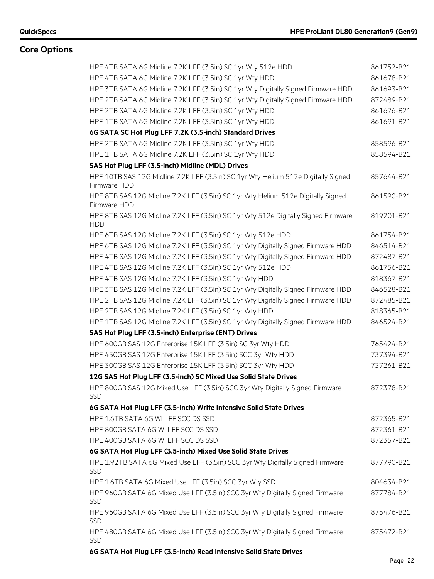| HPE 4TB SATA 6G Midline 7.2K LFF (3.5in) SC 1yr Wty 512e HDD                                      | 861752-B21 |
|---------------------------------------------------------------------------------------------------|------------|
| HPE 4TB SATA 6G Midline 7.2K LFF (3.5in) SC 1yr Wty HDD                                           | 861678-B21 |
| HPE 3TB SATA 6G Midline 7.2K LFF (3.5in) SC 1yr Wty Digitally Signed Firmware HDD                 | 861693-B21 |
| HPE 2TB SATA 6G Midline 7.2K LFF (3.5in) SC 1yr Wty Digitally Signed Firmware HDD                 | 872489-B21 |
| HPE 2TB SATA 6G Midline 7.2K LFF (3.5in) SC 1yr Wty HDD                                           | 861676-B21 |
| HPE 1TB SATA 6G Midline 7.2K LFF (3.5in) SC 1yr Wty HDD                                           | 861691-B21 |
| 6G SATA SC Hot Plug LFF 7.2K (3.5-inch) Standard Drives                                           |            |
| HPE 2TB SATA 6G Midline 7.2K LFF (3.5in) SC 1yr Wty HDD                                           | 858596-B21 |
| HPE 1TB SATA 6G Midline 7.2K LFF (3.5in) SC 1yr Wty HDD                                           | 858594-B21 |
| SAS Hot Plug LFF (3.5-inch) Midline (MDL) Drives                                                  |            |
| HPE 10TB SAS 12G Midline 7.2K LFF (3.5in) SC 1yr Wty Helium 512e Digitally Signed<br>Firmware HDD | 857644-B21 |
| HPE 8TB SAS 12G Midline 7.2K LFF (3.5in) SC 1yr Wty Helium 512e Digitally Signed<br>Firmware HDD  | 861590-B21 |
| HPE 8TB SAS 12G Midline 7.2K LFF (3.5in) SC 1yr Wty 512e Digitally Signed Firmware<br><b>HDD</b>  | 819201-B21 |
| HPE 6TB SAS 12G Midline 7.2K LFF (3.5in) SC 1yr Wty 512e HDD                                      | 861754-B21 |
| HPE 6TB SAS 12G Midline 7.2K LFF (3.5in) SC 1yr Wty Digitally Signed Firmware HDD                 | 846514-B21 |
| HPE 4TB SAS 12G Midline 7.2K LFF (3.5in) SC 1yr Wty Digitally Signed Firmware HDD                 | 872487-B21 |
| HPE 4TB SAS 12G Midline 7.2K LFF (3.5in) SC 1yr Wty 512e HDD                                      | 861756-B21 |
| HPE 4TB SAS 12G Midline 7.2K LFF (3.5in) SC 1yr Wty HDD                                           | 818367-B21 |
| HPE 3TB SAS 12G Midline 7.2K LFF (3.5in) SC 1yr Wty Digitally Signed Firmware HDD                 | 846528-B21 |
| HPE 2TB SAS 12G Midline 7.2K LFF (3.5in) SC 1yr Wty Digitally Signed Firmware HDD                 | 872485-B21 |
| HPE 2TB SAS 12G Midline 7.2K LFF (3.5in) SC 1yr Wty HDD                                           | 818365-B21 |
| HPE 1TB SAS 12G Midline 7.2K LFF (3.5in) SC 1yr Wty Digitally Signed Firmware HDD                 | 846524-B21 |
| SAS Hot Plug LFF (3.5-inch) Enterprise (ENT) Drives                                               |            |
| HPE 600GB SAS 12G Enterprise 15K LFF (3.5in) SC 3yr Wty HDD                                       | 765424-B21 |
| HPE 450GB SAS 12G Enterprise 15K LFF (3.5in) SCC 3yr Wty HDD                                      | 737394-B21 |
| HPE 300GB SAS 12G Enterprise 15K LFF (3.5in) SCC 3yr Wty HDD                                      | 737261-B21 |
| 12G SAS Hot Plug LFF (3.5-inch) SC Mixed Use Solid State Drives                                   |            |
| HPE 800GB SAS 12G Mixed Use LFF (3.5in) SCC 3yr Wty Digitally Signed Firmware<br><b>SSD</b>       | 872378-B21 |
| 6G SATA Hot Plug LFF (3.5-inch) Write Intensive Solid State Drives                                |            |
| HPE 1.6TB SATA 6G WI LFF SCC DS SSD                                                               | 872365-B21 |
| HPE 800GB SATA 6G WI LFF SCC DS SSD                                                               | 872361-B21 |
| HPE 400GB SATA 6G WI LFF SCC DS SSD                                                               | 872357-B21 |
| 6G SATA Hot Plug LFF (3.5-inch) Mixed Use Solid State Drives                                      |            |
| HPE 1.92TB SATA 6G Mixed Use LFF (3.5in) SCC 3yr Wty Digitally Signed Firmware<br><b>SSD</b>      | 877790-B21 |
| HPE 1.6TB SATA 6G Mixed Use LFF (3.5in) SCC 3yr Wty SSD                                           | 804634-B21 |
| HPE 960GB SATA 6G Mixed Use LFF (3.5in) SCC 3yr Wty Digitally Signed Firmware<br><b>SSD</b>       | 877784-B21 |
| HPE 960GB SATA 6G Mixed Use LFF (3.5in) SCC 3yr Wty Digitally Signed Firmware<br><b>SSD</b>       | 875476-B21 |
| HPE 480GB SATA 6G Mixed Use LFF (3.5in) SCC 3yr Wty Digitally Signed Firmware<br><b>SSD</b>       | 875472-B21 |
| 6G SATA Hot Plug LFF (3.5-inch) Read Intensive Solid State Drives                                 |            |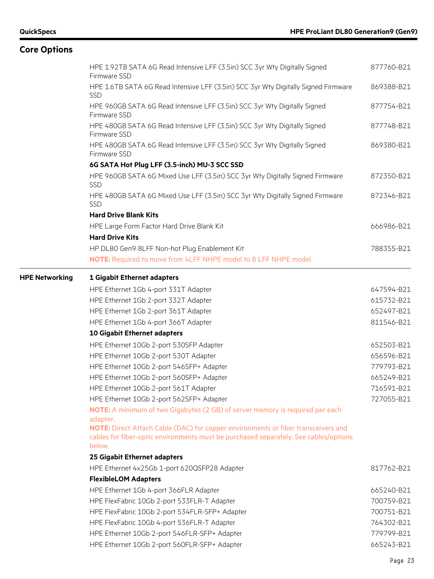|                       | HPE 1.92TB SATA 6G Read Intensive LFF (3.5in) SCC 3yr Wty Digitally Signed<br>Firmware SSD                                                                                          | 877760-B21 |
|-----------------------|-------------------------------------------------------------------------------------------------------------------------------------------------------------------------------------|------------|
|                       | HPE 1.6TB SATA 6G Read Intensive LFF (3.5in) SCC 3yr Wty Digitally Signed Firmware<br><b>SSD</b>                                                                                    | 869388-B21 |
|                       | HPE 960GB SATA 6G Read Intensive LFF (3.5in) SCC 3yr Wty Digitally Signed<br>Firmware SSD                                                                                           | 877754-B21 |
|                       | HPE 480GB SATA 6G Read Intensive LFF (3.5in) SCC 3yr Wty Digitally Signed<br>Firmware SSD                                                                                           | 877748-B21 |
|                       | HPE 480GB SATA 6G Read Intensive LFF (3.5in) SCC 3yr Wty Digitally Signed<br>Firmware SSD                                                                                           | 869380-B21 |
|                       | 6G SATA Hot Plug LFF (3.5-inch) MU-3 SCC SSD                                                                                                                                        |            |
|                       | HPE 960GB SATA 6G Mixed Use LFF (3.5in) SCC 3yr Wty Digitally Signed Firmware<br><b>SSD</b>                                                                                         | 872350-B21 |
|                       | HPE 480GB SATA 6G Mixed Use LFF (3.5in) SCC 3yr Wty Digitally Signed Firmware<br>SSD                                                                                                | 872346-B21 |
|                       | <b>Hard Drive Blank Kits</b>                                                                                                                                                        |            |
|                       | HPE Large Form Factor Hard Drive Blank Kit                                                                                                                                          | 666986-B21 |
|                       | <b>Hard Drive Kits</b>                                                                                                                                                              |            |
|                       | HP DL80 Gen9 8LFF Non-hot Plug Enablement Kit                                                                                                                                       | 788355-B21 |
|                       | NOTE: Required to move from 4LFF NHPE model to 8 LFF NHPE model.                                                                                                                    |            |
| <b>HPE Networking</b> | 1 Gigabit Ethernet adapters                                                                                                                                                         |            |
|                       | HPE Ethernet 1Gb 4-port 331T Adapter                                                                                                                                                | 647594-B21 |
|                       | HPE Ethernet 1Gb 2-port 332T Adapter                                                                                                                                                | 615732-B21 |
|                       | HPE Ethernet 1Gb 2-port 361T Adapter                                                                                                                                                | 652497-B21 |
|                       | HPE Ethernet 1Gb 4-port 366T Adapter                                                                                                                                                | 811546-B21 |
|                       | 10 Gigabit Ethernet adapters                                                                                                                                                        |            |
|                       | HPE Ethernet 10Gb 2-port 530SFP Adapter                                                                                                                                             | 652503-B21 |
|                       | HPE Ethernet 10Gb 2-port 530T Adapter                                                                                                                                               | 656596-B21 |
|                       | HPE Ethernet 10Gb 2-port 546SFP+ Adapter                                                                                                                                            | 779793-B21 |
|                       | HPE Ethernet 10Gb 2-port 560SFP+ Adapter                                                                                                                                            | 665249-B21 |
|                       | HPE Ethernet 10Gb 2-port 561T Adapter                                                                                                                                               | 716591-B21 |
|                       | HPE Ethernet 10Gb 2-port 562SFP+ Adapter                                                                                                                                            | 727055-B21 |
|                       | NOTE: A minimum of two Gigabytes (2 GB) of server memory is required per each<br>adapter.                                                                                           |            |
|                       | NOTE: Direct Attach Cable (DAC) for copper environments or fiber transceivers and<br>cables for fiber-optic environments must be purchased separately. See cables/options<br>below. |            |
|                       | 25 Gigabit Ethernet adapters                                                                                                                                                        |            |
|                       | HPE Ethernet 4x25Gb 1-port 620QSFP28 Adapter                                                                                                                                        | 817762-B21 |
|                       | <b>FlexibleLOM Adapters</b>                                                                                                                                                         |            |
|                       | HPE Ethernet 1Gb 4-port 366FLR Adapter                                                                                                                                              | 665240-B21 |
|                       | HPE FlexFabric 10Gb 2-port 533FLR-T Adapter                                                                                                                                         | 700759-B21 |
|                       | HPE FlexFabric 10Gb 2-port 534FLR-SFP+ Adapter                                                                                                                                      | 700751-B21 |
|                       | HPE FlexFabric 10Gb 4-port 536FLR-T Adapter                                                                                                                                         | 764302-B21 |
|                       | HPE Ethernet 10Gb 2-port 546FLR-SFP+ Adapter                                                                                                                                        | 779799-B21 |
|                       | HPE Ethernet 10Gb 2-port 560FLR-SFP+ Adapter                                                                                                                                        | 665243-B21 |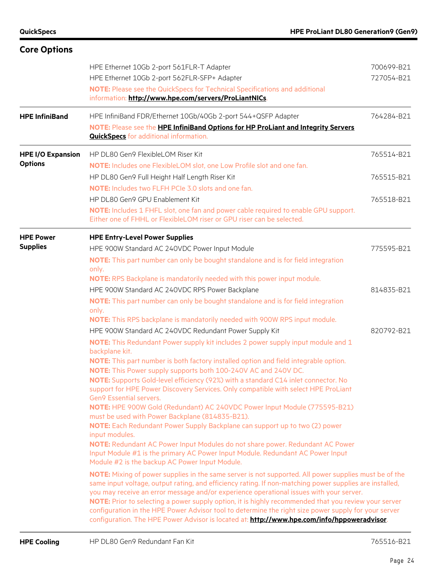| <b>Core Options</b>                        |                                                                                                                                                                                                                                                                                                                                                                                                                                                                                                                                                                                                                                                                                                                                                                                                                                                                                                                                                                                                                                                                                                                                                                                                                                                                                                                                                                                                                                                                                                                                                                                                                                 |                          |
|--------------------------------------------|---------------------------------------------------------------------------------------------------------------------------------------------------------------------------------------------------------------------------------------------------------------------------------------------------------------------------------------------------------------------------------------------------------------------------------------------------------------------------------------------------------------------------------------------------------------------------------------------------------------------------------------------------------------------------------------------------------------------------------------------------------------------------------------------------------------------------------------------------------------------------------------------------------------------------------------------------------------------------------------------------------------------------------------------------------------------------------------------------------------------------------------------------------------------------------------------------------------------------------------------------------------------------------------------------------------------------------------------------------------------------------------------------------------------------------------------------------------------------------------------------------------------------------------------------------------------------------------------------------------------------------|--------------------------|
|                                            | HPE Ethernet 10Gb 2-port 561FLR-T Adapter<br>HPE Ethernet 10Gb 2-port 562FLR-SFP+ Adapter<br>NOTE: Please see the QuickSpecs for Technical Specifications and additional<br>information: http://www.hpe.com/servers/ProLiantNICs.                                                                                                                                                                                                                                                                                                                                                                                                                                                                                                                                                                                                                                                                                                                                                                                                                                                                                                                                                                                                                                                                                                                                                                                                                                                                                                                                                                                               | 700699-B21<br>727054-B21 |
| <b>HPE InfiniBand</b>                      | HPE InfiniBand FDR/Ethernet 10Gb/40Gb 2-port 544+QSFP Adapter<br>NOTE: Please see the HPE InfiniBand Options for HP ProLiant and Integrity Servers<br><b>QuickSpecs</b> for additional information.                                                                                                                                                                                                                                                                                                                                                                                                                                                                                                                                                                                                                                                                                                                                                                                                                                                                                                                                                                                                                                                                                                                                                                                                                                                                                                                                                                                                                             | 764284-B21               |
| <b>HPE I/O Expansion</b><br><b>Options</b> | HP DL80 Gen9 FlexibleLOM Riser Kit<br>NOTE: Includes one FlexibleLOM slot, one Low Profile slot and one fan.                                                                                                                                                                                                                                                                                                                                                                                                                                                                                                                                                                                                                                                                                                                                                                                                                                                                                                                                                                                                                                                                                                                                                                                                                                                                                                                                                                                                                                                                                                                    | 765514-B21               |
|                                            | HP DL80 Gen9 Full Height Half Length Riser Kit<br>NOTE: Includes two FLFH PCIe 3.0 slots and one fan.                                                                                                                                                                                                                                                                                                                                                                                                                                                                                                                                                                                                                                                                                                                                                                                                                                                                                                                                                                                                                                                                                                                                                                                                                                                                                                                                                                                                                                                                                                                           | 765515-B21               |
|                                            | HP DL80 Gen9 GPU Enablement Kit<br>NOTE: Includes 1 FHFL slot, one fan and power cable required to enable GPU support.<br>Either one of FHHL or FlexibleLOM riser or GPU riser can be selected.                                                                                                                                                                                                                                                                                                                                                                                                                                                                                                                                                                                                                                                                                                                                                                                                                                                                                                                                                                                                                                                                                                                                                                                                                                                                                                                                                                                                                                 | 765518-B21               |
| <b>HPE Power</b><br><b>Supplies</b>        | <b>HPE Entry-Level Power Supplies</b><br>HPE 900W Standard AC 240VDC Power Input Module<br>NOTE: This part number can only be bought standalone and is for field integration<br>only.                                                                                                                                                                                                                                                                                                                                                                                                                                                                                                                                                                                                                                                                                                                                                                                                                                                                                                                                                                                                                                                                                                                                                                                                                                                                                                                                                                                                                                           | 775595-B21               |
|                                            | NOTE: RPS Backplane is mandatorily needed with this power input module.<br>HPE 900W Standard AC 240VDC RPS Power Backplane<br>NOTE: This part number can only be bought standalone and is for field integration<br>only.<br>NOTE: This RPS backplane is mandatorily needed with 900W RPS input module.                                                                                                                                                                                                                                                                                                                                                                                                                                                                                                                                                                                                                                                                                                                                                                                                                                                                                                                                                                                                                                                                                                                                                                                                                                                                                                                          | 814835-B21               |
|                                            | HPE 900W Standard AC 240VDC Redundant Power Supply Kit<br>NOTE: This Redundant Power supply kit includes 2 power supply input module and 1<br>backplane kit.<br>NOTE: This part number is both factory installed option and field integrable option.<br><b>NOTE:</b> This Power supply supports both 100-240V AC and 240V DC.<br>NOTE: Supports Gold-level efficiency (92%) with a standard C14 inlet connector. No<br>support for HPE Power Discovery Services. Only compatible with select HPE ProLiant<br><b>Gen9 Essential servers.</b><br>NOTE: HPE 900W Gold (Redundant) AC 240VDC Power Input Module (775595-B21)<br>must be used with Power Backplane (814835-B21).<br>NOTE: Each Redundant Power Supply Backplane can support up to two (2) power<br>input modules.<br>NOTE: Redundant AC Power Input Modules do not share power. Redundant AC Power<br>Input Module #1 is the primary AC Power Input Module. Redundant AC Power Input<br>Module #2 is the backup AC Power Input Module.<br>NOTE: Mixing of power supplies in the same server is not supported. All power supplies must be of the<br>same input voltage, output rating, and efficiency rating. If non-matching power supplies are installed,<br>you may receive an error message and/or experience operational issues with your server.<br>NOTE: Prior to selecting a power supply option, it is highly recommended that you review your server<br>configuration in the HPE Power Advisor tool to determine the right size power supply for your server<br>configuration. The HPE Power Advisor is located at: http://www.hpe.com/info/hppoweradvisor. | 820792-B21               |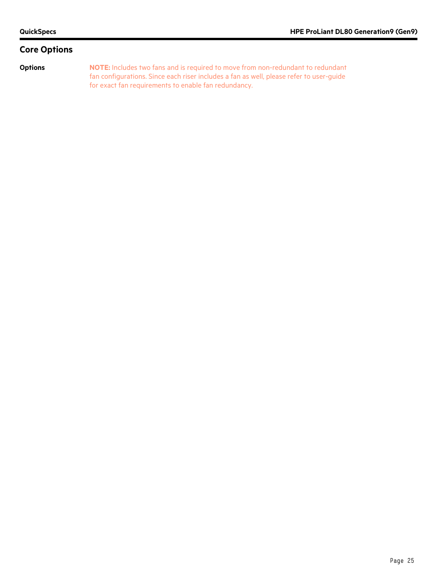**Options NOTE:** Includes two fans and is required to move from non-redundant to redundant fan configurations. Since each riser includes a fan as well, please refer to user-guide for exact fan requirements to enable fan redundancy.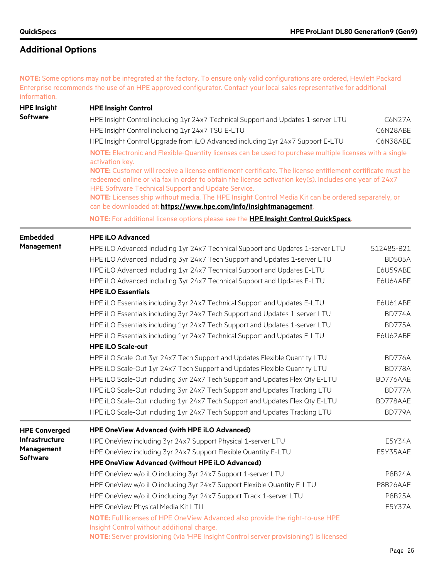**NOTE:** Some options may not be integrated at the factory. To ensure only valid configurations are ordered, Hewlett Packard Enterprise recommends the use of an HPE approved configurator. Contact your local sales representative for additional information.

| <b>HPE Insight</b>   | <b>HPE Insight Control</b>                                                                                                                               |               |
|----------------------|----------------------------------------------------------------------------------------------------------------------------------------------------------|---------------|
| <b>Software</b>      | HPE Insight Control including 1yr 24x7 Technical Support and Updates 1-server LTU                                                                        | C6N27A        |
|                      | HPE Insight Control including 1yr 24x7 TSU E-LTU                                                                                                         | C6N28ABE      |
|                      | HPE Insight Control Upgrade from iLO Advanced including 1yr 24x7 Support E-LTU                                                                           | C6N38ABE      |
|                      | NOTE: Electronic and Flexible-Quantity licenses can be used to purchase multiple licenses with a single                                                  |               |
|                      | activation key.                                                                                                                                          |               |
|                      | NOTE: Customer will receive a license entitlement certificate. The license entitlement certificate must be                                               |               |
|                      | redeemed online or via fax in order to obtain the license activation key(s). Includes one year of 24x7                                                   |               |
|                      | HPE Software Technical Support and Update Service.<br>NOTE: Licenses ship without media. The HPE Insight Control Media Kit can be ordered separately, or |               |
|                      | can be downloaded at: https://www.hpe.com/info/insightmanagement.                                                                                        |               |
|                      | NOTE: For additional license options please see the HPE Insight Control QuickSpecs.                                                                      |               |
| <b>Embedded</b>      | <b>HPE iLO Advanced</b>                                                                                                                                  |               |
| <b>Management</b>    | HPE iLO Advanced including 1yr 24x7 Technical Support and Updates 1-server LTU                                                                           | 512485-B21    |
|                      | HPE iLO Advanced including 3yr 24x7 Tech Support and Updates 1-server LTU                                                                                | <b>BD505A</b> |
|                      | HPE iLO Advanced including 1yr 24x7 Technical Support and Updates E-LTU                                                                                  | E6U59ABE      |
|                      | HPE iLO Advanced including 3yr 24x7 Technical Support and Updates E-LTU                                                                                  | E6U64ABE      |
|                      | <b>HPE iLO Essentials</b>                                                                                                                                |               |
|                      | HPE iLO Essentials including 3yr 24x7 Technical Support and Updates E-LTU                                                                                | E6U61ABE      |
|                      | HPE iLO Essentials including 3yr 24x7 Tech Support and Updates 1-server LTU                                                                              | <b>BD774A</b> |
|                      | HPE iLO Essentials including 1yr 24x7 Tech Support and Updates 1-server LTU                                                                              | <b>BD775A</b> |
|                      | HPE iLO Essentials including 1yr 24x7 Technical Support and Updates E-LTU                                                                                | E6U62ABE      |
|                      | <b>HPE iLO Scale-out</b>                                                                                                                                 |               |
|                      | HPE iLO Scale-Out 3yr 24x7 Tech Support and Updates Flexible Quantity LTU                                                                                | BD776A        |
|                      | HPE iLO Scale-Out 1yr 24x7 Tech Support and Updates Flexible Quantity LTU                                                                                | <b>BD778A</b> |
|                      | HPE iLO Scale-Out including 3yr 24x7 Tech Support and Updates Flex Qty E-LTU                                                                             | BD776AAE      |
|                      | HPE iLO Scale-Out including 3yr 24x7 Tech Support and Updates Tracking LTU                                                                               | BD777A        |
|                      | HPE iLO Scale-Out including 1yr 24x7 Tech Support and Updates Flex Qty E-LTU                                                                             | BD778AAE      |
|                      | HPE iLO Scale-Out including 1yr 24x7 Tech Support and Updates Tracking LTU                                                                               | <b>BD779A</b> |
| <b>HPE Converged</b> | HPE OneView Advanced (with HPE iLO Advanced)                                                                                                             |               |
| Infrastructure       | HPE OneView including 3yr 24x7 Support Physical 1-server LTU                                                                                             | E5Y34A        |
| Management           | HPE OneView including 3yr 24x7 Support Flexible Quantity E-LTU                                                                                           | E5Y35AAE      |
| <b>Software</b>      | HPE OneView Advanced (without HPE iLO Advanced)                                                                                                          |               |
|                      | HPE OneView w/o iLO including 3yr 24x7 Support 1-server LTU                                                                                              | <b>P8B24A</b> |
|                      | HPE OneView w/o iLO including 3yr 24x7 Support Flexible Quantity E-LTU                                                                                   | P8B26AAE      |
|                      | HPE OneView w/o iLO including 3yr 24x7 Support Track 1-server LTU                                                                                        | <b>P8B25A</b> |
|                      | HPE OneView Physical Media Kit LTU                                                                                                                       | E5Y37A        |
|                      | NOTE: Full licenses of HPE OneView Advanced also provide the right-to-use HPE<br>Insight Control without additional charge.                              |               |
|                      | NOTE: Server provisioning (via 'HPE Insight Control server provisioning') is licensed                                                                    |               |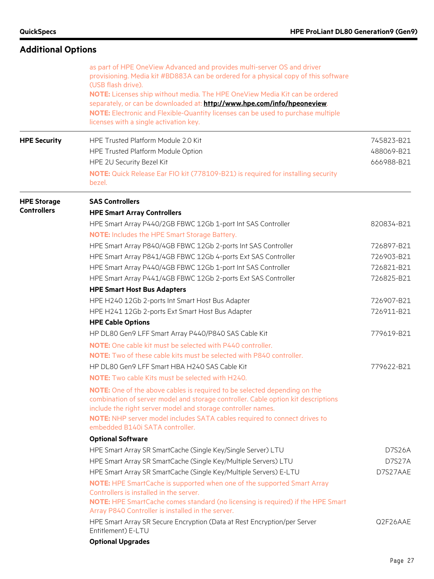| <b>Additional Options</b>                |                                                                                                                                                                                                                                                                                                                                                                                                                                                                                                |                                                      |  |
|------------------------------------------|------------------------------------------------------------------------------------------------------------------------------------------------------------------------------------------------------------------------------------------------------------------------------------------------------------------------------------------------------------------------------------------------------------------------------------------------------------------------------------------------|------------------------------------------------------|--|
|                                          | as part of HPE OneView Advanced and provides multi-server OS and driver<br>provisioning. Media kit #BD883A can be ordered for a physical copy of this software<br>(USB flash drive).<br>NOTE: Licenses ship without media. The HPE OneView Media Kit can be ordered<br>separately, or can be downloaded at: http://www.hpe.com/info/hpeoneview.<br>NOTE: Electronic and Flexible-Quantity licenses can be used to purchase multiple<br>licenses with a single activation key.                  |                                                      |  |
| <b>HPE Security</b>                      | HPE Trusted Platform Module 2.0 Kit<br>HPE Trusted Platform Module Option<br>HPE 2U Security Bezel Kit<br>NOTE: Quick Release Ear FIO kit (778109-B21) is required for installing security<br>bezel.                                                                                                                                                                                                                                                                                           | 745823-B21<br>488069-B21<br>666988-B21               |  |
| <b>HPE Storage</b><br><b>Controllers</b> | <b>SAS Controllers</b><br><b>HPE Smart Array Controllers</b><br>HPE Smart Array P440/2GB FBWC 12Gb 1-port Int SAS Controller                                                                                                                                                                                                                                                                                                                                                                   | 820834-B21                                           |  |
|                                          | <b>NOTE:</b> Includes the HPE Smart Storage Battery.<br>HPE Smart Array P840/4GB FBWC 12Gb 2-ports Int SAS Controller<br>HPE Smart Array P841/4GB FBWC 12Gb 4-ports Ext SAS Controller<br>HPE Smart Array P440/4GB FBWC 12Gb 1-port Int SAS Controller<br>HPE Smart Array P441/4GB FBWC 12Gb 2-ports Ext SAS Controller<br><b>HPE Smart Host Bus Adapters</b>                                                                                                                                  | 726897-B21<br>726903-B21<br>726821-B21<br>726825-B21 |  |
|                                          | HPE H240 12Gb 2-ports Int Smart Host Bus Adapter<br>HPE H241 12Gb 2-ports Ext Smart Host Bus Adapter<br><b>HPE Cable Options</b>                                                                                                                                                                                                                                                                                                                                                               | 726907-B21<br>726911-B21                             |  |
|                                          | HP DL80 Gen9 LFF Smart Array P440/P840 SAS Cable Kit<br><b>NOTE:</b> One cable kit must be selected with P440 controller.<br><b>NOTE:</b> Two of these cable kits must be selected with P840 controller.                                                                                                                                                                                                                                                                                       | 779619-B21                                           |  |
|                                          | HP DL80 Gen9 LFF Smart HBA H240 SAS Cable Kit<br><b>NOTE:</b> Two cable Kits must be selected with H240.<br>NOTE: One of the above cables is required to be selected depending on the<br>combination of server model and storage controller. Cable option kit descriptions<br>include the right server model and storage controller names.<br>NOTE: NHP server model includes SATA cables required to connect drives to<br>embedded B140i SATA controller.                                     | 779622-B21                                           |  |
|                                          | <b>Optional Software</b><br>HPE Smart Array SR SmartCache (Single Key/Single Server) LTU<br>HPE Smart Array SR SmartCache (Single Key/Multiple Servers) LTU<br>HPE Smart Array SR SmartCache (Single Key/Multiple Servers) E-LTU<br>NOTE: HPE SmartCache is supported when one of the supported Smart Array<br>Controllers is installed in the server.<br>NOTE: HPE SmartCache comes standard (no licensing is required) if the HPE Smart<br>Array P840 Controller is installed in the server. | <b>D7S26A</b><br><b>D7S27A</b><br>D7S27AAE           |  |
|                                          | HPE Smart Array SR Secure Encryption (Data at Rest Encryption/per Server<br>Entitlement) E-LTU<br><b>Optional Upgrades</b>                                                                                                                                                                                                                                                                                                                                                                     | Q2F26AAE                                             |  |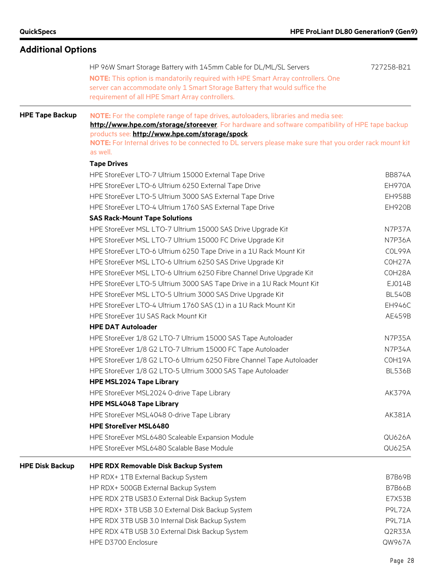| <b>Additional Options</b> |                                                                                                                                                                                                                                                                                                                                                                 |               |
|---------------------------|-----------------------------------------------------------------------------------------------------------------------------------------------------------------------------------------------------------------------------------------------------------------------------------------------------------------------------------------------------------------|---------------|
|                           | HP 96W Smart Storage Battery with 145mm Cable for DL/ML/SL Servers<br>NOTE: This option is mandatorily required with HPE Smart Array controllers. One<br>server can accommodate only 1 Smart Storage Battery that would suffice the<br>requirement of all HPE Smart Array controllers.                                                                          | 727258-B21    |
| <b>HPE Tape Backup</b>    | NOTE: For the complete range of tape drives, autoloaders, libraries and media see:<br>http://www.hpe.com/storage/storeever. For hardware and software compatibility of HPE tape backup<br>products see: http://www.hpe.com/storage/spock.<br>NOTE: For Internal drives to be connected to DL servers please make sure that you order rack mount kit<br>as well. |               |
|                           | <b>Tape Drives</b>                                                                                                                                                                                                                                                                                                                                              |               |
|                           | HPE StoreEver LTO-7 Ultrium 15000 External Tape Drive                                                                                                                                                                                                                                                                                                           | <b>BB874A</b> |
|                           | HPE StoreEver LTO-6 Ultrium 6250 External Tape Drive                                                                                                                                                                                                                                                                                                            | <b>EH970A</b> |
|                           | HPE StoreEver LTO-5 Ultrium 3000 SAS External Tape Drive                                                                                                                                                                                                                                                                                                        | <b>EH958B</b> |
|                           | HPE StoreEver LTO-4 Ultrium 1760 SAS External Tape Drive                                                                                                                                                                                                                                                                                                        | <b>EH920B</b> |
|                           | <b>SAS Rack-Mount Tape Solutions</b>                                                                                                                                                                                                                                                                                                                            |               |
|                           |                                                                                                                                                                                                                                                                                                                                                                 | N7P37A        |
|                           | HPE StoreEver MSL LTO-7 Ultrium 15000 SAS Drive Upgrade Kit                                                                                                                                                                                                                                                                                                     |               |
|                           | HPE StoreEver MSL LTO-7 Ultrium 15000 FC Drive Upgrade Kit                                                                                                                                                                                                                                                                                                      | <b>N7P36A</b> |
|                           | HPE StoreEver LTO-6 Ultrium 6250 Tape Drive in a 1U Rack Mount Kit                                                                                                                                                                                                                                                                                              | COL99A        |
|                           | HPE StoreEver MSL LTO-6 Ultrium 6250 SAS Drive Upgrade Kit                                                                                                                                                                                                                                                                                                      | COH27A        |
|                           | HPE StoreEver MSL LTO-6 Ultrium 6250 Fibre Channel Drive Upgrade Kit                                                                                                                                                                                                                                                                                            | COH28A        |
|                           | HPE StoreEver LTO-5 Ultrium 3000 SAS Tape Drive in a 1U Rack Mount Kit                                                                                                                                                                                                                                                                                          | EJ014B        |
|                           | HPE StoreEver MSL LTO-5 Ultrium 3000 SAS Drive Upgrade Kit                                                                                                                                                                                                                                                                                                      | <b>BL540B</b> |
|                           | HPE StoreEver LTO-4 Ultrium 1760 SAS (1) in a 1U Rack Mount Kit                                                                                                                                                                                                                                                                                                 | <b>EH946C</b> |
|                           | HPE StoreEver 1U SAS Rack Mount Kit                                                                                                                                                                                                                                                                                                                             | AE459B        |
|                           | <b>HPE DAT Autoloader</b>                                                                                                                                                                                                                                                                                                                                       |               |
|                           | HPE StoreEver 1/8 G2 LTO-7 Ultrium 15000 SAS Tape Autoloader                                                                                                                                                                                                                                                                                                    | <b>N7P35A</b> |
|                           | HPE StoreEver 1/8 G2 LTO-7 Ultrium 15000 FC Tape Autoloader                                                                                                                                                                                                                                                                                                     | N7P34A        |
|                           | HPE StoreEver 1/8 G2 LTO-6 Ultrium 6250 Fibre Channel Tape Autoloader                                                                                                                                                                                                                                                                                           | COH19A        |
|                           | HPE StoreEver 1/8 G2 LTO-5 Ultrium 3000 SAS Tape Autoloader                                                                                                                                                                                                                                                                                                     | <b>BL536B</b> |
|                           | <b>HPE MSL2024 Tape Library</b>                                                                                                                                                                                                                                                                                                                                 |               |
|                           | HPE StoreEver MSL2024 0-drive Tape Library                                                                                                                                                                                                                                                                                                                      | <b>AK379A</b> |
|                           | <b>HPE MSL4048 Tape Library</b>                                                                                                                                                                                                                                                                                                                                 |               |
|                           | HPE StoreEver MSL4048 0-drive Tape Library                                                                                                                                                                                                                                                                                                                      | AK381A        |
|                           | <b>HPE StoreEver MSL6480</b>                                                                                                                                                                                                                                                                                                                                    |               |
|                           | HPE StoreEver MSL6480 Scaleable Expansion Module                                                                                                                                                                                                                                                                                                                | QU626A        |
|                           | HPE StoreEver MSL6480 Scalable Base Module                                                                                                                                                                                                                                                                                                                      | <b>QU625A</b> |
| <b>HPE Disk Backup</b>    | <b>HPE RDX Removable Disk Backup System</b>                                                                                                                                                                                                                                                                                                                     |               |
|                           | HP RDX+ 1TB External Backup System                                                                                                                                                                                                                                                                                                                              | <b>B7B69B</b> |
|                           | HP RDX+ 500GB External Backup System                                                                                                                                                                                                                                                                                                                            | <b>B7B66B</b> |
|                           | HPE RDX 2TB USB3.0 External Disk Backup System                                                                                                                                                                                                                                                                                                                  | E7X53B        |
|                           | HPE RDX+ 3TB USB 3.0 External Disk Backup System                                                                                                                                                                                                                                                                                                                | <b>P9L72A</b> |
|                           | HPE RDX 3TB USB 3.0 Internal Disk Backup System                                                                                                                                                                                                                                                                                                                 | <b>P9L71A</b> |
|                           | HPE RDX 4TB USB 3.0 External Disk Backup System                                                                                                                                                                                                                                                                                                                 | Q2R33A        |
|                           | HPE D3700 Enclosure                                                                                                                                                                                                                                                                                                                                             | QW967A        |
|                           |                                                                                                                                                                                                                                                                                                                                                                 |               |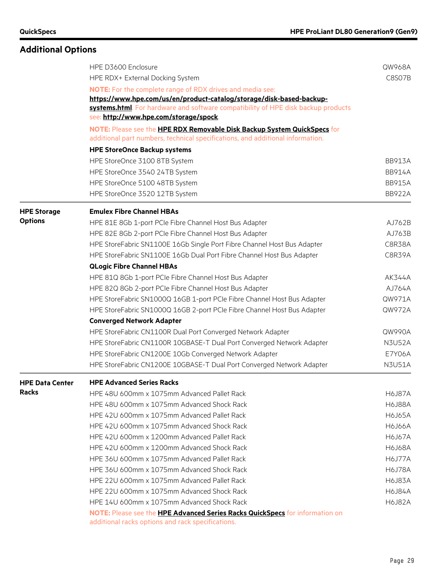|                        | HPE D3600 Enclosure                                                                                                                                        | QW968A        |  |  |  |
|------------------------|------------------------------------------------------------------------------------------------------------------------------------------------------------|---------------|--|--|--|
|                        | HPE RDX+ External Docking System                                                                                                                           | C8S07B        |  |  |  |
|                        | <b>NOTE:</b> For the complete range of RDX drives and media see:                                                                                           |               |  |  |  |
|                        | https://www.hpe.com/us/en/product-catalog/storage/disk-based-backup-                                                                                       |               |  |  |  |
|                        | systems.html. For hardware and software compatibility of HPE disk backup products                                                                          |               |  |  |  |
|                        | see: http://www.hpe.com/storage/spock.                                                                                                                     |               |  |  |  |
|                        | NOTE: Please see the HPE RDX Removable Disk Backup System QuickSpecs for<br>additional part numbers, technical specifications, and additional information. |               |  |  |  |
|                        | <b>HPE StoreOnce Backup systems</b>                                                                                                                        |               |  |  |  |
|                        | HPE StoreOnce 3100 8TB System                                                                                                                              | <b>BB913A</b> |  |  |  |
|                        | HPE StoreOnce 3540 24TB System                                                                                                                             | <b>BB914A</b> |  |  |  |
|                        | HPE StoreOnce 5100 48TB System                                                                                                                             | <b>BB915A</b> |  |  |  |
|                        | HPE StoreOnce 3520 12TB System                                                                                                                             | <b>BB922A</b> |  |  |  |
| <b>HPE Storage</b>     | <b>Emulex Fibre Channel HBAs</b>                                                                                                                           |               |  |  |  |
| <b>Options</b>         | HPE 81E 8Gb 1-port PCIe Fibre Channel Host Bus Adapter                                                                                                     | AJ762B        |  |  |  |
|                        | HPE 82E 8Gb 2-port PCIe Fibre Channel Host Bus Adapter                                                                                                     | AJ763B        |  |  |  |
|                        | HPE StoreFabric SN1100E 16Gb Single Port Fibre Channel Host Bus Adapter                                                                                    | C8R38A        |  |  |  |
|                        | HPE StoreFabric SN1100E 16Gb Dual Port Fibre Channel Host Bus Adapter                                                                                      | C8R39A        |  |  |  |
|                        | <b>QLogic Fibre Channel HBAs</b>                                                                                                                           |               |  |  |  |
|                        | HPE 81Q 8Gb 1-port PCIe Fibre Channel Host Bus Adapter                                                                                                     | AK344A        |  |  |  |
|                        | HPE 82Q 8Gb 2-port PCIe Fibre Channel Host Bus Adapter                                                                                                     | AJ764A        |  |  |  |
|                        | HPE StoreFabric SN1000Q 16GB 1-port PCIe Fibre Channel Host Bus Adapter                                                                                    | QW971A        |  |  |  |
|                        | HPE StoreFabric SN1000Q 16GB 2-port PCIe Fibre Channel Host Bus Adapter                                                                                    | QW972A        |  |  |  |
|                        | <b>Converged Network Adapter</b>                                                                                                                           |               |  |  |  |
|                        | HPE StoreFabric CN1100R Dual Port Converged Network Adapter                                                                                                | QW990A        |  |  |  |
|                        | HPE StoreFabric CN1100R 10GBASE-T Dual Port Converged Network Adapter                                                                                      | <b>N3U52A</b> |  |  |  |
|                        | HPE StoreFabric CN1200E 10Gb Converged Network Adapter                                                                                                     | E7Y06A        |  |  |  |
|                        | HPE StoreFabric CN1200E 10GBASE-T Dual Port Converged Network Adapter                                                                                      | <b>N3U51A</b> |  |  |  |
| <b>HPE Data Center</b> | <b>HPE Advanced Series Racks</b>                                                                                                                           |               |  |  |  |
| <b>Racks</b>           | HPE 48U 600mm x 1075mm Advanced Pallet Rack                                                                                                                | <b>H6J87A</b> |  |  |  |
|                        | HPE 48U 600mm x 1075mm Advanced Shock Rack                                                                                                                 | <b>H6J88A</b> |  |  |  |
|                        | HPE 42U 600mm x 1075mm Advanced Pallet Rack                                                                                                                | <b>H6J65A</b> |  |  |  |
|                        | HPE 42U 600mm x 1075mm Advanced Shock Rack                                                                                                                 | <b>H6J66A</b> |  |  |  |
|                        | HPE 42U 600mm x 1200mm Advanced Pallet Rack                                                                                                                | <b>H6J67A</b> |  |  |  |
|                        | HPE 42U 600mm x 1200mm Advanced Shock Rack                                                                                                                 | <b>H6J68A</b> |  |  |  |
|                        | HPE 36U 600mm x 1075mm Advanced Pallet Rack                                                                                                                | <b>H6J77A</b> |  |  |  |
|                        | HPF 36U 600mm x 1075mm Advanced Shock Rack                                                                                                                 | <b>H6J78A</b> |  |  |  |
|                        | HPE 22U 600mm x 1075mm Advanced Pallet Rack                                                                                                                | <b>H6J83A</b> |  |  |  |
|                        | HPE 22U 600mm x 1075mm Advanced Shock Rack                                                                                                                 | <b>H6J84A</b> |  |  |  |
|                        | HPE 14U 600mm x 1075mm Advanced Shock Rack                                                                                                                 | <b>H6J82A</b> |  |  |  |
|                        | NOTE: Please see the HPE Advanced Series Racks QuickSpecs for information on                                                                               |               |  |  |  |
|                        | additional racks options and rack specifications.                                                                                                          |               |  |  |  |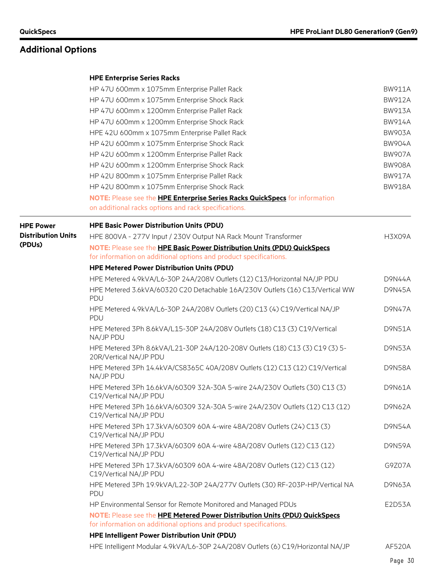#### **HPE Enterprise Series Racks**

|                           | HP 47U 600mm x 1075mm Enterprise Pallet Rack                                                                                                    | <b>BW911A</b> |  |  |  |  |
|---------------------------|-------------------------------------------------------------------------------------------------------------------------------------------------|---------------|--|--|--|--|
|                           | HP 47U 600mm x 1075mm Enterprise Shock Rack                                                                                                     | <b>BW912A</b> |  |  |  |  |
|                           | HP 47U 600mm x 1200mm Enterprise Pallet Rack                                                                                                    | <b>BW913A</b> |  |  |  |  |
|                           | HP 47U 600mm x 1200mm Enterprise Shock Rack                                                                                                     | <b>BW914A</b> |  |  |  |  |
|                           | HPE 42U 600mm x 1075mm Enterprise Pallet Rack                                                                                                   | <b>BW903A</b> |  |  |  |  |
|                           | HP 42U 600mm x 1075mm Enterprise Shock Rack                                                                                                     |               |  |  |  |  |
|                           | HP 42U 600mm x 1200mm Enterprise Pallet Rack                                                                                                    | <b>BW907A</b> |  |  |  |  |
|                           | HP 42U 600mm x 1200mm Enterprise Shock Rack                                                                                                     | <b>BW908A</b> |  |  |  |  |
|                           | HP 42U 800mm x 1075mm Enterprise Pallet Rack                                                                                                    | <b>BW917A</b> |  |  |  |  |
|                           | HP 42U 800mm x 1075mm Enterprise Shock Rack                                                                                                     | <b>BW918A</b> |  |  |  |  |
|                           | NOTE: Please see the HPE Enterprise Series Racks QuickSpecs for information                                                                     |               |  |  |  |  |
|                           | on additional racks options and rack specifications.                                                                                            |               |  |  |  |  |
| <b>HPE Power</b>          | <b>HPE Basic Power Distribution Units (PDU)</b>                                                                                                 |               |  |  |  |  |
| <b>Distribution Units</b> | HPE 800VA - 277V Input / 230V Output NA Rack Mount Transformer                                                                                  | <b>H3X09A</b> |  |  |  |  |
| (PDUs)                    | NOTE: Please see the HPE Basic Power Distribution Units (PDU) QuickSpecs                                                                        |               |  |  |  |  |
|                           | for information on additional options and product specifications.                                                                               |               |  |  |  |  |
|                           | <b>HPE Metered Power Distribution Units (PDU)</b>                                                                                               |               |  |  |  |  |
|                           | HPE Metered 4.9kVA/L6-30P 24A/208V Outlets (12) C13/Horizontal NA/JP PDU                                                                        | <b>D9N44A</b> |  |  |  |  |
|                           | HPE Metered 3.6kVA/60320 C20 Detachable 16A/230V Outlets (16) C13/Vertical WW<br>PDU                                                            | <b>D9N45A</b> |  |  |  |  |
|                           | HPE Metered 4.9kVA/L6-30P 24A/208V Outlets (20) C13 (4) C19/Vertical NA/JP<br>PDU                                                               |               |  |  |  |  |
|                           | HPE Metered 3Ph 8.6kVA/L15-30P 24A/208V Outlets (18) C13 (3) C19/Vertical<br>NA/JP PDU                                                          | <b>D9N51A</b> |  |  |  |  |
|                           | HPE Metered 3Ph 8.6kVA/L21-30P 24A/120-208V Outlets (18) C13 (3) C19 (3) 5-<br>20R/Vertical NA/JP PDU                                           | D9N53A        |  |  |  |  |
|                           | HPE Metered 3Ph 14.4kVA/CS8365C 40A/208V Outlets (12) C13 (12) C19/Vertical<br>NA/JP PDU                                                        | <b>D9N58A</b> |  |  |  |  |
|                           | HPE Metered 3Ph 16.6kVA/60309 32A-30A 5-wire 24A/230V Outlets (30) C13 (3)<br>C19/Vertical NA/JP PDU                                            | D9N61A        |  |  |  |  |
|                           | HPE Metered 3Ph 16.6kVA/60309 32A-30A 5-wire 24A/230V Outlets (12) C13 (12)<br>C19/Vertical NA/JP PDU                                           | <b>D9N62A</b> |  |  |  |  |
|                           | HPE Metered 3Ph 17.3kVA/60309 60A 4-wire 48A/208V Outlets (24) C13 (3)<br>C19/Vertical NA/JP PDU                                                | <b>D9N54A</b> |  |  |  |  |
|                           | HPE Metered 3Ph 17.3kVA/60309 60A 4-wire 48A/208V Outlets (12) C13 (12)<br>C19/Vertical NA/JP PDU                                               | <b>D9N59A</b> |  |  |  |  |
|                           | HPE Metered 3Ph 17.3kVA/60309 60A 4-wire 48A/208V Outlets (12) C13 (12)<br>C19/Vertical NA/JP PDU                                               | G9Z07A        |  |  |  |  |
|                           | HPE Metered 3Ph 19.9kVA/L22-30P 24A/277V Outlets (30) RF-203P-HP/Vertical NA<br>PDU                                                             | <b>D9N63A</b> |  |  |  |  |
|                           | HP Environmental Sensor for Remote Monitored and Managed PDUs                                                                                   | E2D53A        |  |  |  |  |
|                           | NOTE: Please see the HPE Metered Power Distribution Units (PDU) QuickSpecs<br>for information on additional options and product specifications. |               |  |  |  |  |
|                           | <b>HPE Intelligent Power Distribution Unit (PDU)</b>                                                                                            |               |  |  |  |  |
|                           | HPE Intelligent Modular 4.9kVA/L6-30P 24A/208V Outlets (6) C19/Horizontal NA/JP                                                                 | <b>AF520A</b> |  |  |  |  |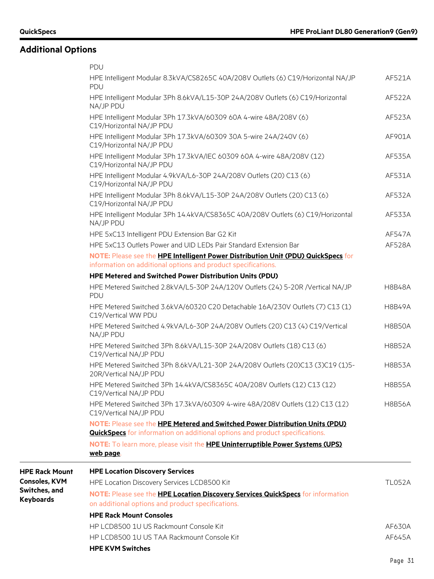|                                   | PDU                                                                                                     |               |
|-----------------------------------|---------------------------------------------------------------------------------------------------------|---------------|
|                                   | HPE Intelligent Modular 8.3kVA/CS8265C 40A/208V Outlets (6) C19/Horizontal NA/JP<br>PDU                 | AF521A        |
|                                   | HPE Intelligent Modular 3Ph 8.6kVA/L15-30P 24A/208V Outlets (6) C19/Horizontal<br>NA/JP PDU             | AF522A        |
|                                   | HPE Intelligent Modular 3Ph 17.3kVA/60309 60A 4-wire 48A/208V (6)<br>C19/Horizontal NA/JP PDU           | AF523A        |
|                                   | HPE Intelligent Modular 3Ph 17.3kVA/60309 30A 5-wire 24A/240V (6)<br>C19/Horizontal NA/JP PDU           | AF901A        |
|                                   | HPE Intelligent Modular 3Ph 17.3kVA/IEC 60309 60A 4-wire 48A/208V (12)<br>C19/Horizontal NA/JP PDU      | AF535A        |
|                                   | HPE Intelligent Modular 4.9kVA/L6-30P 24A/208V Outlets (20) C13 (6)<br>C19/Horizontal NA/JP PDU         | AF531A        |
|                                   | HPE Intelligent Modular 3Ph 8.6kVA/L15-30P 24A/208V Outlets (20) C13 (6)<br>C19/Horizontal NA/JP PDU    | AF532A        |
|                                   | HPE Intelligent Modular 3Ph 14.4kVA/CS8365C 40A/208V Outlets (6) C19/Horizontal<br>NA/JP PDU            | AF533A        |
|                                   | HPE 5xC13 Intelligent PDU Extension Bar G2 Kit                                                          | AF547A        |
|                                   | HPE 5xC13 Outlets Power and UID LEDs Pair Standard Extension Bar                                        | AF528A        |
|                                   | NOTE: Please see the HPE Intelligent Power Distribution Unit (PDU) QuickSpecs for                       |               |
|                                   | information on additional options and product specifications.                                           |               |
|                                   | HPE Metered and Switched Power Distribution Units (PDU)                                                 |               |
|                                   | HPE Metered Switched 2.8kVA/L5-30P 24A/120V Outlets (24) 5-20R /Vertical NA/JP<br>PDU                   | <b>H8B48A</b> |
|                                   | HPE Metered Switched 3.6kVA/60320 C20 Detachable 16A/230V Outlets (7) C13 (1)<br>C19/Vertical WW PDU    | <b>H8B49A</b> |
|                                   | HPE Metered Switched 4.9kVA/L6-30P 24A/208V Outlets (20) C13 (4) C19/Vertical<br>NA/JP PDU              | <b>H8B50A</b> |
|                                   | HPE Metered Switched 3Ph 8.6kVA/L15-30P 24A/208V Outlets (18) C13 (6)<br>C19/Vertical NA/JP PDU         | <b>H8B52A</b> |
|                                   | HPE Metered Switched 3Ph 8.6kVA/L21-30P 24A/208V Outlets (20)C13 (3)C19 (1)5-<br>20R/Vertical NA/JP PDU | <b>H8B53A</b> |
|                                   | HPE Metered Switched 3Ph 14.4kVA/CS8365C 40A/208V Outlets (12) C13 (12)<br>C19/Vertical NA/JP PDU       | <b>H8B55A</b> |
|                                   | HPE Metered Switched 3Ph 17.3kVA/60309 4-wire 48A/208V Outlets (12) C13 (12)<br>C19/Vertical NA/JP PDU  | <b>H8B56A</b> |
|                                   | <b>NOTE: Please see the HPE Metered and Switched Power Distribution Units (PDU)</b>                     |               |
|                                   | <b>QuickSpecs</b> for information on additional options and product specifications.                     |               |
|                                   | NOTE: To learn more, please visit the HPE Uninterruptible Power Systems (UPS)<br>web page.              |               |
| <b>HPE Rack Mount</b>             | <b>HPE Location Discovery Services</b>                                                                  |               |
| <b>Consoles, KVM</b>              | HPE Location Discovery Services LCD8500 Kit                                                             | <b>TL052A</b> |
| Switches, and<br><b>Keyboards</b> | NOTE: Please see the <b>HPE Location Discovery Services QuickSpecs</b> for information                  |               |
|                                   | on additional options and product specifications.                                                       |               |
|                                   | <b>HPE Rack Mount Consoles</b>                                                                          |               |
|                                   | HP LCD8500 1U US Rackmount Console Kit                                                                  | AF630A        |
|                                   | HP LCD8500 1U US TAA Rackmount Console Kit                                                              | AF645A        |
|                                   | <b>HPE KVM Switches</b>                                                                                 |               |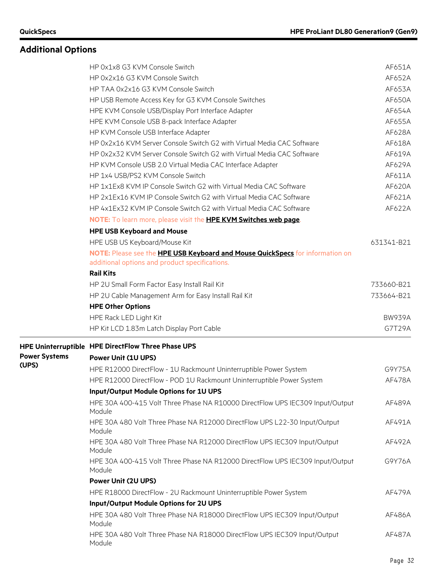|                      | HP 0x1x8 G3 KVM Console Switch                                                          | AF651A        |
|----------------------|-----------------------------------------------------------------------------------------|---------------|
|                      | HP 0x2x16 G3 KVM Console Switch                                                         | AF652A        |
|                      | HP TAA 0x2x16 G3 KVM Console Switch                                                     | AF653A        |
|                      | HP USB Remote Access Key for G3 KVM Console Switches                                    | AF650A        |
|                      | HPE KVM Console USB/Display Port Interface Adapter                                      | AF654A        |
|                      | HPE KVM Console USB 8-pack Interface Adapter                                            | AF655A        |
|                      | HP KVM Console USB Interface Adapter                                                    | AF628A        |
|                      | HP 0x2x16 KVM Server Console Switch G2 with Virtual Media CAC Software                  | AF618A        |
|                      | HP 0x2x32 KVM Server Console Switch G2 with Virtual Media CAC Software                  | AF619A        |
|                      | HP KVM Console USB 2.0 Virtual Media CAC Interface Adapter                              | AF629A        |
|                      | HP 1x4 USB/PS2 KVM Console Switch                                                       | AF611A        |
|                      | HP 1x1Ex8 KVM IP Console Switch G2 with Virtual Media CAC Software                      | AF620A        |
|                      | HP 2x1Ex16 KVM IP Console Switch G2 with Virtual Media CAC Software                     | AF621A        |
|                      | HP 4x1Ex32 KVM IP Console Switch G2 with Virtual Media CAC Software                     | AF622A        |
|                      | NOTE: To learn more, please visit the HPE KVM Switches web page.                        |               |
|                      | <b>HPE USB Keyboard and Mouse</b>                                                       |               |
|                      | HPE USB US Keyboard/Mouse Kit                                                           | 631341-B21    |
|                      | NOTE: Please see the HPE USB Keyboard and Mouse QuickSpecs for information on           |               |
|                      | additional options and product specifications.                                          |               |
|                      | <b>Rail Kits</b>                                                                        |               |
|                      | HP 2U Small Form Factor Easy Install Rail Kit                                           | 733660-B21    |
|                      | HP 2U Cable Management Arm for Easy Install Rail Kit                                    | 733664-B21    |
|                      | <b>HPE Other Options</b>                                                                |               |
|                      | HPE Rack LED Light Kit                                                                  | <b>BW939A</b> |
|                      | HP Kit LCD 1.83m Latch Display Port Cable                                               | G7T29A        |
|                      | HPE Uninterruptible HPE DirectFlow Three Phase UPS                                      |               |
| <b>Power Systems</b> | <b>Power Unit (1U UPS)</b>                                                              |               |
| (UPS)                | HPE R12000 DirectFlow - 1U Rackmount Uninterruptible Power System                       | G9Y75A        |
|                      | HPE R12000 DirectFlow - POD 1U Rackmount Uninterruptible Power System                   | AF478A        |
|                      | Input/Output Module Options for 1U UPS                                                  |               |
|                      | HPE 30A 400-415 Volt Three Phase NA R10000 DirectFlow UPS IEC309 Input/Output           | AF489A        |
|                      | Module                                                                                  |               |
|                      | HPE 30A 480 Volt Three Phase NA R12000 DirectFlow UPS L22-30 Input/Output<br>Module     | AF491A        |
|                      | HPE 30A 480 Volt Three Phase NA R12000 DirectFlow UPS IEC309 Input/Output<br>Module     | AF492A        |
|                      | HPE 30A 400-415 Volt Three Phase NA R12000 DirectFlow UPS IEC309 Input/Output<br>Module | G9Y76A        |
|                      | Power Unit (2U UPS)                                                                     |               |
|                      | HPE R18000 DirectFlow - 2U Rackmount Uninterruptible Power System                       | AF479A        |
|                      | Input/Output Module Options for 2U UPS                                                  |               |
|                      | HPE 30A 480 Volt Three Phase NA R18000 DirectFlow UPS IEC309 Input/Output<br>Module     | AF486A        |
|                      | HPE 30A 480 Volt Three Phase NA R18000 DirectFlow UPS IEC309 Input/Output<br>Module     | AF487A        |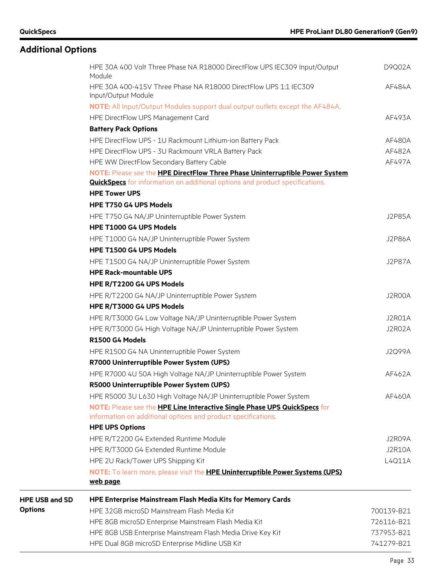|                       | HPE 30A 400 Volt Three Phase NA R18000 DirectFlow UPS IEC309 Input/Output<br>Module               | D9Q02A        |
|-----------------------|---------------------------------------------------------------------------------------------------|---------------|
|                       | HPE 30A 400-415V Three Phase NA R18000 DirectFlow UPS 1:1 IEC309<br>Input/Output Module           | AF484A        |
|                       | NOTE: All Input/Output Modules support dual output outlets except the AF484A.                     |               |
|                       | HPE DirectFlow UPS Management Card                                                                | AF493A        |
|                       | <b>Battery Pack Options</b>                                                                       |               |
|                       | HPE DirectFlow UPS - 1U Rackmount Lithium-ion Battery Pack                                        | AF480A        |
|                       | HPE DirectFlow UPS - 3U Rackmount VRLA Battery Pack                                               | AF482A        |
|                       | HPE WW DirectFlow Secondary Battery Cable                                                         | AF497A        |
|                       | NOTE: Please see the HPE DirectFlow Three Phase Uninterruptible Power System                      |               |
|                       | <b>QuickSpecs</b> for information on additional options and product specifications.               |               |
|                       | <b>HPE Tower UPS</b>                                                                              |               |
|                       | HPE T750 G4 UPS Models                                                                            |               |
|                       | HPE T750 G4 NA/JP Uninterruptible Power System                                                    | <b>J2P85A</b> |
|                       | HPE T1000 G4 UPS Models                                                                           |               |
|                       | HPE T1000 G4 NA/JP Uninterruptible Power System                                                   | <b>J2P86A</b> |
|                       | HPE T1500 G4 UPS Models                                                                           |               |
|                       | HPE T1500 G4 NA/JP Uninterruptible Power System                                                   | <b>J2P87A</b> |
|                       | <b>HPE Rack-mountable UPS</b>                                                                     |               |
|                       | HPE R/T2200 G4 UPS Models                                                                         |               |
|                       | HPE R/T2200 G4 NA/JP Uninterruptible Power System                                                 | J2R00A        |
|                       | HPE R/T3000 G4 UPS Models                                                                         |               |
|                       | HPE R/T3000 G4 Low Voltage NA/JP Uninterruptible Power System                                     | J2R01A        |
|                       | HPE R/T3000 G4 High Voltage NA/JP Uninterruptible Power System                                    | J2R02A        |
|                       | R1500 G4 Models                                                                                   |               |
|                       | HPE R1500 G4 NA Uninterruptible Power System                                                      | J2Q99A        |
|                       | R7000 Uninterruptible Power System (UPS)                                                          |               |
|                       | HPE R7000 4U 50A High Voltage NA/JP Uninterruptible Power System                                  | AF462A        |
|                       | R5000 Uninterruptible Power System (UPS)                                                          |               |
|                       | HPE R5000 3U L630 High Voltage NA/JP Uninterruptible Power System                                 | AF460A        |
|                       | NOTE: Please see the HPE Line Interactive Single Phase UPS QuickSpecs for                         |               |
|                       | information on additional options and product specifications.                                     |               |
|                       | <b>HPE UPS Options</b>                                                                            |               |
|                       | HPE R/T2200 G4 Extended Runtime Module                                                            | J2R09A        |
|                       | HPE R/T3000 G4 Extended Runtime Module                                                            | <b>J2R10A</b> |
|                       | HPE 2U Rack/Tower UPS Shipping Kit                                                                | L4Q11A        |
|                       | NOTE: To learn more, please visit the <b>HPE Uninterruptible Power Systems (UPS)</b><br>web page. |               |
| <b>HPE USB and SD</b> | <b>HPE Enterprise Mainstream Flash Media Kits for Memory Cards</b>                                |               |
| <b>Options</b>        | HPE 32GB microSD Mainstream Flash Media Kit                                                       | 700139-B21    |
|                       | HPE 8GB microSD Enterprise Mainstream Flash Media Kit                                             | 726116-B21    |
|                       | HPE 8GB USB Enterprise Mainstream Flash Media Drive Key Kit                                       | 737953-B21    |
|                       | HPE Dual 8GB microSD Enterprise Midline USB Kit                                                   | 741279-B21    |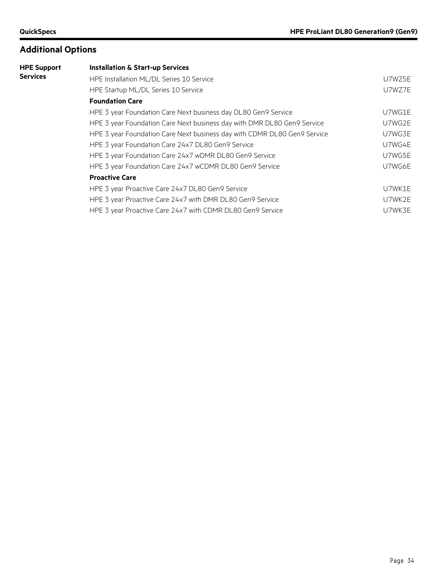| <b>HPE Support</b> | <b>Installation &amp; Start-up Services</b>                              |        |
|--------------------|--------------------------------------------------------------------------|--------|
| Services           | HPE Installation ML/DL Series 10 Service                                 | U7WZ5E |
|                    | HPE Startup ML/DL Series 10 Service                                      | U7WZ7E |
|                    | <b>Foundation Care</b>                                                   |        |
|                    | HPE 3 year Foundation Care Next business day DL80 Gen9 Service           | U7WG1E |
|                    | HPE 3 year Foundation Care Next business day with DMR DL80 Gen9 Service  | U7WG2E |
|                    | HPE 3 year Foundation Care Next business day with CDMR DL80 Gen9 Service | U7WG3E |
|                    | HPE 3 year Foundation Care 24x7 DL80 Gen9 Service                        | U7WG4E |
|                    | HPE 3 year Foundation Care 24x7 wDMR DL80 Gen9 Service                   | U7WG5E |
|                    | HPE 3 year Foundation Care 24x7 wCDMR DL80 Gen9 Service                  | U7WG6E |
|                    | <b>Proactive Care</b>                                                    |        |
|                    | HPE 3 year Proactive Care 24x7 DL80 Gen9 Service                         | U7WK1E |
|                    | HPE 3 year Proactive Care 24x7 with DMR DL80 Gen9 Service                | U7WK2E |
|                    | HPE 3 year Proactive Care 24x7 with CDMR DL80 Gen9 Service               | U7WK3E |
|                    |                                                                          |        |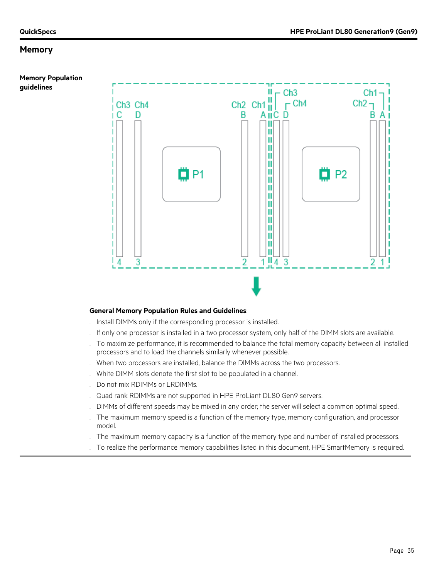**guidelines**

**Memory Population** 



#### **General Memory Population Rules and Guidelines**:

- . Install DIMMs only if the corresponding processor is installed.
- . If only one processor is installed in a two processor system, only half of the DIMM slots are available.
- . To maximize performance, it is recommended to balance the total memory capacity between all installed processors and to load the channels similarly whenever possible.
- . When two processors are installed, balance the DIMMs across the two processors.
- . White DIMM slots denote the first slot to be populated in a channel.
- . Do not mix RDIMMs or LRDIMMs.
- . Quad rank RDIMMs are not supported in HPE ProLiant DL80 Gen9 servers.
- . DIMMs of different speeds may be mixed in any order; the server will select a common optimal speed.
- . The maximum memory speed is a function of the memory type, memory configuration, and processor model.
- . The maximum memory capacity is a function of the memory type and number of installed processors.
- . To realize the performance memory capabilities listed in this document, HPE SmartMemory is required.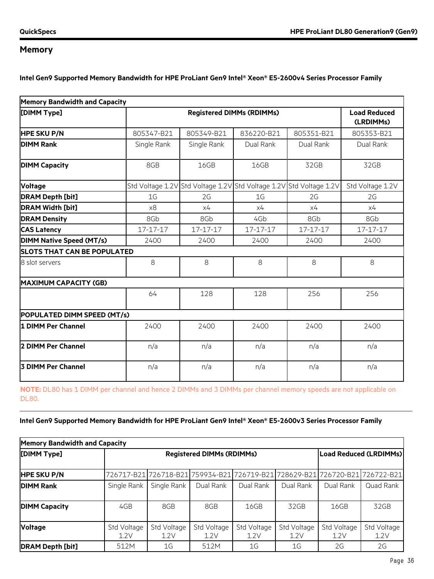**Intel Gen9 Supported Memory Bandwidth for HPE ProLiant Gen9 Intel® Xeon® E5-2600v4 Series Processor Family**

| <b>Memory Bandwidth and Capacity</b> |                |                                                                     |                |            |                  |  |  |
|--------------------------------------|----------------|---------------------------------------------------------------------|----------------|------------|------------------|--|--|
| [DIMM Type]                          |                | <b>Registered DIMMs (RDIMMs)</b>                                    |                |            |                  |  |  |
| <b>HPE SKU P/N</b>                   | 805347-B21     | 805349-B21                                                          | 836220-B21     | 805351-B21 | 805353-B21       |  |  |
| <b>DIMM Rank</b>                     | Single Rank    | Single Rank                                                         | Dual Rank      | Dual Rank  | Dual Rank        |  |  |
| <b>DIMM Capacity</b>                 | 8GB            | 16GB                                                                | 16GB           | 32GB       | 32GB             |  |  |
| Voltage                              |                | Std Voltage 1.2V Std Voltage 1.2V Std Voltage 1.2V Std Voltage 1.2V |                |            | Std Voltage 1.2V |  |  |
| <b>DRAM Depth [bit]</b>              | 1 <sub>G</sub> | 2G                                                                  | 1 <sub>G</sub> | 2G         | 2G               |  |  |
| <b>DRAM Width [bit]</b>              | x8             | x4                                                                  | x4             | x4         | x4               |  |  |
| <b>DRAM Density</b>                  | 8Gb            | 8Gb                                                                 | 4Gb            | 8Gb        | 8Gb              |  |  |
| <b>CAS Latency</b>                   | 17-17-17       | 17-17-17                                                            | 17-17-17       | 17-17-17   | 17-17-17         |  |  |
| <b>DIMM Native Speed (MT/s)</b>      | 2400           | 2400                                                                | 2400           | 2400       | 2400             |  |  |
| <b>SLOTS THAT CAN BE POPULATED</b>   |                |                                                                     |                |            |                  |  |  |
| 8 slot servers                       | 8              | 8                                                                   | 8              | 8          | 8                |  |  |
| <b>MAXIMUM CAPACITY (GB)</b>         |                |                                                                     |                |            |                  |  |  |
|                                      | 64             | 128                                                                 | 128            | 256        | 256              |  |  |
| POPULATED DIMM SPEED (MT/s)          |                |                                                                     |                |            |                  |  |  |
| 1 DIMM Per Channel                   | 2400           | 2400                                                                | 2400           | 2400       | 2400             |  |  |
| 2 DIMM Per Channel                   | n/a            | n/a                                                                 | n/a            | n/a        | n/a              |  |  |
| <b>3 DIMM Per Channel</b>            | n/a            | n/a                                                                 | n/a            | n/a        | n/a              |  |  |

**NOTE:** DL80 has 1 DIMM per channel and hence 2 DIMMs and 3 DIMMs per channel memory speeds are not applicable on DL80.

**Intel Gen9 Supported Memory Bandwidth for HPE ProLiant Gen9 Intel® Xeon® E5-2600v3 Series Processor Family**

| <b>Memory Bandwidth and Capacity</b> |                                  |                     |                     |                                                                              |                     |                               |                     |  |
|--------------------------------------|----------------------------------|---------------------|---------------------|------------------------------------------------------------------------------|---------------------|-------------------------------|---------------------|--|
| [DIMM Type]                          | <b>Registered DIMMs (RDIMMs)</b> |                     |                     |                                                                              |                     | <b>Load Reduced (LRDIMMs)</b> |                     |  |
| <b>HPE SKU P/N</b>                   |                                  |                     |                     | 726717-B21 726718-B21 759934-B21 726719-B21 728629-B21 726720-B21 726722-B21 |                     |                               |                     |  |
| <b>DIMM Rank</b>                     | Single Rank                      | Single Rank         | Dual Rank           | Dual Rank                                                                    | Dual Rank           | Dual Rank                     | Quad Rank           |  |
| <b>DIMM Capacity</b>                 | 4GB                              | 8GB                 | 8GB                 | 16GB                                                                         | 32GB                | 16GB                          | 32GB                |  |
| <b>Voltage</b>                       | Std Voltage<br>1.2V              | Std Voltage<br>1.2V | Std Voltage<br>1.2V | Std Voltage<br>1.2V                                                          | Std Voltage<br>1.2V | Std Voltage<br>1.2V           | Std Voltage<br>1.2V |  |
| <b>DRAM Depth [bit]</b>              | 512M                             | 1G                  | 512M                | 1G                                                                           | 1G                  | 2G                            | 2G                  |  |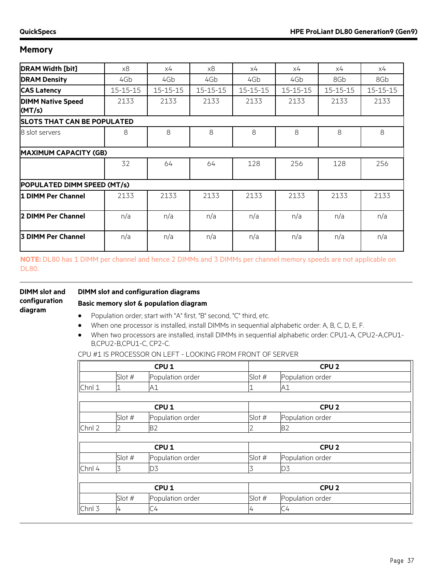| <b>DRAM Width [bit]</b>            | x8       | х4             | x8             | х4             | x4             | х4             | x4             |
|------------------------------------|----------|----------------|----------------|----------------|----------------|----------------|----------------|
| <b>DRAM Density</b>                | 4Gb      | 4Gb            | 4Gb            | 4Gb            | 4Gb            | 8Gb            | 8Gb            |
| <b>CAS Latency</b>                 | 15-15-15 | $15 - 15 - 15$ | $15 - 15 - 15$ | $15 - 15 - 15$ | $15 - 15 - 15$ | $15 - 15 - 15$ | $15 - 15 - 15$ |
| <b>DIMM Native Speed</b><br>(MT/s) | 2133     | 2133           | 2133           | 2133           | 2133           | 2133           | 2133           |
| <b>SLOTS THAT CAN BE POPULATED</b> |          |                |                |                |                |                |                |
| 8 slot servers                     | 8        | 8              | 8              | 8              | 8              | 8              | 8              |
| <b>MAXIMUM CAPACITY (GB)</b>       |          |                |                |                |                |                |                |
|                                    | 32       | 64             | 64             | 128            | 256            | 128            | 256            |
| POPULATED DIMM SPEED (MT/s)        |          |                |                |                |                |                |                |
| 1 DIMM Per Channel                 | 2133     | 2133           | 2133           | 2133           | 2133           | 2133           | 2133           |
| 2 DIMM Per Channel                 | n/a      | n/a            | n/a            | n/a            | n/a            | n/a            | n/a            |
| <b>3 DIMM Per Channel</b>          | n/a      | n/a            | n/a            | n/a            | n/a            | n/a            | n/a            |

**NOTE:** DL80 has 1 DIMM per channel and hence 2 DIMMs and 3 DIMMs per channel memory speeds are not applicable on DL80.

| <b>DIMM</b> slot and | DIMM slot and configuration diagrams                                |
|----------------------|---------------------------------------------------------------------|
| configuration        | Basic memory slot & population diagram                              |
| diagram              | Population order; start with "A" first, "B" second, "C" third, etc. |

- When one processor is installed, install DIMMs in sequential alphabetic order: A, B, C, D, E, F.
- When two processors are installed, install DIMMs in sequential alphabetic order: CPU1-A, CPU2-A,CPU1- B,CPU2-B,CPU1-C, CP2-C.

CPU #1 IS PROCESSOR ON LEFT - LOOKING FROM FRONT OF SERVER

|        |          | CPU <sub>1</sub> |        | CPU <sub>2</sub> |  |  |
|--------|----------|------------------|--------|------------------|--|--|
|        | Slot #   | Population order | Slot # | Population order |  |  |
| Chnl 1 |          | A1               |        | A1               |  |  |
|        |          |                  |        |                  |  |  |
|        |          | CPU <sub>1</sub> |        | CPU <sub>2</sub> |  |  |
|        | Slot $#$ | Population order | Slot # | Population order |  |  |
| Chnl 2 | 2        | <b>B2</b>        | 2      | <b>B2</b>        |  |  |
|        |          |                  |        |                  |  |  |
|        |          | CPU <sub>1</sub> |        | CPU <sub>2</sub> |  |  |
|        | Slot #   | Population order | Slot # | Population order |  |  |
| Chnl 4 | 3        | D3               | 3      | D3               |  |  |
|        |          |                  |        |                  |  |  |
|        |          | CPU <sub>1</sub> |        | CPU <sub>2</sub> |  |  |
|        | Slot #   | Population order | Slot # | Population order |  |  |
| Chnl 3 | 4        | C4               | 4      | C4               |  |  |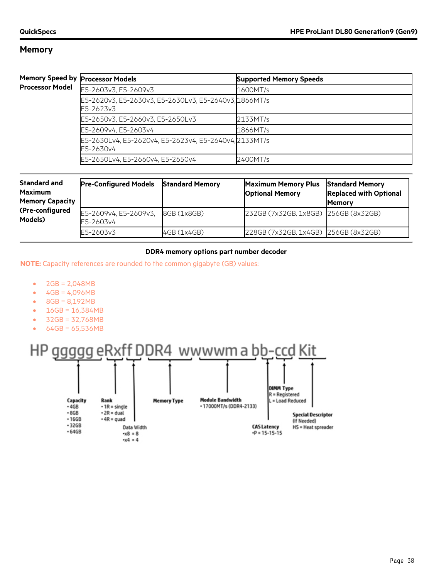#### **Memory Sp Processor M**

|       | eed by Processor Models                                            | <b>Supported Memory Speeds</b> |
|-------|--------------------------------------------------------------------|--------------------------------|
| 1odel | E5-2603v3, E5-2609v3                                               | 1600MT/s                       |
|       | E5-2620v3, E5-2630v3, E5-2630Lv3, E5-2640v3, 1866MT/s<br>E5-2623v3 |                                |
|       | E5-2650v3, E5-2660v3, E5-2650Lv3                                   | 2133MT/s                       |
|       | E5-2609v4, E5-2603v4                                               | 1866MT/s                       |
|       | E5-2630Lv4, E5-2620v4, E5-2623v4, E5-2640v4, 2133MT/s<br>E5-2630v4 |                                |
|       | E5-2650Lv4, E5-2660v4, E5-2650v4                                   | 2400MT/s                       |

| <b>Standard and</b><br><b>Maximum</b><br><b>Memory Capacity</b> | <b>Pre-Configured Models</b>       | <b>Standard Memory</b> | <b>Maximum Memory Plus</b><br><b>Optional Memory</b> | <b>Standard Memory</b><br><b>Replaced with Optional</b><br><b>Memory</b> |
|-----------------------------------------------------------------|------------------------------------|------------------------|------------------------------------------------------|--------------------------------------------------------------------------|
| (Pre-configured<br>Models)                                      | E5-2609v4, E5-2609v3,<br>E5-2603v4 | 8GB (1x8GB)            | 232GB (7x32GB, 1x8GB) 256GB (8x32GB)                 |                                                                          |
|                                                                 | E5-2603v3                          | 4GB (1x4GB)            | 228GB (7x32GB, 1x4GB) 256GB (8x32GB)                 |                                                                          |

#### **DDR4 memory options part number decoder**

**NOTE:** Capacity references are rounded to the common gigabyte (GB) values:

- $2GB = 2,048MB$
- $4GB = 4,096MB$
- 8GB = 8,192MB
- $16GB = 16,384MB$
- 32GB = 32,768MB
- 64GB = 65,536MB

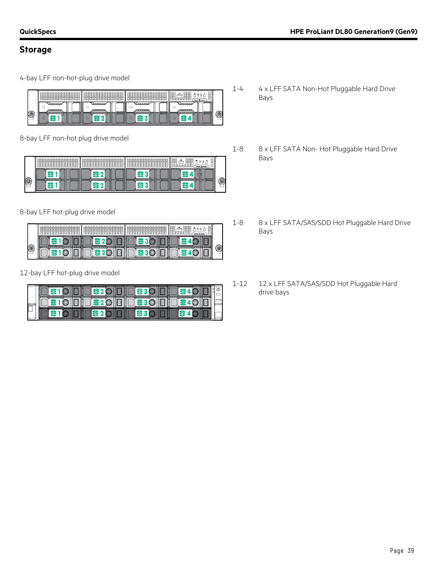### **Storage**

4-bay LFF non-hot-plug drive model

|         | of South Street<br>--<br>v<br>a kind book hotel from hotel<br>----- | <b>Contract</b><br>. | $12 - 12$<br>___<br>-0-0-0-0-0-<br>______ | liae<br>--<br>_<br>. .<br>dents attributions are a company of the about any<br>≂<br>◡<br>-<br>∼<br>ـــ<br>∼ |   |
|---------|---------------------------------------------------------------------|----------------------|-------------------------------------------|-------------------------------------------------------------------------------------------------------------|---|
|         |                                                                     | .<br>ı               | 30000                                     | ---                                                                                                         |   |
| í6<br>_ | ۔                                                                   |                      |                                           |                                                                                                             | ─ |

8-bay LFF non-hot plug drive model

| $-2$<br>÷<br>12<br>۰г<br>a dheashan dheashan dheashan dheashan d<br>_____ | ш<br>--<br>--<br>the determination of the con-<br>_____ | 12<br>--<br>- 1<br>$-1$<br>__<br>.<br>ــ<br>∽<br>- | antar .<br>يسترسوا<br>$-$<br><b><i><u>Dental Carried</u></i></b><br>-<br>-------<br>205<br>. . |  |
|---------------------------------------------------------------------------|---------------------------------------------------------|----------------------------------------------------|------------------------------------------------------------------------------------------------|--|
|                                                                           |                                                         |                                                    |                                                                                                |  |

8-bay LFF hot-plug drive model

|     | ะ<br>and the first process.<br>______             |                                    |                                   | --<br>۔۔۔<br><b>Services</b><br>-<br>__ |   |
|-----|---------------------------------------------------|------------------------------------|-----------------------------------|-----------------------------------------|---|
|     |                                                   |                                    |                                   |                                         |   |
| $-$ | <b>THE STATE OF</b><br>TAXABLE PERSONAL PROPERTY. | <b>CARLO AND INCOME.</b><br>------ | the office of the contract of the | The company of the company of           | ─ |

12-bay LFF hot-plug drive model

| I           |  |  |  |  |
|-------------|--|--|--|--|
| L<br>ı<br>ь |  |  |  |  |

- 1-4 4 x LFF SATA Non-Hot Pluggable Hard Drive Bays
- 1-8 8 x LFF SATA Non- Hot Pluggable Hard Drive Bays
- 1-8 8 x LFF SATA/SAS/SDD Hot Pluggable Hard Drive Bays
- 1-12 12 x LFF SATA/SAS/SDD Hot Pluggable Hard drive bays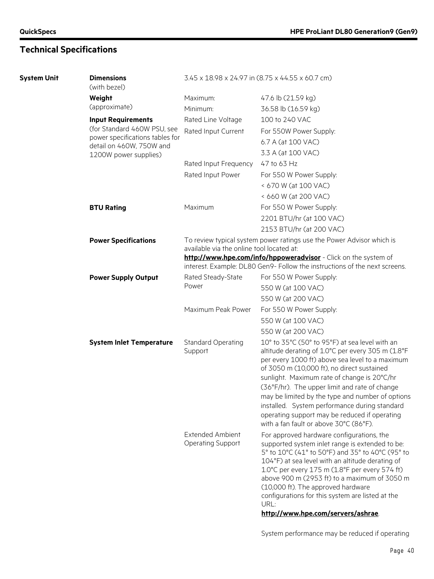## **Technical Specifications**

| <b>System Unit</b> | <b>Dimensions</b><br>(with bezel)                 | 3.45 x 18.98 x 24.97 in (8.75 x 44.55 x 60.7 cm)                                                                                              |                                                                                                                                                                                                                                                                                                                                                                                                                                                                                                      |  |  |  |
|--------------------|---------------------------------------------------|-----------------------------------------------------------------------------------------------------------------------------------------------|------------------------------------------------------------------------------------------------------------------------------------------------------------------------------------------------------------------------------------------------------------------------------------------------------------------------------------------------------------------------------------------------------------------------------------------------------------------------------------------------------|--|--|--|
|                    | Weight                                            | Maximum:                                                                                                                                      | 47.6 lb (21.59 kg)                                                                                                                                                                                                                                                                                                                                                                                                                                                                                   |  |  |  |
|                    | (approximate)                                     | Minimum:                                                                                                                                      | 36.58 lb (16.59 kg)                                                                                                                                                                                                                                                                                                                                                                                                                                                                                  |  |  |  |
|                    | <b>Input Requirements</b>                         | Rated Line Voltage                                                                                                                            | 100 to 240 VAC                                                                                                                                                                                                                                                                                                                                                                                                                                                                                       |  |  |  |
|                    | (for Standard 460W PSU, see                       | Rated Input Current                                                                                                                           | For 550W Power Supply:                                                                                                                                                                                                                                                                                                                                                                                                                                                                               |  |  |  |
|                    | power specifications tables for                   |                                                                                                                                               | 6.7 A (at 100 VAC)                                                                                                                                                                                                                                                                                                                                                                                                                                                                                   |  |  |  |
|                    | detail on 460W, 750W and<br>1200W power supplies) |                                                                                                                                               | 3.3 A (at 100 VAC)                                                                                                                                                                                                                                                                                                                                                                                                                                                                                   |  |  |  |
|                    |                                                   | Rated Input Frequency                                                                                                                         | 47 to 63 Hz                                                                                                                                                                                                                                                                                                                                                                                                                                                                                          |  |  |  |
|                    |                                                   | Rated Input Power                                                                                                                             | For 550 W Power Supply:                                                                                                                                                                                                                                                                                                                                                                                                                                                                              |  |  |  |
|                    |                                                   |                                                                                                                                               | < 670 W (at 100 VAC)                                                                                                                                                                                                                                                                                                                                                                                                                                                                                 |  |  |  |
|                    |                                                   |                                                                                                                                               | < 660 W (at 200 VAC)                                                                                                                                                                                                                                                                                                                                                                                                                                                                                 |  |  |  |
|                    | <b>BTU Rating</b>                                 | Maximum                                                                                                                                       | For 550 W Power Supply:                                                                                                                                                                                                                                                                                                                                                                                                                                                                              |  |  |  |
|                    |                                                   |                                                                                                                                               | 2201 BTU/hr (at 100 VAC)                                                                                                                                                                                                                                                                                                                                                                                                                                                                             |  |  |  |
|                    |                                                   |                                                                                                                                               | 2153 BTU/hr (at 200 VAC)                                                                                                                                                                                                                                                                                                                                                                                                                                                                             |  |  |  |
|                    | <b>Power Specifications</b>                       | To review typical system power ratings use the Power Advisor which is                                                                         |                                                                                                                                                                                                                                                                                                                                                                                                                                                                                                      |  |  |  |
|                    |                                                   | available via the online tool located at:                                                                                                     |                                                                                                                                                                                                                                                                                                                                                                                                                                                                                                      |  |  |  |
|                    |                                                   | http://www.hpe.com/info/hppoweradvisor - Click on the system of<br>interest. Example: DL80 Gen9- Follow the instructions of the next screens. |                                                                                                                                                                                                                                                                                                                                                                                                                                                                                                      |  |  |  |
|                    | <b>Power Supply Output</b>                        | Rated Steady-State                                                                                                                            | For 550 W Power Supply:                                                                                                                                                                                                                                                                                                                                                                                                                                                                              |  |  |  |
|                    |                                                   | Power                                                                                                                                         | 550 W (at 100 VAC)                                                                                                                                                                                                                                                                                                                                                                                                                                                                                   |  |  |  |
|                    |                                                   |                                                                                                                                               | 550 W (at 200 VAC)                                                                                                                                                                                                                                                                                                                                                                                                                                                                                   |  |  |  |
|                    |                                                   | Maximum Peak Power                                                                                                                            | For 550 W Power Supply:                                                                                                                                                                                                                                                                                                                                                                                                                                                                              |  |  |  |
|                    |                                                   |                                                                                                                                               | 550 W (at 100 VAC)                                                                                                                                                                                                                                                                                                                                                                                                                                                                                   |  |  |  |
|                    |                                                   |                                                                                                                                               | 550 W (at 200 VAC)                                                                                                                                                                                                                                                                                                                                                                                                                                                                                   |  |  |  |
|                    | <b>System Inlet Temperature</b>                   | <b>Standard Operating</b><br>Support                                                                                                          | 10° to 35°C (50° to 95°F) at sea level with an<br>altitude derating of 1.0°C per every 305 m (1.8°F<br>per every 1000 ft) above sea level to a maximum<br>of 3050 m (10,000 ft), no direct sustained<br>sunlight. Maximum rate of change is 20°C/hr<br>(36°F/hr). The upper limit and rate of change<br>may be limited by the type and number of options<br>installed. System performance during standard<br>operating support may be reduced if operating<br>with a fan fault or above 30°C (86°F). |  |  |  |
|                    |                                                   | <b>Extended Ambient</b><br><b>Operating Support</b>                                                                                           | For approved hardware configurations, the<br>supported system inlet range is extended to be:<br>5° to 10°C (41° to 50°F) and 35° to 40°C (95° to<br>104°F) at sea level with an altitude derating of<br>1.0°C per every 175 m (1.8°F per every 574 ft)<br>above 900 m (2953 ft) to a maximum of 3050 m<br>(10,000 ft). The approved hardware<br>configurations for this system are listed at the<br>URL:                                                                                             |  |  |  |
|                    |                                                   |                                                                                                                                               | http://www.hpe.com/servers/ashrae.                                                                                                                                                                                                                                                                                                                                                                                                                                                                   |  |  |  |

System performance may be reduced if operating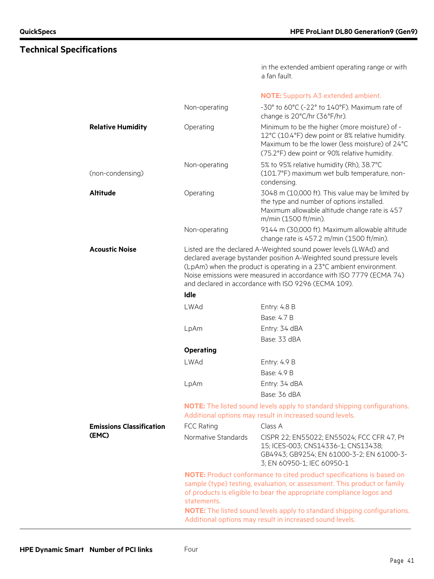in the extended ambient operating range or with a fan fault.

#### **NOTE:** Supports A3 extended ambient.

|                                 | Non-operating       | -30° to 60°C (-22° to 140°F). Maximum rate of<br>change is 20°C/hr (36°F/hr).                                                                                                                                                                                                                                                                  |
|---------------------------------|---------------------|------------------------------------------------------------------------------------------------------------------------------------------------------------------------------------------------------------------------------------------------------------------------------------------------------------------------------------------------|
| <b>Relative Humidity</b>        | Operating           | Minimum to be the higher (more moisture) of -<br>12°C (10.4°F) dew point or 8% relative humidity.<br>Maximum to be the lower (less moisture) of 24°C<br>(75.2°F) dew point or 90% relative humidity.                                                                                                                                           |
| (non-condensing)                | Non-operating       | 5% to 95% relative humidity (Rh), 38.7°C<br>(101.7°F) maximum wet bulb temperature, non-<br>condensing.                                                                                                                                                                                                                                        |
| <b>Altitude</b>                 | Operating           | 3048 m (10,000 ft). This value may be limited by<br>the type and number of options installed.<br>Maximum allowable altitude change rate is 457<br>m/min (1500 ft/min).                                                                                                                                                                         |
|                                 | Non-operating       | 9144 m (30,000 ft). Maximum allowable altitude<br>change rate is 457.2 m/min (1500 ft/min).                                                                                                                                                                                                                                                    |
| <b>Acoustic Noise</b>           | Idle                | Listed are the declared A-Weighted sound power levels (LWAd) and<br>declared average bystander position A-Weighted sound pressure levels<br>(LpAm) when the product is operating in a 23°C ambient environment.<br>Noise emissions were measured in accordance with ISO 7779 (ECMA 74)<br>and declared in accordance with ISO 9296 (ECMA 109). |
|                                 | <b>LWAd</b>         | Entry: 4.8 B                                                                                                                                                                                                                                                                                                                                   |
|                                 |                     | Base: 4.7 B                                                                                                                                                                                                                                                                                                                                    |
|                                 | LpAm                | Entry: 34 dBA                                                                                                                                                                                                                                                                                                                                  |
|                                 |                     | Base: 33 dBA                                                                                                                                                                                                                                                                                                                                   |
|                                 | <b>Operating</b>    |                                                                                                                                                                                                                                                                                                                                                |
|                                 | <b>LWAd</b>         | Entry: 4.9 B                                                                                                                                                                                                                                                                                                                                   |
|                                 |                     | Base: 4.9 B                                                                                                                                                                                                                                                                                                                                    |
|                                 | LpAm                | Entry: 34 dBA                                                                                                                                                                                                                                                                                                                                  |
|                                 |                     | Base: 36 dBA                                                                                                                                                                                                                                                                                                                                   |
|                                 |                     | <b>NOTE:</b> The listed sound levels apply to standard shipping configurations.<br>Additional options may result in increased sound levels.                                                                                                                                                                                                    |
| <b>Emissions Classification</b> | <b>FCC Rating</b>   | Class A                                                                                                                                                                                                                                                                                                                                        |
| (EMC)                           | Normative Standards | CISPR 22; EN55022; EN55024; FCC CFR 47, Pt<br>15; ICES-003; CNS14336-1; CNS13438;<br>GB4943; GB9254; EN 61000-3-2; EN 61000-3-<br>3; EN 60950-1; IEC 60950-1                                                                                                                                                                                   |
|                                 | statements.         | <b>NOTE:</b> Product conformance to cited product specifications is based on<br>sample (type) testing, evaluation, or assessment. This product or family<br>of products is eligible to bear the appropriate compliance logos and                                                                                                               |
|                                 |                     | <b>NOTE:</b> The listed sound levels apply to standard shipping configurations.<br>Additional options may result in increased sound levels.                                                                                                                                                                                                    |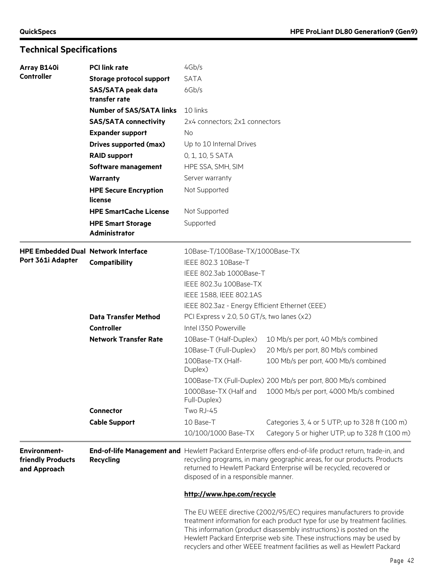## **Technical Specifications**

| Array B140i                                              | <b>PCI link rate</b>                                   | 4Gb/s                                                                                                                                                                                                                                                                                                                                                                              |                                                               |  |  |  |
|----------------------------------------------------------|--------------------------------------------------------|------------------------------------------------------------------------------------------------------------------------------------------------------------------------------------------------------------------------------------------------------------------------------------------------------------------------------------------------------------------------------------|---------------------------------------------------------------|--|--|--|
| <b>Controller</b>                                        | Storage protocol support                               | <b>SATA</b>                                                                                                                                                                                                                                                                                                                                                                        |                                                               |  |  |  |
|                                                          | <b>SAS/SATA peak data</b><br>transfer rate             | 6Gb/s                                                                                                                                                                                                                                                                                                                                                                              |                                                               |  |  |  |
|                                                          | <b>Number of SAS/SATA links</b>                        | 10 links                                                                                                                                                                                                                                                                                                                                                                           |                                                               |  |  |  |
|                                                          | <b>SAS/SATA connectivity</b>                           | 2x4 connectors; 2x1 connectors                                                                                                                                                                                                                                                                                                                                                     |                                                               |  |  |  |
|                                                          | <b>Expander support</b>                                | No                                                                                                                                                                                                                                                                                                                                                                                 |                                                               |  |  |  |
|                                                          | Drives supported (max)                                 | Up to 10 Internal Drives                                                                                                                                                                                                                                                                                                                                                           |                                                               |  |  |  |
|                                                          | <b>RAID support</b>                                    | 0, 1, 10, 5 SATA                                                                                                                                                                                                                                                                                                                                                                   |                                                               |  |  |  |
|                                                          | Software management                                    | HPE SSA, SMH, SIM                                                                                                                                                                                                                                                                                                                                                                  |                                                               |  |  |  |
|                                                          | <b>Warranty</b>                                        | Server warranty                                                                                                                                                                                                                                                                                                                                                                    |                                                               |  |  |  |
|                                                          | <b>HPE Secure Encryption</b><br>license                | Not Supported                                                                                                                                                                                                                                                                                                                                                                      |                                                               |  |  |  |
|                                                          | <b>HPE SmartCache License</b>                          | Not Supported                                                                                                                                                                                                                                                                                                                                                                      |                                                               |  |  |  |
|                                                          | Supported<br><b>HPE Smart Storage</b><br>Administrator |                                                                                                                                                                                                                                                                                                                                                                                    |                                                               |  |  |  |
| <b>HPE Embedded Dual Network Interface</b>               |                                                        | 10Base-T/100Base-TX/1000Base-TX                                                                                                                                                                                                                                                                                                                                                    |                                                               |  |  |  |
| Port 361i Adapter                                        | Compatibility                                          | IEEE 802.3 10Base-T<br>IEEE 802.3ab 1000Base-T                                                                                                                                                                                                                                                                                                                                     |                                                               |  |  |  |
|                                                          |                                                        |                                                                                                                                                                                                                                                                                                                                                                                    |                                                               |  |  |  |
|                                                          |                                                        | IEEE 802.3u 100Base-TX                                                                                                                                                                                                                                                                                                                                                             |                                                               |  |  |  |
|                                                          |                                                        | IEEE 1588, IEEE 802.1AS<br>IEEE 802.3az - Energy Efficient Ethernet (EEE)                                                                                                                                                                                                                                                                                                          |                                                               |  |  |  |
|                                                          |                                                        |                                                                                                                                                                                                                                                                                                                                                                                    |                                                               |  |  |  |
|                                                          | <b>Data Transfer Method</b>                            | PCI Express v 2.0, 5.0 GT/s, two lanes (x2)                                                                                                                                                                                                                                                                                                                                        |                                                               |  |  |  |
|                                                          | <b>Controller</b>                                      | Intel I350 Powerville                                                                                                                                                                                                                                                                                                                                                              |                                                               |  |  |  |
|                                                          | <b>Network Transfer Rate</b>                           | 10Base-T (Half-Duplex)                                                                                                                                                                                                                                                                                                                                                             | 10 Mb/s per port, 40 Mb/s combined                            |  |  |  |
|                                                          |                                                        | 10Base-T (Full-Duplex)                                                                                                                                                                                                                                                                                                                                                             | 20 Mb/s per port, 80 Mb/s combined                            |  |  |  |
|                                                          |                                                        | 100Base-TX (Half-<br>Duplex)                                                                                                                                                                                                                                                                                                                                                       | 100 Mb/s per port, 400 Mb/s combined                          |  |  |  |
|                                                          |                                                        |                                                                                                                                                                                                                                                                                                                                                                                    | 100Base-TX (Full-Duplex) 200 Mb/s per port, 800 Mb/s combined |  |  |  |
|                                                          |                                                        | Full-Duplex)                                                                                                                                                                                                                                                                                                                                                                       | 1000Base-TX (Half and 1000 Mb/s per port, 4000 Mb/s combined  |  |  |  |
|                                                          | <b>Connector</b>                                       | Two RJ-45                                                                                                                                                                                                                                                                                                                                                                          |                                                               |  |  |  |
|                                                          | <b>Cable Support</b>                                   | 10 Base-T                                                                                                                                                                                                                                                                                                                                                                          | Categories 3, 4 or 5 UTP; up to 328 ft (100 m)                |  |  |  |
|                                                          |                                                        | 10/100/1000 Base-TX                                                                                                                                                                                                                                                                                                                                                                | Category 5 or higher UTP; up to 328 ft (100 m)                |  |  |  |
| <b>Environment-</b><br>friendly Products<br>and Approach | <b>Recycling</b>                                       | End-of-life Management and Hewlett Packard Enterprise offers end-of-life product return, trade-in, and<br>recycling programs, in many geographic areas, for our products. Products<br>returned to Hewlett Packard Enterprise will be recycled, recovered or<br>disposed of in a responsible manner.<br>http://www.hpe.com/recycle                                                  |                                                               |  |  |  |
|                                                          |                                                        |                                                                                                                                                                                                                                                                                                                                                                                    |                                                               |  |  |  |
|                                                          |                                                        | The EU WEEE directive (2002/95/EC) requires manufacturers to provide<br>treatment information for each product type for use by treatment facilities.<br>This information (product disassembly instructions) is posted on the<br>Hewlett Packard Enterprise web site. These instructions may be used by<br>recyclers and other WEEE treatment facilities as well as Hewlett Packard |                                                               |  |  |  |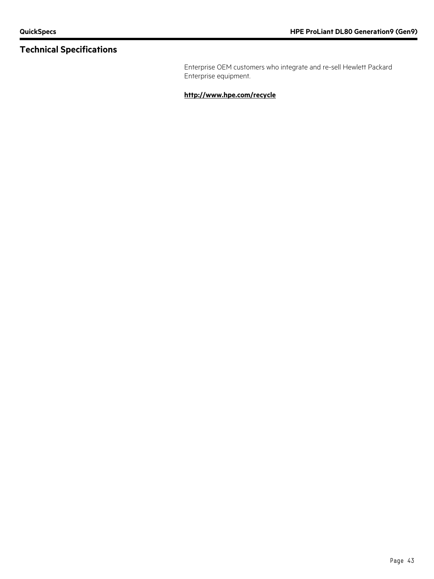## **Technical Specifications**

Enterprise OEM customers who integrate and re-sell Hewlett Packard Enterprise equipment.

**<http://www.hpe.com/recycle>**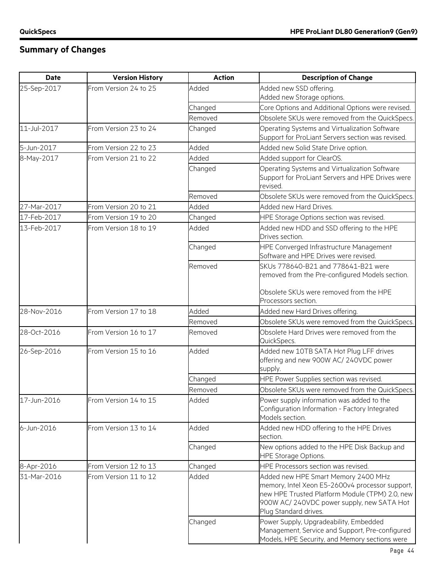## **Summary of Changes**

| <b>Date</b> | <b>Version History</b> | <b>Action</b> | <b>Description of Change</b>                                                                                                                                                                                   |
|-------------|------------------------|---------------|----------------------------------------------------------------------------------------------------------------------------------------------------------------------------------------------------------------|
| 25-Sep-2017 | From Version 24 to 25  | Added         | Added new SSD offering.<br>Added new Storage options.                                                                                                                                                          |
|             |                        | Changed       | Core Options and Additional Options were revised.                                                                                                                                                              |
|             |                        | Removed       | Obsolete SKUs were removed from the QuickSpecs.                                                                                                                                                                |
| 11-Jul-2017 | From Version 23 to 24  | Changed       | Operating Systems and Virtualization Software<br>Support for ProLiant Servers section was revised.                                                                                                             |
| 5-Jun-2017  | From Version 22 to 23  | Added         | Added new Solid State Drive option.                                                                                                                                                                            |
| 8-May-2017  | From Version 21 to 22  | Added         | Added support for ClearOS.                                                                                                                                                                                     |
|             |                        | Changed       | Operating Systems and Virtualization Software<br>Support for ProLiant Servers and HPE Drives were<br>revised.                                                                                                  |
|             |                        | Removed       | Obsolete SKUs were removed from the QuickSpecs.                                                                                                                                                                |
| 27-Mar-2017 | From Version 20 to 21  | Added         | Added new Hard Drives.                                                                                                                                                                                         |
| 17-Feb-2017 | From Version 19 to 20  | Changed       | HPE Storage Options section was revised.                                                                                                                                                                       |
| 13-Feb-2017 | From Version 18 to 19  | Added         | Added new HDD and SSD offering to the HPE<br>Drives section.                                                                                                                                                   |
|             |                        | Changed       | HPE Converged Infrastructure Management<br>Software and HPE Drives were revised.                                                                                                                               |
|             |                        | Removed       | SKUs 778640-B21 and 778641-B21 were<br>removed from the Pre-configured Models section.                                                                                                                         |
|             |                        |               | Obsolete SKUs were removed from the HPE<br>Processors section.                                                                                                                                                 |
| 28-Nov-2016 | From Version 17 to 18  | Added         | Added new Hard Drives offering.                                                                                                                                                                                |
|             |                        | Removed       | Obsolete SKUs were removed from the QuickSpecs.                                                                                                                                                                |
| 28-Oct-2016 | From Version 16 to 17  | Removed       | Obsolete Hard Drives were removed from the<br>QuickSpecs.                                                                                                                                                      |
| 26-Sep-2016 | From Version 15 to 16  | Added         | Added new 10TB SATA Hot Plug LFF drives<br>offering and new 900W AC/ 240VDC power<br>supply.                                                                                                                   |
|             |                        | Changed       | HPE Power Supplies section was revised.                                                                                                                                                                        |
|             |                        | Removed       | Obsolete SKUs were removed from the QuickSpecs.                                                                                                                                                                |
| 17-Jun-2016 | From Version 14 to 15  | Added         | Power supply information was added to the<br>Configuration Information - Factory Integrated<br>Models section.                                                                                                 |
| 6-Jun-2016  | From Version 13 to 14  | Added         | Added new HDD offering to the HPE Drives<br>section.                                                                                                                                                           |
|             |                        | Changed       | New options added to the HPE Disk Backup and<br><b>HPE Storage Options.</b>                                                                                                                                    |
| 8-Apr-2016  | From Version 12 to 13  | Changed       | HPE Processors section was revised.                                                                                                                                                                            |
| 31-Mar-2016 | From Version 11 to 12  | Added         | Added new HPE Smart Memory 2400 MHz<br>memory, Intel Xeon E5-2600v4 processor support,<br>new HPE Trusted Platform Module (TPM) 2.0, new<br>900W AC/240VDC power supply, new SATA Hot<br>Plug Standard drives. |
|             |                        | Changed       | Power Supply, Upgradeability, Embedded<br>Management, Service and Support, Pre-configured<br>Models, HPE Security, and Memory sections were                                                                    |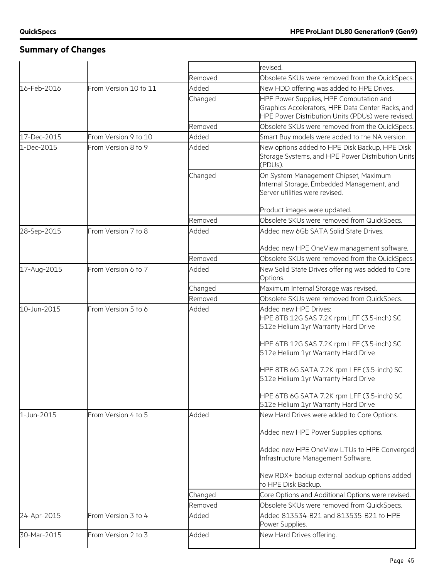## **Summary of Changes**

|             |                       |         | revised.                                                                     |
|-------------|-----------------------|---------|------------------------------------------------------------------------------|
|             |                       | Removed | Obsolete SKUs were removed from the QuickSpecs.                              |
| 16-Feb-2016 | From Version 10 to 11 | Added   | New HDD offering was added to HPE Drives.                                    |
|             |                       | Changed | HPE Power Supplies, HPE Computation and                                      |
|             |                       |         | Graphics Accelerators, HPE Data Center Racks, and                            |
|             |                       |         | HPE Power Distribution Units (PDUs) were revised.                            |
|             |                       | Removed | Obsolete SKUs were removed from the QuickSpecs.                              |
| 17-Dec-2015 | From Version 9 to 10  | Added   | Smart Buy models were added to the NA version.                               |
| 1-Dec-2015  | From Version 8 to 9   | Added   | New options added to HPE Disk Backup, HPE Disk                               |
|             |                       |         | Storage Systems, and HPE Power Distribution Units                            |
|             |                       |         | (PDUs).                                                                      |
|             |                       | Changed | On System Management Chipset, Maximum                                        |
|             |                       |         | Internal Storage, Embedded Management, and<br>Server utilities were revised. |
|             |                       |         |                                                                              |
|             |                       |         | Product images were updated.                                                 |
|             |                       | Removed | Obsolete SKUs were removed from QuickSpecs.                                  |
| 28-Sep-2015 | From Version 7 to 8   | Added   | Added new 6Gb SATA Solid State Drives.                                       |
|             |                       |         |                                                                              |
|             |                       |         | Added new HPE OneView management software.                                   |
|             |                       | Removed | Obsolete SKUs were removed from the QuickSpecs.                              |
| 17-Aug-2015 | From Version 6 to 7   | Added   | New Solid State Drives offering was added to Core                            |
|             |                       |         | Options.                                                                     |
|             |                       | Changed | Maximum Internal Storage was revised.                                        |
|             |                       | Removed | Obsolete SKUs were removed from QuickSpecs.                                  |
| 10-Jun-2015 | From Version 5 to 6   | Added   | Added new HPE Drives:                                                        |
|             |                       |         | HPE 8TB 12G SAS 7.2K rpm LFF (3.5-inch) SC                                   |
|             |                       |         | 512e Helium 1yr Warranty Hard Drive                                          |
|             |                       |         | HPE 6TB 12G SAS 7.2K rpm LFF (3.5-inch) SC                                   |
|             |                       |         | 512e Helium 1yr Warranty Hard Drive                                          |
|             |                       |         |                                                                              |
|             |                       |         | HPE 8TB 6G SATA 7.2K rpm LFF (3.5-inch) SC                                   |
|             |                       |         | 512e Helium 1yr Warranty Hard Drive                                          |
|             |                       |         | HPE 6TB 6G SATA 7.2K rpm LFF (3.5-inch) SC                                   |
|             |                       |         | 512e Helium 1yr Warranty Hard Drive                                          |
| 1-Jun-2015  | From Version 4 to 5   | Added   | New Hard Drives were added to Core Options.                                  |
|             |                       |         |                                                                              |
|             |                       |         | Added new HPE Power Supplies options.                                        |
|             |                       |         |                                                                              |
|             |                       |         | Added new HPE OneView LTUs to HPE Converged                                  |
|             |                       |         | Infrastructure Management Software.                                          |
|             |                       |         | New RDX+ backup external backup options added                                |
|             |                       |         | to HPE Disk Backup.                                                          |
|             |                       | Changed | Core Options and Additional Options were revised.                            |
|             |                       | Removed | Obsolete SKUs were removed from QuickSpecs.                                  |
| 24-Apr-2015 | From Version 3 to 4   | Added   | Added 813534-B21 and 813535-B21 to HPE                                       |
|             |                       |         | Power Supplies.                                                              |
| 30-Mar-2015 | From Version 2 to 3   | Added   | New Hard Drives offering.                                                    |
|             |                       |         |                                                                              |